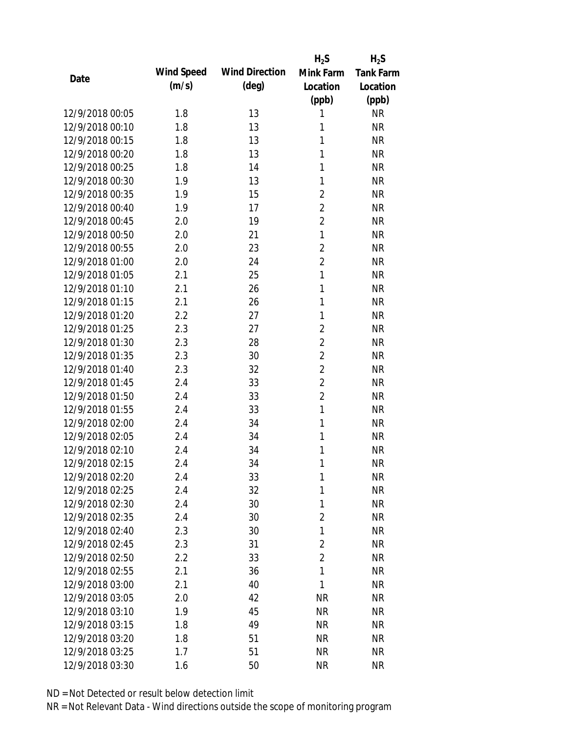|                 |            |                       | $H_2S$         | $H_2S$           |
|-----------------|------------|-----------------------|----------------|------------------|
| Date            | Wind Speed | <b>Wind Direction</b> | Mink Farm      | <b>Tank Farm</b> |
|                 | (m/s)      | $(\text{deg})$        | Location       | Location         |
|                 |            |                       | (ppb)          | (ppb)            |
| 12/9/2018 00:05 | 1.8        | 13                    | 1              | <b>NR</b>        |
| 12/9/2018 00:10 | 1.8        | 13                    | 1              | <b>NR</b>        |
| 12/9/2018 00:15 | 1.8        | 13                    | 1              | <b>NR</b>        |
| 12/9/2018 00:20 | 1.8        | 13                    | 1              | <b>NR</b>        |
| 12/9/2018 00:25 | 1.8        | 14                    | 1              | <b>NR</b>        |
| 12/9/2018 00:30 | 1.9        | 13                    | 1              | <b>NR</b>        |
| 12/9/2018 00:35 | 1.9        | 15                    | $\overline{2}$ | <b>NR</b>        |
| 12/9/2018 00:40 | 1.9        | 17                    | $\overline{2}$ | <b>NR</b>        |
| 12/9/2018 00:45 | 2.0        | 19                    | $\overline{2}$ | <b>NR</b>        |
| 12/9/2018 00:50 | 2.0        | 21                    | $\mathbf{1}$   | <b>NR</b>        |
| 12/9/2018 00:55 | 2.0        | 23                    | $\overline{2}$ | <b>NR</b>        |
| 12/9/2018 01:00 | 2.0        | 24                    | $\overline{2}$ | <b>NR</b>        |
| 12/9/2018 01:05 | 2.1        | 25                    | 1              | <b>NR</b>        |
| 12/9/2018 01:10 | 2.1        | 26                    | 1              | <b>NR</b>        |
| 12/9/2018 01:15 | 2.1        | 26                    | 1              | <b>NR</b>        |
| 12/9/2018 01:20 | 2.2        | 27                    | 1              | <b>NR</b>        |
| 12/9/2018 01:25 | 2.3        | 27                    | $\overline{2}$ | <b>NR</b>        |
| 12/9/2018 01:30 | 2.3        | 28                    | $\overline{2}$ | <b>NR</b>        |
| 12/9/2018 01:35 | 2.3        | 30                    | $\overline{2}$ | <b>NR</b>        |
| 12/9/2018 01:40 | 2.3        | 32                    | $\overline{2}$ | <b>NR</b>        |
| 12/9/2018 01:45 | 2.4        | 33                    | $\overline{2}$ | <b>NR</b>        |
| 12/9/2018 01:50 | 2.4        | 33                    | $\overline{2}$ | <b>NR</b>        |
| 12/9/2018 01:55 | 2.4        | 33                    | $\mathbf{1}$   | <b>NR</b>        |
| 12/9/2018 02:00 | 2.4        | 34                    | 1              | <b>NR</b>        |
| 12/9/2018 02:05 | 2.4        | 34                    | 1              | <b>NR</b>        |
| 12/9/2018 02:10 | 2.4        | 34                    | 1              | <b>NR</b>        |
| 12/9/2018 02:15 | 2.4        | 34                    | 1              | <b>NR</b>        |
| 12/9/2018 02:20 | 2.4        | 33                    | 1              | <b>NR</b>        |
| 12/9/2018 02:25 | 2.4        | 32                    | 1              | <b>NR</b>        |
| 12/9/2018 02:30 | 2.4        | 30                    | 1              | <b>NR</b>        |
| 12/9/2018 02:35 | 2.4        | 30                    | $\overline{2}$ | <b>NR</b>        |
| 12/9/2018 02:40 | 2.3        | 30                    | 1              | <b>NR</b>        |
| 12/9/2018 02:45 | 2.3        | 31                    | $\overline{2}$ | <b>NR</b>        |
| 12/9/2018 02:50 | 2.2        | 33                    | $\overline{2}$ | <b>NR</b>        |
| 12/9/2018 02:55 | 2.1        | 36                    | $\mathbf{1}$   | <b>NR</b>        |
| 12/9/2018 03:00 | 2.1        | 40                    | 1              | <b>NR</b>        |
| 12/9/2018 03:05 | 2.0        | 42                    | <b>NR</b>      | <b>NR</b>        |
| 12/9/2018 03:10 | 1.9        | 45                    | <b>NR</b>      | <b>NR</b>        |
| 12/9/2018 03:15 | 1.8        | 49                    | <b>NR</b>      | <b>NR</b>        |
| 12/9/2018 03:20 | 1.8        | 51                    | <b>NR</b>      | <b>NR</b>        |
| 12/9/2018 03:25 | 1.7        | 51                    | <b>NR</b>      | <b>NR</b>        |
| 12/9/2018 03:30 | 1.6        | 50                    | <b>NR</b>      | <b>NR</b>        |
|                 |            |                       |                |                  |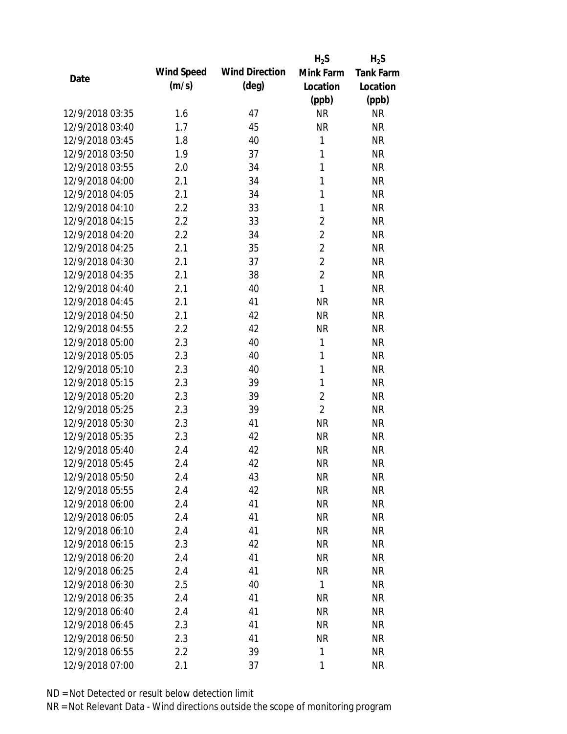|                 |            |                       | $H_2S$         | $H_2S$           |
|-----------------|------------|-----------------------|----------------|------------------|
| Date            | Wind Speed | <b>Wind Direction</b> | Mink Farm      | <b>Tank Farm</b> |
|                 | (m/s)      | $(\text{deg})$        | Location       | Location         |
|                 |            |                       | (ppb)          | (ppb)            |
| 12/9/2018 03:35 | 1.6        | 47                    | <b>NR</b>      | <b>NR</b>        |
| 12/9/2018 03:40 | 1.7        | 45                    | <b>NR</b>      | <b>NR</b>        |
| 12/9/2018 03:45 | 1.8        | 40                    | 1              | <b>NR</b>        |
| 12/9/2018 03:50 | 1.9        | 37                    | 1              | <b>NR</b>        |
| 12/9/2018 03:55 | 2.0        | 34                    | 1              | <b>NR</b>        |
| 12/9/2018 04:00 | 2.1        | 34                    | 1              | <b>NR</b>        |
| 12/9/2018 04:05 | 2.1        | 34                    | 1              | <b>NR</b>        |
| 12/9/2018 04:10 | 2.2        | 33                    | 1              | <b>NR</b>        |
| 12/9/2018 04:15 | 2.2        | 33                    | $\overline{2}$ | <b>NR</b>        |
| 12/9/2018 04:20 | 2.2        | 34                    | $\overline{2}$ | <b>NR</b>        |
| 12/9/2018 04:25 | 2.1        | 35                    | $\overline{2}$ | <b>NR</b>        |
| 12/9/2018 04:30 | 2.1        | 37                    | $\overline{2}$ | <b>NR</b>        |
| 12/9/2018 04:35 | 2.1        | 38                    | $\overline{2}$ | <b>NR</b>        |
| 12/9/2018 04:40 | 2.1        | 40                    | 1              | <b>NR</b>        |
| 12/9/2018 04:45 | 2.1        | 41                    | <b>NR</b>      | <b>NR</b>        |
| 12/9/2018 04:50 | 2.1        | 42                    | <b>NR</b>      | <b>NR</b>        |
| 12/9/2018 04:55 | 2.2        | 42                    | <b>NR</b>      | <b>NR</b>        |
| 12/9/2018 05:00 | 2.3        | 40                    | 1              | <b>NR</b>        |
| 12/9/2018 05:05 | 2.3        | 40                    | 1              | <b>NR</b>        |
| 12/9/2018 05:10 | 2.3        | 40                    | 1              | <b>NR</b>        |
| 12/9/2018 05:15 | 2.3        | 39                    | 1              | <b>NR</b>        |
| 12/9/2018 05:20 | 2.3        | 39                    | $\overline{2}$ | <b>NR</b>        |
| 12/9/2018 05:25 | 2.3        | 39                    | $\overline{2}$ | <b>NR</b>        |
| 12/9/2018 05:30 | 2.3        | 41                    | <b>NR</b>      | <b>NR</b>        |
| 12/9/2018 05:35 | 2.3        | 42                    | <b>NR</b>      | <b>NR</b>        |
| 12/9/2018 05:40 | 2.4        | 42                    | <b>NR</b>      | <b>NR</b>        |
| 12/9/2018 05:45 | 2.4        | 42                    | <b>NR</b>      | <b>NR</b>        |
| 12/9/2018 05:50 | 2.4        | 43                    | <b>NR</b>      | <b>NR</b>        |
| 12/9/2018 05:55 | 2.4        | 42                    | <b>NR</b>      | <b>NR</b>        |
| 12/9/2018 06:00 | 2.4        | 41                    | <b>NR</b>      | <b>NR</b>        |
| 12/9/2018 06:05 | 2.4        | 41                    | <b>NR</b>      | <b>NR</b>        |
| 12/9/2018 06:10 | 2.4        | 41                    | <b>NR</b>      | NR               |
| 12/9/2018 06:15 | 2.3        | 42                    | <b>NR</b>      | <b>NR</b>        |
| 12/9/2018 06:20 | 2.4        | 41                    | <b>NR</b>      | <b>NR</b>        |
| 12/9/2018 06:25 | 2.4        | 41                    | <b>NR</b>      | NR               |
| 12/9/2018 06:30 | 2.5        | 40                    | 1              | <b>NR</b>        |
| 12/9/2018 06:35 | 2.4        | 41                    | <b>NR</b>      | NR               |
| 12/9/2018 06:40 | 2.4        | 41                    | <b>NR</b>      | NR               |
| 12/9/2018 06:45 | 2.3        | 41                    | <b>NR</b>      | NR               |
| 12/9/2018 06:50 | 2.3        | 41                    | <b>NR</b>      | NR               |
| 12/9/2018 06:55 | 2.2        | 39                    | 1              | <b>NR</b>        |
| 12/9/2018 07:00 | 2.1        | 37                    | 1              | <b>NR</b>        |
|                 |            |                       |                |                  |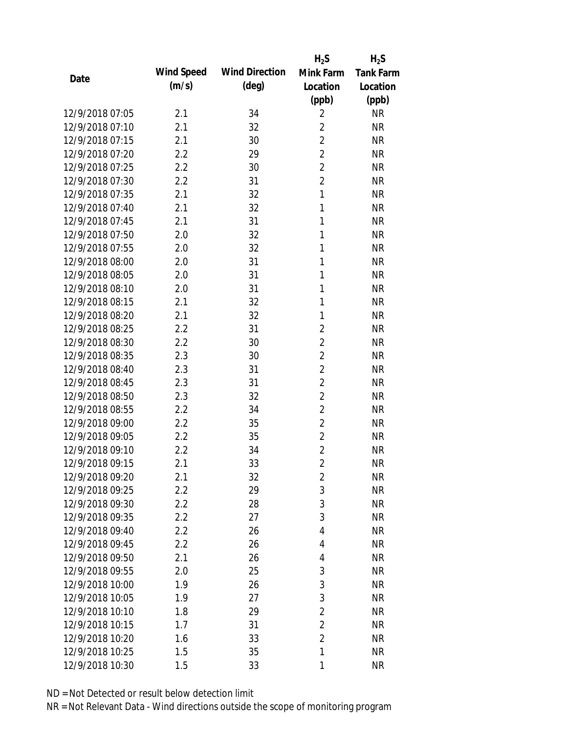|                 |            |                       | $H_2S$         | $H_2S$           |
|-----------------|------------|-----------------------|----------------|------------------|
| Date            | Wind Speed | <b>Wind Direction</b> | Mink Farm      | <b>Tank Farm</b> |
|                 | (m/s)      | (deg)                 | Location       | Location         |
|                 |            |                       | (ppb)          | (ppb)            |
| 12/9/2018 07:05 | 2.1        | 34                    | $\overline{2}$ | <b>NR</b>        |
| 12/9/2018 07:10 | 2.1        | 32                    | $\overline{2}$ | <b>NR</b>        |
| 12/9/2018 07:15 | 2.1        | 30                    | $\overline{2}$ | <b>NR</b>        |
| 12/9/2018 07:20 | 2.2        | 29                    | $\overline{2}$ | <b>NR</b>        |
| 12/9/2018 07:25 | 2.2        | 30                    | $\overline{2}$ | <b>NR</b>        |
| 12/9/2018 07:30 | 2.2        | 31                    | $\overline{2}$ | <b>NR</b>        |
| 12/9/2018 07:35 | 2.1        | 32                    | 1              | <b>NR</b>        |
| 12/9/2018 07:40 | 2.1        | 32                    | 1              | <b>NR</b>        |
| 12/9/2018 07:45 | 2.1        | 31                    | 1              | <b>NR</b>        |
| 12/9/2018 07:50 | 2.0        | 32                    | 1              | <b>NR</b>        |
| 12/9/2018 07:55 | 2.0        | 32                    | 1              | <b>NR</b>        |
| 12/9/2018 08:00 | 2.0        | 31                    | 1              | <b>NR</b>        |
| 12/9/2018 08:05 | 2.0        | 31                    | 1              | <b>NR</b>        |
| 12/9/2018 08:10 | 2.0        | 31                    | 1              | <b>NR</b>        |
| 12/9/2018 08:15 | 2.1        | 32                    | 1              | <b>NR</b>        |
| 12/9/2018 08:20 | 2.1        | 32                    | 1              | <b>NR</b>        |
| 12/9/2018 08:25 | 2.2        | 31                    | 2              | <b>NR</b>        |
| 12/9/2018 08:30 | 2.2        | 30                    | $\overline{2}$ | <b>NR</b>        |
| 12/9/2018 08:35 | 2.3        | 30                    | $\overline{2}$ | <b>NR</b>        |
| 12/9/2018 08:40 | 2.3        | 31                    | $\overline{2}$ | <b>NR</b>        |
| 12/9/2018 08:45 | 2.3        | 31                    | $\overline{2}$ | <b>NR</b>        |
| 12/9/2018 08:50 | 2.3        | 32                    | $\overline{2}$ | <b>NR</b>        |
| 12/9/2018 08:55 | 2.2        | 34                    | $\overline{2}$ | <b>NR</b>        |
| 12/9/2018 09:00 | 2.2        | 35                    | $\overline{2}$ | <b>NR</b>        |
| 12/9/2018 09:05 | 2.2        | 35                    | $\overline{2}$ | <b>NR</b>        |
| 12/9/2018 09:10 | 2.2        | 34                    | $\overline{2}$ | <b>NR</b>        |
| 12/9/2018 09:15 | 2.1        | 33                    | $\overline{2}$ | <b>NR</b>        |
| 12/9/2018 09:20 | 2.1        | 32                    | $\overline{2}$ | <b>NR</b>        |
| 12/9/2018 09:25 | 2.2        | 29                    | 3              | <b>NR</b>        |
| 12/9/2018 09:30 | 2.2        | 28                    | 3              | <b>NR</b>        |
| 12/9/2018 09:35 | 2.2        | 27                    | 3              | <b>NR</b>        |
| 12/9/2018 09:40 | 2.2        | 26                    | 4              | NR               |
| 12/9/2018 09:45 | 2.2        | 26                    | 4              | NR               |
| 12/9/2018 09:50 | 2.1        | 26                    | 4              | <b>NR</b>        |
| 12/9/2018 09:55 | 2.0        | 25                    | 3              | <b>NR</b>        |
| 12/9/2018 10:00 | 1.9        | 26                    | 3              | <b>NR</b>        |
| 12/9/2018 10:05 | 1.9        | 27                    | 3              | <b>NR</b>        |
| 12/9/2018 10:10 | 1.8        | 29                    | $\overline{2}$ | <b>NR</b>        |
| 12/9/2018 10:15 | 1.7        | 31                    | $\overline{2}$ | <b>NR</b>        |
| 12/9/2018 10:20 | 1.6        | 33                    | $\overline{2}$ | <b>NR</b>        |
| 12/9/2018 10:25 | 1.5        | 35                    | 1              | <b>NR</b>        |
| 12/9/2018 10:30 | 1.5        | 33                    | 1              | <b>NR</b>        |
|                 |            |                       |                |                  |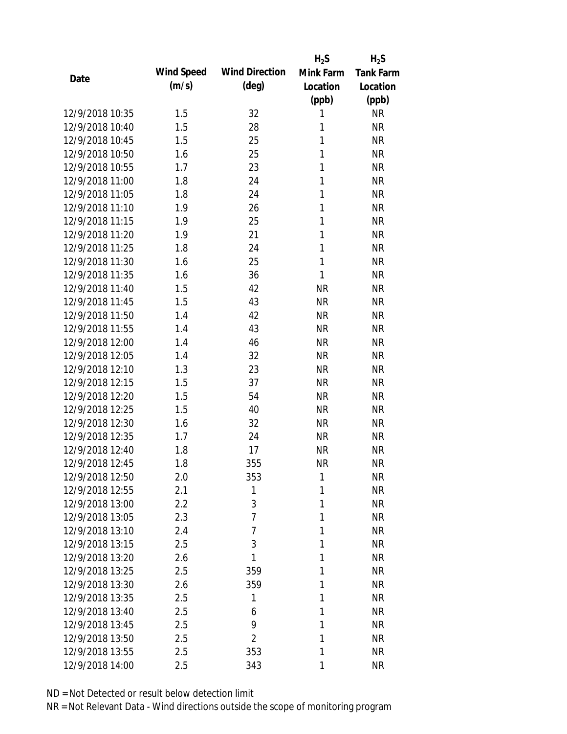|                 |            |                       | $H_2S$       | $H_2S$           |
|-----------------|------------|-----------------------|--------------|------------------|
| Date            | Wind Speed | <b>Wind Direction</b> | Mink Farm    | <b>Tank Farm</b> |
|                 | (m/s)      | $(\text{deg})$        | Location     | Location         |
|                 |            |                       | (ppb)        | (ppb)            |
| 12/9/2018 10:35 | 1.5        | 32                    | 1            | <b>NR</b>        |
| 12/9/2018 10:40 | 1.5        | 28                    | 1            | <b>NR</b>        |
| 12/9/2018 10:45 | 1.5        | 25                    | 1            | <b>NR</b>        |
| 12/9/2018 10:50 | 1.6        | 25                    | 1            | <b>NR</b>        |
| 12/9/2018 10:55 | 1.7        | 23                    | $\mathbf{1}$ | <b>NR</b>        |
| 12/9/2018 11:00 | 1.8        | 24                    | 1            | <b>NR</b>        |
| 12/9/2018 11:05 | 1.8        | 24                    | 1            | <b>NR</b>        |
| 12/9/2018 11:10 | 1.9        | 26                    | $\mathbf{1}$ | <b>NR</b>        |
| 12/9/2018 11:15 | 1.9        | 25                    | 1            | <b>NR</b>        |
| 12/9/2018 11:20 | 1.9        | 21                    | 1            | <b>NR</b>        |
| 12/9/2018 11:25 | 1.8        | 24                    | 1            | <b>NR</b>        |
| 12/9/2018 11:30 | 1.6        | 25                    | 1            | <b>NR</b>        |
| 12/9/2018 11:35 | 1.6        | 36                    | 1            | <b>NR</b>        |
| 12/9/2018 11:40 | 1.5        | 42                    | <b>NR</b>    | <b>NR</b>        |
| 12/9/2018 11:45 | 1.5        | 43                    | <b>NR</b>    | <b>NR</b>        |
| 12/9/2018 11:50 | 1.4        | 42                    | <b>NR</b>    | <b>NR</b>        |
| 12/9/2018 11:55 | 1.4        | 43                    | <b>NR</b>    | <b>NR</b>        |
| 12/9/2018 12:00 | 1.4        | 46                    | <b>NR</b>    | <b>NR</b>        |
| 12/9/2018 12:05 | 1.4        | 32                    | <b>NR</b>    | <b>NR</b>        |
| 12/9/2018 12:10 | 1.3        | 23                    | <b>NR</b>    | <b>NR</b>        |
| 12/9/2018 12:15 | 1.5        | 37                    | <b>NR</b>    | <b>NR</b>        |
| 12/9/2018 12:20 | 1.5        | 54                    | <b>NR</b>    | <b>NR</b>        |
| 12/9/2018 12:25 | 1.5        | 40                    | <b>NR</b>    | <b>NR</b>        |
| 12/9/2018 12:30 | 1.6        | 32                    | <b>NR</b>    | <b>NR</b>        |
| 12/9/2018 12:35 | 1.7        | 24                    | <b>NR</b>    | <b>NR</b>        |
| 12/9/2018 12:40 | 1.8        | 17                    | <b>NR</b>    | <b>NR</b>        |
| 12/9/2018 12:45 | 1.8        | 355                   | <b>NR</b>    | <b>NR</b>        |
| 12/9/2018 12:50 | 2.0        | 353                   | 1            | <b>NR</b>        |
| 12/9/2018 12:55 | 2.1        | 1                     | 1            | <b>NR</b>        |
| 12/9/2018 13:00 | 2.2        | 3                     | 1            | <b>NR</b>        |
| 12/9/2018 13:05 | 2.3        | $\overline{7}$        | 1            | <b>NR</b>        |
| 12/9/2018 13:10 | 2.4        | 7                     | 1            | <b>NR</b>        |
| 12/9/2018 13:15 | 2.5        | 3                     | 1            | <b>NR</b>        |
| 12/9/2018 13:20 | 2.6        | 1                     | 1            | <b>NR</b>        |
| 12/9/2018 13:25 | 2.5        | 359                   | 1            | <b>NR</b>        |
| 12/9/2018 13:30 | 2.6        | 359                   | 1            | <b>NR</b>        |
| 12/9/2018 13:35 | 2.5        | 1                     | 1            | <b>NR</b>        |
| 12/9/2018 13:40 | 2.5        | 6                     | 1            | <b>NR</b>        |
| 12/9/2018 13:45 | 2.5        | 9                     | 1            | <b>NR</b>        |
| 12/9/2018 13:50 | 2.5        | $\overline{2}$        | 1            | <b>NR</b>        |
| 12/9/2018 13:55 | 2.5        | 353                   | 1            | <b>NR</b>        |
| 12/9/2018 14:00 | 2.5        | 343                   | 1            | <b>NR</b>        |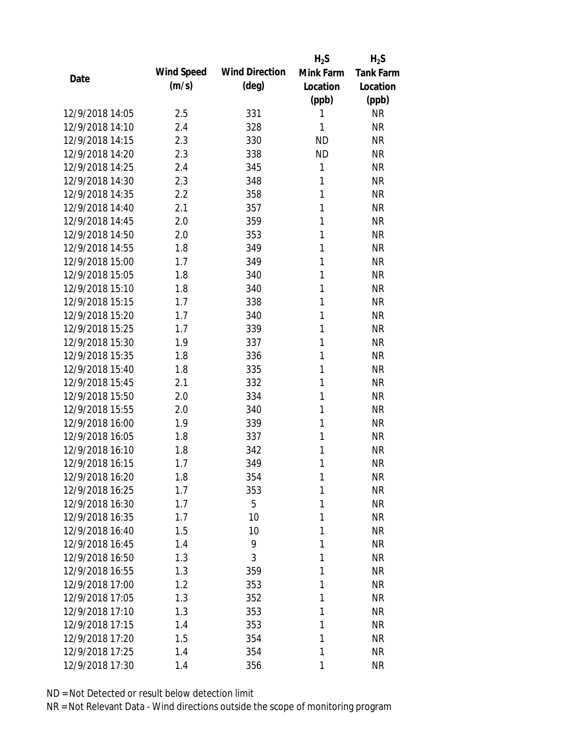|                 |            |                       | $H_2S$    | $H_2S$           |
|-----------------|------------|-----------------------|-----------|------------------|
| Date            | Wind Speed | <b>Wind Direction</b> | Mink Farm | <b>Tank Farm</b> |
|                 | (m/s)      | $(\text{deg})$        | Location  | Location         |
|                 |            |                       | (ppb)     | (ppb)            |
| 12/9/2018 14:05 | 2.5        | 331                   | 1         | <b>NR</b>        |
| 12/9/2018 14:10 | 2.4        | 328                   | 1         | <b>NR</b>        |
| 12/9/2018 14:15 | 2.3        | 330                   | <b>ND</b> | <b>NR</b>        |
| 12/9/2018 14:20 | 2.3        | 338                   | <b>ND</b> | <b>NR</b>        |
| 12/9/2018 14:25 | 2.4        | 345                   | 1         | <b>NR</b>        |
| 12/9/2018 14:30 | 2.3        | 348                   | 1         | <b>NR</b>        |
| 12/9/2018 14:35 | 2.2        | 358                   | 1         | <b>NR</b>        |
| 12/9/2018 14:40 | 2.1        | 357                   | 1         | <b>NR</b>        |
| 12/9/2018 14:45 | 2.0        | 359                   | 1         | <b>NR</b>        |
| 12/9/2018 14:50 | 2.0        | 353                   | 1         | <b>NR</b>        |
| 12/9/2018 14:55 | 1.8        | 349                   | 1         | <b>NR</b>        |
| 12/9/2018 15:00 | 1.7        | 349                   | 1         | <b>NR</b>        |
| 12/9/2018 15:05 | 1.8        | 340                   | 1         | <b>NR</b>        |
| 12/9/2018 15:10 | 1.8        | 340                   | 1         | <b>NR</b>        |
| 12/9/2018 15:15 | 1.7        | 338                   | 1         | <b>NR</b>        |
| 12/9/2018 15:20 | 1.7        | 340                   | 1         | <b>NR</b>        |
| 12/9/2018 15:25 | 1.7        | 339                   | 1         | <b>NR</b>        |
| 12/9/2018 15:30 | 1.9        | 337                   | 1         | <b>NR</b>        |
| 12/9/2018 15:35 | 1.8        | 336                   | 1         | <b>NR</b>        |
| 12/9/2018 15:40 | 1.8        | 335                   | 1         | <b>NR</b>        |
| 12/9/2018 15:45 | 2.1        | 332                   | 1         | <b>NR</b>        |
| 12/9/2018 15:50 | 2.0        | 334                   | 1         | <b>NR</b>        |
| 12/9/2018 15:55 | 2.0        | 340                   | 1         | <b>NR</b>        |
| 12/9/2018 16:00 | 1.9        | 339                   | 1         | <b>NR</b>        |
| 12/9/2018 16:05 | 1.8        | 337                   | 1         | <b>NR</b>        |
| 12/9/2018 16:10 | 1.8        | 342                   | 1         | <b>NR</b>        |
| 12/9/2018 16:15 | 1.7        | 349                   | 1         | <b>NR</b>        |
| 12/9/2018 16:20 | 1.8        | 354                   | 1         | <b>NR</b>        |
| 12/9/2018 16:25 | 1.7        | 353                   | 1         | <b>NR</b>        |
| 12/9/2018 16:30 | 1.7        | 5                     | 1         | <b>NR</b>        |
| 12/9/2018 16:35 | 1.7        | 10                    | 1         | <b>NR</b>        |
| 12/9/2018 16:40 | 1.5        | 10                    | 1         | <b>NR</b>        |
| 12/9/2018 16:45 | 1.4        | 9                     | 1         | <b>NR</b>        |
| 12/9/2018 16:50 | 1.3        | 3                     | 1         | <b>NR</b>        |
| 12/9/2018 16:55 | 1.3        | 359                   | 1         | <b>NR</b>        |
| 12/9/2018 17:00 | 1.2        | 353                   | 1         | <b>NR</b>        |
| 12/9/2018 17:05 | 1.3        | 352                   | 1         | <b>NR</b>        |
| 12/9/2018 17:10 | 1.3        | 353                   | 1         | <b>NR</b>        |
| 12/9/2018 17:15 | 1.4        | 353                   | 1         | <b>NR</b>        |
| 12/9/2018 17:20 | 1.5        | 354                   | 1         | <b>NR</b>        |
| 12/9/2018 17:25 | 1.4        | 354                   | 1         | <b>NR</b>        |
| 12/9/2018 17:30 | 1.4        | 356                   | 1         | <b>NR</b>        |
|                 |            |                       |           |                  |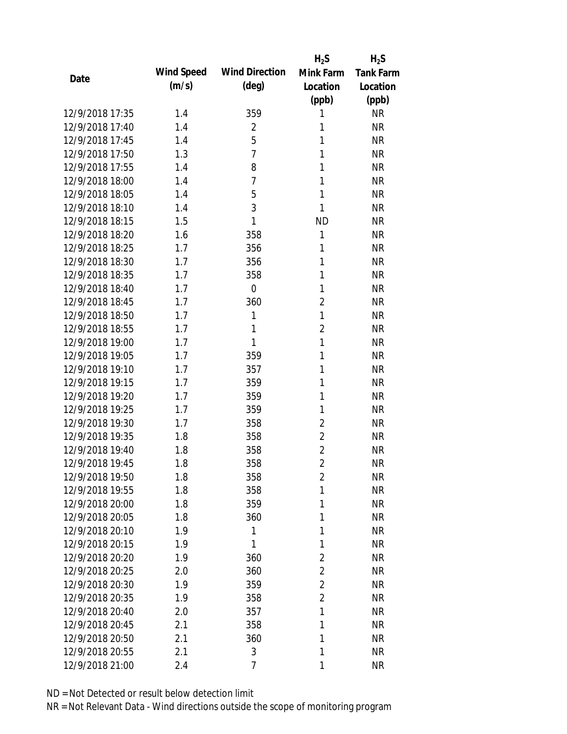|                 |            |                       | $H_2S$         | $H_2S$           |
|-----------------|------------|-----------------------|----------------|------------------|
| Date            | Wind Speed | <b>Wind Direction</b> | Mink Farm      | <b>Tank Farm</b> |
|                 | (m/s)      | $(\text{deg})$        | Location       | Location         |
|                 |            |                       | (ppb)          | (ppb)            |
| 12/9/2018 17:35 | 1.4        | 359                   | 1              | <b>NR</b>        |
| 12/9/2018 17:40 | 1.4        | $\overline{2}$        | 1              | <b>NR</b>        |
| 12/9/2018 17:45 | 1.4        | 5                     | 1              | <b>NR</b>        |
| 12/9/2018 17:50 | 1.3        | $\overline{7}$        | 1              | <b>NR</b>        |
| 12/9/2018 17:55 | 1.4        | 8                     | 1              | <b>NR</b>        |
| 12/9/2018 18:00 | 1.4        | $\overline{7}$        | 1              | <b>NR</b>        |
| 12/9/2018 18:05 | 1.4        | 5                     | 1              | <b>NR</b>        |
| 12/9/2018 18:10 | 1.4        | 3                     | 1              | <b>NR</b>        |
| 12/9/2018 18:15 | 1.5        | 1                     | <b>ND</b>      | <b>NR</b>        |
| 12/9/2018 18:20 | 1.6        | 358                   | $\mathbf{1}$   | <b>NR</b>        |
| 12/9/2018 18:25 | 1.7        | 356                   | 1              | <b>NR</b>        |
| 12/9/2018 18:30 | 1.7        | 356                   | 1              | <b>NR</b>        |
| 12/9/2018 18:35 | 1.7        | 358                   | 1              | <b>NR</b>        |
| 12/9/2018 18:40 | 1.7        | $\mathbf 0$           | 1              | <b>NR</b>        |
| 12/9/2018 18:45 | 1.7        | 360                   | $\overline{2}$ | <b>NR</b>        |
| 12/9/2018 18:50 | 1.7        | 1                     | 1              | <b>NR</b>        |
| 12/9/2018 18:55 | 1.7        | 1                     | $\overline{2}$ | <b>NR</b>        |
| 12/9/2018 19:00 | 1.7        | 1                     | 1              | <b>NR</b>        |
| 12/9/2018 19:05 | 1.7        | 359                   | $\mathbf{1}$   | <b>NR</b>        |
| 12/9/2018 19:10 | 1.7        | 357                   | 1              | <b>NR</b>        |
| 12/9/2018 19:15 | 1.7        | 359                   | 1              | <b>NR</b>        |
| 12/9/2018 19:20 | 1.7        | 359                   | 1              | <b>NR</b>        |
| 12/9/2018 19:25 | 1.7        | 359                   | $\mathbf{1}$   | <b>NR</b>        |
| 12/9/2018 19:30 | 1.7        | 358                   | $\overline{2}$ | <b>NR</b>        |
| 12/9/2018 19:35 | 1.8        | 358                   | $\overline{2}$ | <b>NR</b>        |
| 12/9/2018 19:40 | 1.8        | 358                   | $\overline{2}$ | <b>NR</b>        |
| 12/9/2018 19:45 | 1.8        | 358                   | $\overline{2}$ | <b>NR</b>        |
| 12/9/2018 19:50 | 1.8        | 358                   | $\overline{2}$ | <b>NR</b>        |
| 12/9/2018 19:55 | 1.8        | 358                   | 1              | <b>NR</b>        |
| 12/9/2018 20:00 | 1.8        | 359                   | 1              | <b>NR</b>        |
| 12/9/2018 20:05 | 1.8        | 360                   | 1              | <b>NR</b>        |
| 12/9/2018 20:10 | 1.9        | 1                     | 1              | <b>NR</b>        |
| 12/9/2018 20:15 | 1.9        | 1                     | 1              | <b>NR</b>        |
| 12/9/2018 20:20 | 1.9        | 360                   | $\overline{2}$ | <b>NR</b>        |
| 12/9/2018 20:25 | 2.0        | 360                   | $\overline{2}$ | <b>NR</b>        |
| 12/9/2018 20:30 | 1.9        | 359                   | $\overline{2}$ | <b>NR</b>        |
| 12/9/2018 20:35 | 1.9        | 358                   | $\overline{2}$ | <b>NR</b>        |
| 12/9/2018 20:40 | 2.0        | 357                   | 1              | <b>NR</b>        |
| 12/9/2018 20:45 | 2.1        | 358                   | 1              | <b>NR</b>        |
| 12/9/2018 20:50 | 2.1        | 360                   | 1              | <b>NR</b>        |
| 12/9/2018 20:55 | 2.1        | 3                     | 1              | <b>NR</b>        |
| 12/9/2018 21:00 | 2.4        | 7                     | 1              | <b>NR</b>        |
|                 |            |                       |                |                  |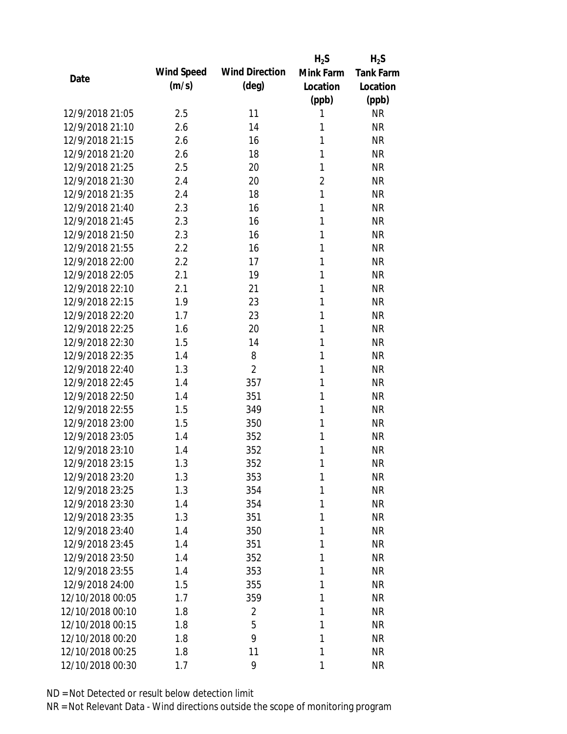|                  |            |                       | $H_2S$         | $H_2S$           |
|------------------|------------|-----------------------|----------------|------------------|
| Date             | Wind Speed | <b>Wind Direction</b> | Mink Farm      | <b>Tank Farm</b> |
|                  | (m/s)      | $(\text{deg})$        | Location       | Location         |
|                  |            |                       | (ppb)          | (ppb)            |
| 12/9/2018 21:05  | 2.5        | 11                    | 1              | <b>NR</b>        |
| 12/9/2018 21:10  | 2.6        | 14                    | 1              | <b>NR</b>        |
| 12/9/2018 21:15  | 2.6        | 16                    | 1              | <b>NR</b>        |
| 12/9/2018 21:20  | 2.6        | 18                    | 1              | <b>NR</b>        |
| 12/9/2018 21:25  | 2.5        | 20                    | 1              | <b>NR</b>        |
| 12/9/2018 21:30  | 2.4        | 20                    | $\overline{2}$ | <b>NR</b>        |
| 12/9/2018 21:35  | 2.4        | 18                    | 1              | <b>NR</b>        |
| 12/9/2018 21:40  | 2.3        | 16                    | 1              | <b>NR</b>        |
| 12/9/2018 21:45  | 2.3        | 16                    | 1              | <b>NR</b>        |
| 12/9/2018 21:50  | 2.3        | 16                    | 1              | <b>NR</b>        |
| 12/9/2018 21:55  | 2.2        | 16                    | 1              | <b>NR</b>        |
| 12/9/2018 22:00  | 2.2        | 17                    | 1              | <b>NR</b>        |
| 12/9/2018 22:05  | 2.1        | 19                    | 1              | <b>NR</b>        |
| 12/9/2018 22:10  | 2.1        | 21                    | 1              | <b>NR</b>        |
| 12/9/2018 22:15  | 1.9        | 23                    | 1              | <b>NR</b>        |
| 12/9/2018 22:20  | 1.7        | 23                    | 1              | <b>NR</b>        |
| 12/9/2018 22:25  | 1.6        | 20                    | 1              | <b>NR</b>        |
| 12/9/2018 22:30  | 1.5        | 14                    | 1              | <b>NR</b>        |
| 12/9/2018 22:35  | 1.4        | 8                     | 1              | <b>NR</b>        |
| 12/9/2018 22:40  | 1.3        | $\overline{2}$        | 1              | <b>NR</b>        |
| 12/9/2018 22:45  | 1.4        | 357                   | 1              | <b>NR</b>        |
| 12/9/2018 22:50  | 1.4        | 351                   | 1              | <b>NR</b>        |
| 12/9/2018 22:55  | 1.5        | 349                   | 1              | <b>NR</b>        |
| 12/9/2018 23:00  | 1.5        | 350                   | 1              | <b>NR</b>        |
| 12/9/2018 23:05  | 1.4        | 352                   | 1              | <b>NR</b>        |
| 12/9/2018 23:10  | 1.4        | 352                   | 1              | <b>NR</b>        |
| 12/9/2018 23:15  | 1.3        | 352                   | 1              | <b>NR</b>        |
| 12/9/2018 23:20  | 1.3        | 353                   | 1              | <b>NR</b>        |
| 12/9/2018 23:25  | 1.3        | 354                   | 1              | <b>NR</b>        |
| 12/9/2018 23:30  | 1.4        | 354                   | 1              | <b>NR</b>        |
| 12/9/2018 23:35  | 1.3        | 351                   | 1              | <b>NR</b>        |
| 12/9/2018 23:40  | 1.4        | 350                   | 1              | <b>NR</b>        |
| 12/9/2018 23:45  | 1.4        | 351                   | 1              | <b>NR</b>        |
| 12/9/2018 23:50  | 1.4        | 352                   | 1              | <b>NR</b>        |
| 12/9/2018 23:55  | 1.4        | 353                   | 1              | <b>NR</b>        |
| 12/9/2018 24:00  | 1.5        | 355                   | 1              | <b>NR</b>        |
| 12/10/2018 00:05 | 1.7        | 359                   | 1              | <b>NR</b>        |
| 12/10/2018 00:10 | 1.8        | 2                     | 1              | <b>NR</b>        |
| 12/10/2018 00:15 | 1.8        | 5                     | 1              | <b>NR</b>        |
| 12/10/2018 00:20 | 1.8        | 9                     | 1              | <b>NR</b>        |
| 12/10/2018 00:25 | 1.8        | 11                    | 1              | <b>NR</b>        |
| 12/10/2018 00:30 | 1.7        | 9                     | 1              | <b>NR</b>        |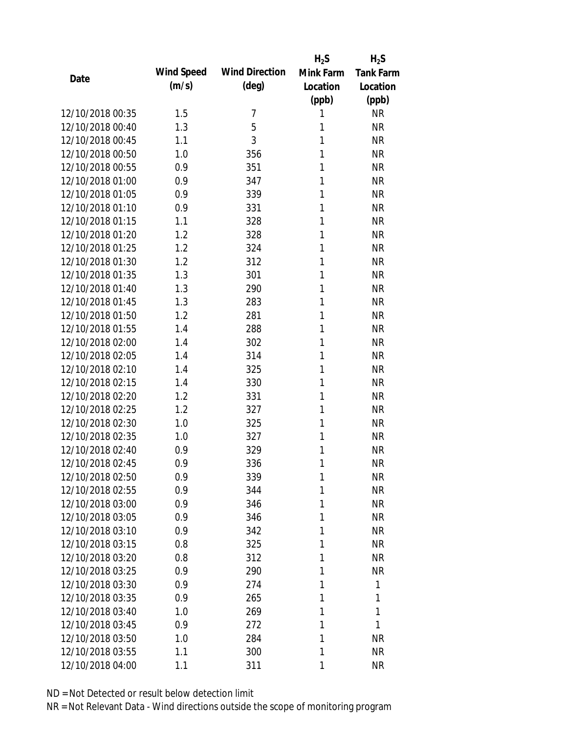|                  |            |                       | $H_2S$       | $H_2S$           |
|------------------|------------|-----------------------|--------------|------------------|
| Date             | Wind Speed | <b>Wind Direction</b> | Mink Farm    | <b>Tank Farm</b> |
|                  | (m/s)      | (deg)                 | Location     | Location         |
|                  |            |                       | (ppb)        | (ppb)            |
| 12/10/2018 00:35 | 1.5        | 7                     | 1            | <b>NR</b>        |
| 12/10/2018 00:40 | 1.3        | 5                     | 1            | <b>NR</b>        |
| 12/10/2018 00:45 | 1.1        | 3                     | 1            | <b>NR</b>        |
| 12/10/2018 00:50 | 1.0        | 356                   | 1            | <b>NR</b>        |
| 12/10/2018 00:55 | 0.9        | 351                   | 1            | <b>NR</b>        |
| 12/10/2018 01:00 | 0.9        | 347                   | 1            | <b>NR</b>        |
| 12/10/2018 01:05 | 0.9        | 339                   | 1            | <b>NR</b>        |
| 12/10/2018 01:10 | 0.9        | 331                   | 1            | <b>NR</b>        |
| 12/10/2018 01:15 | 1.1        | 328                   | 1            | <b>NR</b>        |
| 12/10/2018 01:20 | 1.2        | 328                   | 1            | <b>NR</b>        |
| 12/10/2018 01:25 | 1.2        | 324                   | 1            | <b>NR</b>        |
| 12/10/2018 01:30 | 1.2        | 312                   | 1            | <b>NR</b>        |
| 12/10/2018 01:35 | 1.3        | 301                   | 1            | <b>NR</b>        |
| 12/10/2018 01:40 | 1.3        | 290                   | 1            | <b>NR</b>        |
| 12/10/2018 01:45 | 1.3        | 283                   | 1            | <b>NR</b>        |
| 12/10/2018 01:50 | 1.2        | 281                   | 1            | <b>NR</b>        |
| 12/10/2018 01:55 | 1.4        | 288                   | 1            | <b>NR</b>        |
| 12/10/2018 02:00 | 1.4        | 302                   | 1            | <b>NR</b>        |
| 12/10/2018 02:05 | 1.4        | 314                   | $\mathbf{1}$ | <b>NR</b>        |
| 12/10/2018 02:10 | 1.4        | 325                   | 1            | <b>NR</b>        |
| 12/10/2018 02:15 | 1.4        | 330                   | 1            | <b>NR</b>        |
| 12/10/2018 02:20 | 1.2        | 331                   | 1            | <b>NR</b>        |
| 12/10/2018 02:25 | 1.2        | 327                   | 1            | <b>NR</b>        |
| 12/10/2018 02:30 | 1.0        | 325                   | 1            | <b>NR</b>        |
| 12/10/2018 02:35 | 1.0        | 327                   | 1            | <b>NR</b>        |
| 12/10/2018 02:40 | 0.9        | 329                   | 1            | <b>NR</b>        |
| 12/10/2018 02:45 | 0.9        | 336                   | 1            | <b>NR</b>        |
| 12/10/2018 02:50 | 0.9        | 339                   | 1            | <b>NR</b>        |
| 12/10/2018 02:55 | 0.9        | 344                   | 1            | <b>NR</b>        |
| 12/10/2018 03:00 | 0.9        | 346                   | 1            | <b>NR</b>        |
| 12/10/2018 03:05 | 0.9        | 346                   | 1            | <b>NR</b>        |
| 12/10/2018 03:10 | 0.9        | 342                   | 1            | <b>NR</b>        |
| 12/10/2018 03:15 | 0.8        | 325                   | 1            | <b>NR</b>        |
| 12/10/2018 03:20 | 0.8        | 312                   | 1            | <b>NR</b>        |
| 12/10/2018 03:25 | 0.9        | 290                   | 1            | <b>NR</b>        |
| 12/10/2018 03:30 | 0.9        | 274                   | 1            | 1                |
| 12/10/2018 03:35 | 0.9        | 265                   | 1            | 1                |
| 12/10/2018 03:40 | 1.0        | 269                   | 1            | 1                |
| 12/10/2018 03:45 | 0.9        | 272                   | 1            | 1                |
| 12/10/2018 03:50 | 1.0        | 284                   | 1            | <b>NR</b>        |
| 12/10/2018 03:55 | 1.1        | 300                   | 1            | <b>NR</b>        |
| 12/10/2018 04:00 | 1.1        | 311                   | 1            | <b>NR</b>        |
|                  |            |                       |              |                  |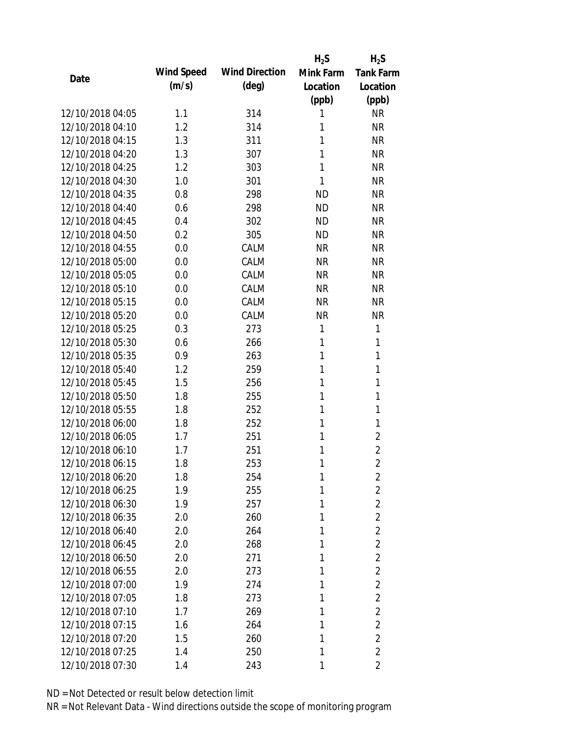|                  |            |                       | $H_2S$    | $H_2S$           |
|------------------|------------|-----------------------|-----------|------------------|
|                  | Wind Speed | <b>Wind Direction</b> | Mink Farm | <b>Tank Farm</b> |
| Date             | (m/s)      | $(\text{deg})$        | Location  | Location         |
|                  |            |                       | (ppb)     | (ppb)            |
| 12/10/2018 04:05 | 1.1        | 314                   | 1         | <b>NR</b>        |
| 12/10/2018 04:10 | 1.2        | 314                   | 1         | <b>NR</b>        |
| 12/10/2018 04:15 | 1.3        | 311                   | 1         | <b>NR</b>        |
| 12/10/2018 04:20 | 1.3        | 307                   | 1         | <b>NR</b>        |
| 12/10/2018 04:25 | 1.2        | 303                   | 1         | <b>NR</b>        |
| 12/10/2018 04:30 | 1.0        | 301                   | 1         | <b>NR</b>        |
| 12/10/2018 04:35 | 0.8        | 298                   | <b>ND</b> | <b>NR</b>        |
| 12/10/2018 04:40 | 0.6        | 298                   | <b>ND</b> | <b>NR</b>        |
| 12/10/2018 04:45 | 0.4        | 302                   | <b>ND</b> | <b>NR</b>        |
| 12/10/2018 04:50 | 0.2        | 305                   | <b>ND</b> | <b>NR</b>        |
| 12/10/2018 04:55 | 0.0        | CALM                  | <b>NR</b> | <b>NR</b>        |
| 12/10/2018 05:00 | 0.0        | CALM                  | <b>NR</b> | <b>NR</b>        |
| 12/10/2018 05:05 | 0.0        | CALM                  | <b>NR</b> | <b>NR</b>        |
| 12/10/2018 05:10 | 0.0        | CALM                  | <b>NR</b> | <b>NR</b>        |
| 12/10/2018 05:15 | 0.0        | CALM                  | <b>NR</b> | <b>NR</b>        |
| 12/10/2018 05:20 | 0.0        | CALM                  | <b>NR</b> | <b>NR</b>        |
| 12/10/2018 05:25 | 0.3        | 273                   | 1         | 1                |
| 12/10/2018 05:30 | 0.6        | 266                   | 1         | 1                |
| 12/10/2018 05:35 | 0.9        | 263                   | 1         | 1                |
| 12/10/2018 05:40 | 1.2        | 259                   | 1         | 1                |
| 12/10/2018 05:45 | 1.5        | 256                   | 1         | 1                |
| 12/10/2018 05:50 | 1.8        | 255                   | 1         | 1                |
| 12/10/2018 05:55 | 1.8        | 252                   | 1         | 1                |
| 12/10/2018 06:00 | 1.8        | 252                   | 1         | 1                |
| 12/10/2018 06:05 | 1.7        | 251                   | 1         | $\overline{2}$   |
| 12/10/2018 06:10 | 1.7        | 251                   | 1         | $\overline{2}$   |
| 12/10/2018 06:15 | 1.8        | 253                   | 1         | $\overline{2}$   |
| 12/10/2018 06:20 | 1.8        | 254                   | 1         | 2                |
| 12/10/2018 06:25 | 1.9        | 255                   | 1         | $\overline{2}$   |
| 12/10/2018 06:30 | 1.9        | 257                   | 1         | $\overline{2}$   |
| 12/10/2018 06:35 | 2.0        | 260                   | 1         | $\overline{2}$   |
| 12/10/2018 06:40 | 2.0        | 264                   | 1         | $\overline{2}$   |
| 12/10/2018 06:45 | 2.0        | 268                   | 1         | $\overline{2}$   |
| 12/10/2018 06:50 | 2.0        | 271                   | 1         | $\overline{2}$   |
| 12/10/2018 06:55 | 2.0        | 273                   | 1         | $\overline{2}$   |
| 12/10/2018 07:00 | 1.9        | 274                   | 1         | $\overline{2}$   |
| 12/10/2018 07:05 | 1.8        | 273                   | 1         | $\overline{2}$   |
| 12/10/2018 07:10 | 1.7        | 269                   | 1         | $\overline{2}$   |
| 12/10/2018 07:15 | 1.6        | 264                   | 1         | $\overline{2}$   |
| 12/10/2018 07:20 | 1.5        | 260                   | 1         | $\overline{2}$   |
| 12/10/2018 07:25 | 1.4        | 250                   | 1         | $\overline{2}$   |
|                  |            |                       |           |                  |
| 12/10/2018 07:30 | 1.4        | 243                   | 1         | $\overline{2}$   |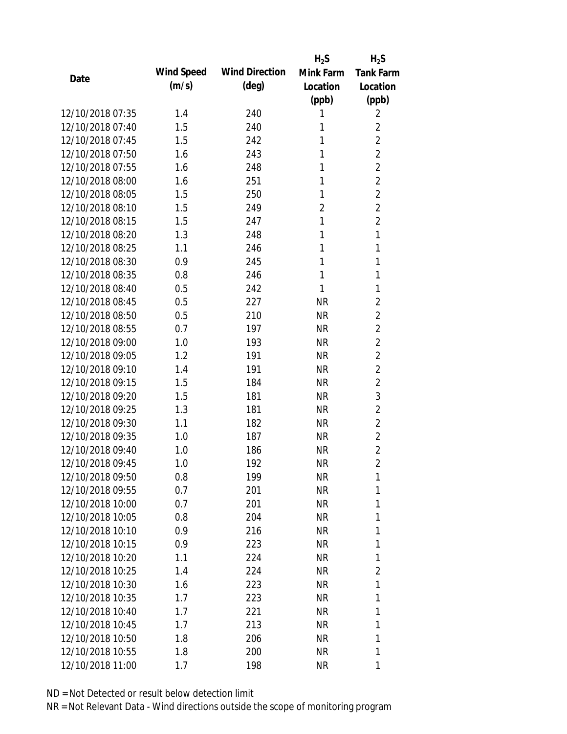|                  |            |                       | $H_2S$         | $H_2S$           |
|------------------|------------|-----------------------|----------------|------------------|
| Date             | Wind Speed | <b>Wind Direction</b> | Mink Farm      | <b>Tank Farm</b> |
|                  | (m/s)      | $(\text{deg})$        | Location       | Location         |
|                  |            |                       | (ppb)          | (ppb)            |
| 12/10/2018 07:35 | 1.4        | 240                   | 1              | 2                |
| 12/10/2018 07:40 | 1.5        | 240                   | 1              | $\overline{2}$   |
| 12/10/2018 07:45 | 1.5        | 242                   | 1              | $\overline{2}$   |
| 12/10/2018 07:50 | 1.6        | 243                   | 1              | $\overline{2}$   |
| 12/10/2018 07:55 | 1.6        | 248                   | 1              | $\overline{2}$   |
| 12/10/2018 08:00 | 1.6        | 251                   | 1              | $\overline{2}$   |
| 12/10/2018 08:05 | 1.5        | 250                   | 1              | $\overline{2}$   |
| 12/10/2018 08:10 | 1.5        | 249                   | $\overline{2}$ | $\overline{2}$   |
| 12/10/2018 08:15 | 1.5        | 247                   | 1              | $\overline{2}$   |
| 12/10/2018 08:20 | 1.3        | 248                   | 1              | $\mathbf{1}$     |
| 12/10/2018 08:25 | 1.1        | 246                   | 1              | 1                |
| 12/10/2018 08:30 | 0.9        | 245                   | 1              | 1                |
| 12/10/2018 08:35 | 0.8        | 246                   | 1              | 1                |
| 12/10/2018 08:40 | 0.5        | 242                   | 1              | 1                |
| 12/10/2018 08:45 | 0.5        | 227                   | <b>NR</b>      | $\overline{2}$   |
| 12/10/2018 08:50 | 0.5        | 210                   | <b>NR</b>      | $\overline{2}$   |
| 12/10/2018 08:55 | 0.7        | 197                   | <b>NR</b>      | $\overline{2}$   |
| 12/10/2018 09:00 | 1.0        | 193                   | <b>NR</b>      | $\overline{2}$   |
| 12/10/2018 09:05 | 1.2        | 191                   | <b>NR</b>      | $\overline{2}$   |
| 12/10/2018 09:10 | 1.4        | 191                   | <b>NR</b>      | $\overline{2}$   |
| 12/10/2018 09:15 | 1.5        | 184                   | <b>NR</b>      | $\overline{2}$   |
| 12/10/2018 09:20 | 1.5        | 181                   | <b>NR</b>      | 3                |
| 12/10/2018 09:25 | 1.3        | 181                   | <b>NR</b>      | $\overline{2}$   |
| 12/10/2018 09:30 | 1.1        | 182                   | <b>NR</b>      | $\overline{2}$   |
| 12/10/2018 09:35 | 1.0        | 187                   | <b>NR</b>      | $\overline{2}$   |
| 12/10/2018 09:40 | 1.0        | 186                   | <b>NR</b>      | $\overline{2}$   |
| 12/10/2018 09:45 | 1.0        | 192                   | <b>NR</b>      | $\overline{2}$   |
| 12/10/2018 09:50 | 0.8        | 199                   | <b>NR</b>      | 1                |
| 12/10/2018 09:55 | 0.7        | 201                   | <b>NR</b>      | 1                |
| 12/10/2018 10:00 | 0.7        | 201                   | NR             | 1                |
| 12/10/2018 10:05 | 0.8        | 204                   | NR             | 1                |
| 12/10/2018 10:10 | 0.9        | 216                   | NR             | 1                |
| 12/10/2018 10:15 | 0.9        | 223                   | NR             | 1                |
| 12/10/2018 10:20 | 1.1        | 224                   | <b>NR</b>      | 1                |
| 12/10/2018 10:25 | 1.4        | 224                   | <b>NR</b>      | $\overline{2}$   |
| 12/10/2018 10:30 | 1.6        | 223                   | NR             | 1                |
| 12/10/2018 10:35 | 1.7        | 223                   | NR             | 1                |
| 12/10/2018 10:40 | 1.7        | 221                   | NR             | 1                |
| 12/10/2018 10:45 | 1.7        | 213                   | NR             | 1                |
| 12/10/2018 10:50 | 1.8        | 206                   | <b>NR</b>      | 1                |
| 12/10/2018 10:55 | 1.8        | 200                   | <b>NR</b>      | 1                |
| 12/10/2018 11:00 | 1.7        | 198                   | <b>NR</b>      | 1                |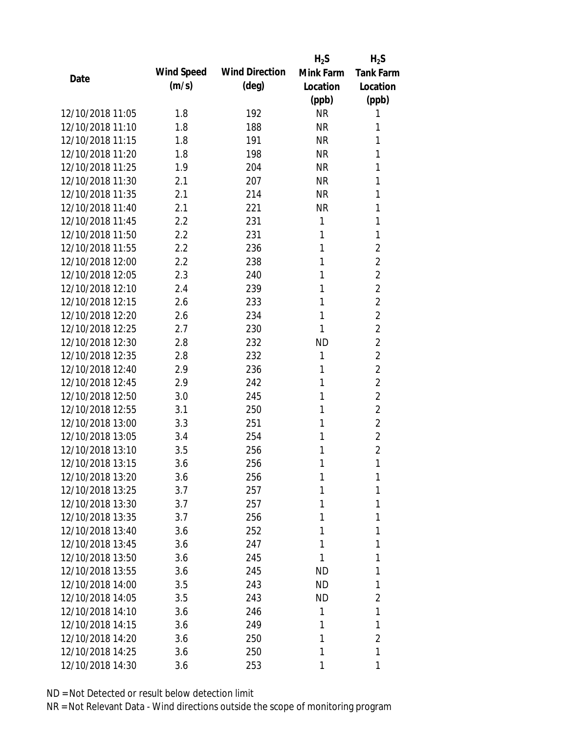|                  |            |                       | $H_2S$    | $H_2S$           |
|------------------|------------|-----------------------|-----------|------------------|
|                  | Wind Speed | <b>Wind Direction</b> | Mink Farm | <b>Tank Farm</b> |
| Date             | (m/s)      | $(\text{deg})$        | Location  | Location         |
|                  |            |                       | (ppb)     | (ppb)            |
| 12/10/2018 11:05 | 1.8        | 192                   | <b>NR</b> | 1                |
| 12/10/2018 11:10 | 1.8        | 188                   | <b>NR</b> | 1                |
| 12/10/2018 11:15 | 1.8        | 191                   | <b>NR</b> | 1                |
| 12/10/2018 11:20 | 1.8        | 198                   | <b>NR</b> | 1                |
| 12/10/2018 11:25 | 1.9        | 204                   | <b>NR</b> | 1                |
| 12/10/2018 11:30 | 2.1        | 207                   | <b>NR</b> | 1                |
| 12/10/2018 11:35 | 2.1        | 214                   | <b>NR</b> | 1                |
| 12/10/2018 11:40 | 2.1        | 221                   | <b>NR</b> | 1                |
| 12/10/2018 11:45 | 2.2        | 231                   | 1         | 1                |
| 12/10/2018 11:50 | 2.2        | 231                   | 1         | 1                |
| 12/10/2018 11:55 | 2.2        | 236                   | 1         | $\overline{2}$   |
| 12/10/2018 12:00 | $2.2\,$    | 238                   | 1         | $\overline{2}$   |
| 12/10/2018 12:05 | 2.3        | 240                   | 1         | $\overline{2}$   |
| 12/10/2018 12:10 | 2.4        | 239                   | 1         | $\overline{2}$   |
| 12/10/2018 12:15 | 2.6        | 233                   | 1         | $\overline{2}$   |
| 12/10/2018 12:20 | 2.6        | 234                   | 1         | $\overline{2}$   |
| 12/10/2018 12:25 | 2.7        | 230                   | 1         | $\overline{2}$   |
| 12/10/2018 12:30 | 2.8        | 232                   | <b>ND</b> | $\overline{2}$   |
| 12/10/2018 12:35 | 2.8        | 232                   | 1         | $\overline{2}$   |
| 12/10/2018 12:40 | 2.9        | 236                   | 1         | $\overline{2}$   |
| 12/10/2018 12:45 | 2.9        | 242                   | 1         | $\overline{2}$   |
| 12/10/2018 12:50 | 3.0        | 245                   | 1         | $\overline{2}$   |
| 12/10/2018 12:55 | 3.1        | 250                   | 1         | $\overline{2}$   |
| 12/10/2018 13:00 | 3.3        | 251                   | 1         | $\overline{2}$   |
| 12/10/2018 13:05 | 3.4        | 254                   | 1         | $\overline{2}$   |
| 12/10/2018 13:10 | 3.5        | 256                   | 1         | $\overline{2}$   |
| 12/10/2018 13:15 | 3.6        | 256                   | 1         | 1                |
| 12/10/2018 13:20 | 3.6        | 256                   | 1         | 1                |
| 12/10/2018 13:25 | 3.7        | 257                   | 1         | 1                |
| 12/10/2018 13:30 | 3.7        | 257                   | 1         | 1                |
| 12/10/2018 13:35 | 3.7        | 256                   | 1         | 1                |
| 12/10/2018 13:40 | 3.6        | 252                   | 1         | 1                |
| 12/10/2018 13:45 | 3.6        | 247                   | 1         | 1                |
| 12/10/2018 13:50 | 3.6        | 245                   | 1         | 1                |
| 12/10/2018 13:55 | 3.6        | 245                   | <b>ND</b> | 1                |
| 12/10/2018 14:00 | 3.5        | 243                   | ND        | 1                |
| 12/10/2018 14:05 | 3.5        | 243                   | ND.       | 2                |
| 12/10/2018 14:10 | 3.6        | 246                   | 1         | 1                |
| 12/10/2018 14:15 | 3.6        | 249                   | 1         | 1                |
| 12/10/2018 14:20 | 3.6        | 250                   | 1         | $\overline{2}$   |
| 12/10/2018 14:25 | 3.6        | 250                   | 1         | 1                |
| 12/10/2018 14:30 | 3.6        | 253                   | 1         | 1                |
|                  |            |                       |           |                  |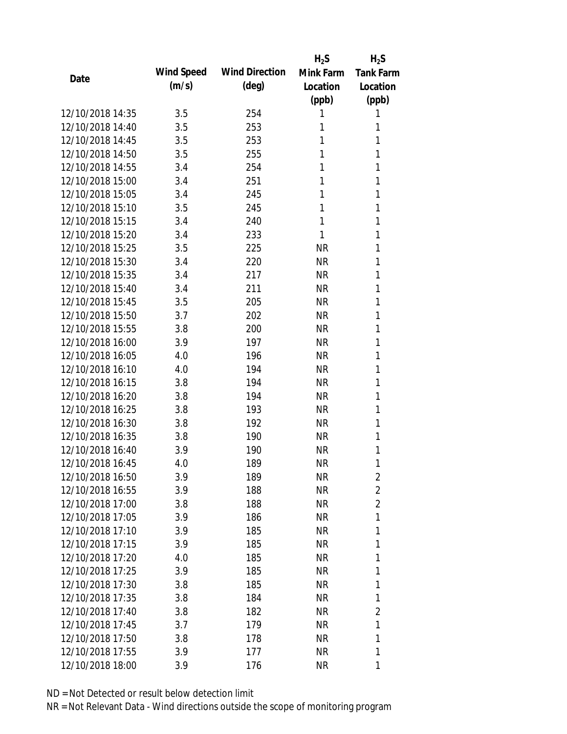|                  |            |                       | $H_2S$    | $H_2S$           |
|------------------|------------|-----------------------|-----------|------------------|
| Date             | Wind Speed | <b>Wind Direction</b> | Mink Farm | <b>Tank Farm</b> |
|                  | (m/s)      | $(\text{deg})$        | Location  | Location         |
|                  |            |                       | (ppb)     | (ppb)            |
| 12/10/2018 14:35 | 3.5        | 254                   | 1         | 1                |
| 12/10/2018 14:40 | 3.5        | 253                   | 1         | 1                |
| 12/10/2018 14:45 | 3.5        | 253                   | 1         | 1                |
| 12/10/2018 14:50 | 3.5        | 255                   | 1         | 1                |
| 12/10/2018 14:55 | 3.4        | 254                   | 1         | 1                |
| 12/10/2018 15:00 | 3.4        | 251                   | 1         | 1                |
| 12/10/2018 15:05 | 3.4        | 245                   | 1         | 1                |
| 12/10/2018 15:10 | 3.5        | 245                   | 1         | 1                |
| 12/10/2018 15:15 | 3.4        | 240                   | 1         | 1                |
| 12/10/2018 15:20 | 3.4        | 233                   | 1         | 1                |
| 12/10/2018 15:25 | 3.5        | 225                   | <b>NR</b> | 1                |
| 12/10/2018 15:30 | 3.4        | 220                   | <b>NR</b> | 1                |
| 12/10/2018 15:35 | 3.4        | 217                   | <b>NR</b> | 1                |
| 12/10/2018 15:40 | 3.4        | 211                   | <b>NR</b> | 1                |
| 12/10/2018 15:45 | 3.5        | 205                   | <b>NR</b> | 1                |
| 12/10/2018 15:50 | 3.7        | 202                   | <b>NR</b> | 1                |
| 12/10/2018 15:55 | 3.8        | 200                   | <b>NR</b> | 1                |
| 12/10/2018 16:00 | 3.9        | 197                   | <b>NR</b> | 1                |
| 12/10/2018 16:05 | 4.0        | 196                   | <b>NR</b> | 1                |
| 12/10/2018 16:10 | 4.0        | 194                   | <b>NR</b> | 1                |
| 12/10/2018 16:15 | 3.8        | 194                   | <b>NR</b> | 1                |
| 12/10/2018 16:20 | 3.8        | 194                   | <b>NR</b> | 1                |
| 12/10/2018 16:25 | 3.8        | 193                   | <b>NR</b> | 1                |
| 12/10/2018 16:30 | 3.8        | 192                   | <b>NR</b> | 1                |
| 12/10/2018 16:35 | 3.8        | 190                   | <b>NR</b> | 1                |
| 12/10/2018 16:40 | 3.9        | 190                   | <b>NR</b> | 1                |
| 12/10/2018 16:45 | 4.0        | 189                   | <b>NR</b> | 1                |
| 12/10/2018 16:50 | 3.9        | 189                   | <b>NR</b> | $\overline{2}$   |
| 12/10/2018 16:55 | 3.9        | 188                   | <b>NR</b> | 2                |
| 12/10/2018 17:00 | 3.8        | 188                   | NR        | $\overline{2}$   |
| 12/10/2018 17:05 | 3.9        | 186                   | NR        | 1                |
| 12/10/2018 17:10 | 3.9        | 185                   | NR        | 1                |
| 12/10/2018 17:15 | 3.9        | 185                   | <b>NR</b> | 1                |
| 12/10/2018 17:20 | 4.0        | 185                   | <b>NR</b> | 1                |
| 12/10/2018 17:25 | 3.9        | 185                   | <b>NR</b> | 1                |
| 12/10/2018 17:30 | 3.8        | 185                   | <b>NR</b> | 1                |
| 12/10/2018 17:35 | 3.8        | 184                   | NR        | 1                |
| 12/10/2018 17:40 | 3.8        | 182                   | NR        | 2                |
| 12/10/2018 17:45 | 3.7        | 179                   | NR        | 1                |
| 12/10/2018 17:50 | 3.8        | 178                   | <b>NR</b> | 1                |
| 12/10/2018 17:55 | 3.9        | 177                   | <b>NR</b> | 1                |
| 12/10/2018 18:00 | 3.9        | 176                   | <b>NR</b> | 1                |
|                  |            |                       |           |                  |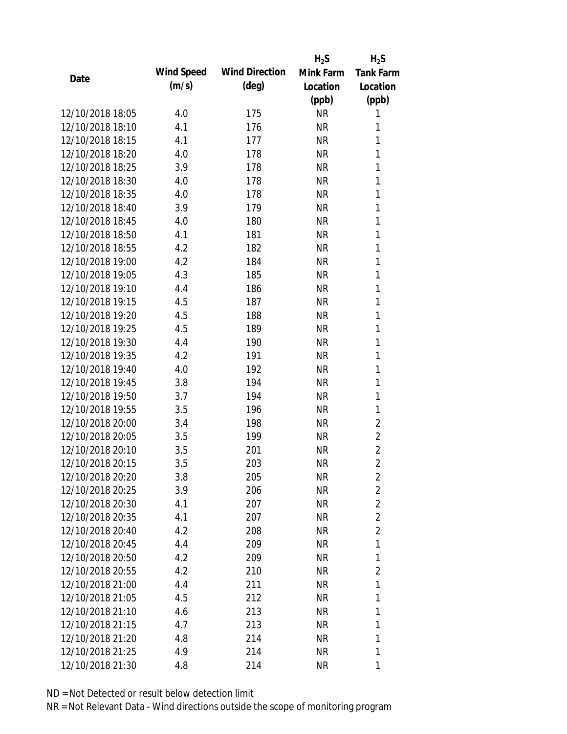|                  |            |                       | $H_2S$    | $H_2S$           |
|------------------|------------|-----------------------|-----------|------------------|
| Date             | Wind Speed | <b>Wind Direction</b> | Mink Farm | <b>Tank Farm</b> |
|                  | (m/s)      | $(\text{deg})$        | Location  | Location         |
|                  |            |                       | (ppb)     | (ppb)            |
| 12/10/2018 18:05 | 4.0        | 175                   | <b>NR</b> | 1                |
| 12/10/2018 18:10 | 4.1        | 176                   | <b>NR</b> | 1                |
| 12/10/2018 18:15 | 4.1        | 177                   | <b>NR</b> | 1                |
| 12/10/2018 18:20 | 4.0        | 178                   | <b>NR</b> | 1                |
| 12/10/2018 18:25 | 3.9        | 178                   | <b>NR</b> | 1                |
| 12/10/2018 18:30 | 4.0        | 178                   | <b>NR</b> | 1                |
| 12/10/2018 18:35 | 4.0        | 178                   | <b>NR</b> | 1                |
| 12/10/2018 18:40 | 3.9        | 179                   | <b>NR</b> | 1                |
| 12/10/2018 18:45 | 4.0        | 180                   | <b>NR</b> | 1                |
| 12/10/2018 18:50 | 4.1        | 181                   | <b>NR</b> | 1                |
| 12/10/2018 18:55 | 4.2        | 182                   | <b>NR</b> | 1                |
| 12/10/2018 19:00 | 4.2        | 184                   | <b>NR</b> | 1                |
| 12/10/2018 19:05 | 4.3        | 185                   | <b>NR</b> | 1                |
| 12/10/2018 19:10 | 4.4        | 186                   | <b>NR</b> | 1                |
| 12/10/2018 19:15 | 4.5        | 187                   | <b>NR</b> | 1                |
| 12/10/2018 19:20 | 4.5        | 188                   | <b>NR</b> | 1                |
| 12/10/2018 19:25 | 4.5        | 189                   | <b>NR</b> | 1                |
| 12/10/2018 19:30 | 4.4        | 190                   | <b>NR</b> | 1                |
| 12/10/2018 19:35 | 4.2        | 191                   | <b>NR</b> | 1                |
| 12/10/2018 19:40 | 4.0        | 192                   | <b>NR</b> | 1                |
| 12/10/2018 19:45 | 3.8        | 194                   | <b>NR</b> | 1                |
| 12/10/2018 19:50 | 3.7        | 194                   | <b>NR</b> | 1                |
| 12/10/2018 19:55 | 3.5        | 196                   | <b>NR</b> | 1                |
| 12/10/2018 20:00 | 3.4        | 198                   | <b>NR</b> | $\overline{2}$   |
| 12/10/2018 20:05 | 3.5        | 199                   | <b>NR</b> | $\overline{2}$   |
| 12/10/2018 20:10 | 3.5        | 201                   | <b>NR</b> | $\overline{2}$   |
| 12/10/2018 20:15 | 3.5        | 203                   | <b>NR</b> | $\overline{2}$   |
| 12/10/2018 20:20 | 3.8        | 205                   | <b>NR</b> | 2                |
| 12/10/2018 20:25 | 3.9        | 206                   | <b>NR</b> | 2                |
| 12/10/2018 20:30 | 4.1        | 207                   | <b>NR</b> | $\overline{2}$   |
| 12/10/2018 20:35 | 4.1        | 207                   | <b>NR</b> | 2                |
| 12/10/2018 20:40 | 4.2        | 208                   | <b>NR</b> | $\overline{2}$   |
| 12/10/2018 20:45 | 4.4        | 209                   | <b>NR</b> | 1                |
| 12/10/2018 20:50 | 4.2        | 209                   | <b>NR</b> | 1                |
| 12/10/2018 20:55 | 4.2        | 210                   | <b>NR</b> | 2                |
| 12/10/2018 21:00 | 4.4        | 211                   | <b>NR</b> | 1                |
| 12/10/2018 21:05 | 4.5        | 212                   | <b>NR</b> | 1                |
| 12/10/2018 21:10 | 4.6        | 213                   | <b>NR</b> | 1                |
| 12/10/2018 21:15 | 4.7        | 213                   | <b>NR</b> | 1                |
| 12/10/2018 21:20 | 4.8        | 214                   | <b>NR</b> | 1                |
| 12/10/2018 21:25 | 4.9        | 214                   | <b>NR</b> | 1                |
| 12/10/2018 21:30 | 4.8        | 214                   | <b>NR</b> | 1                |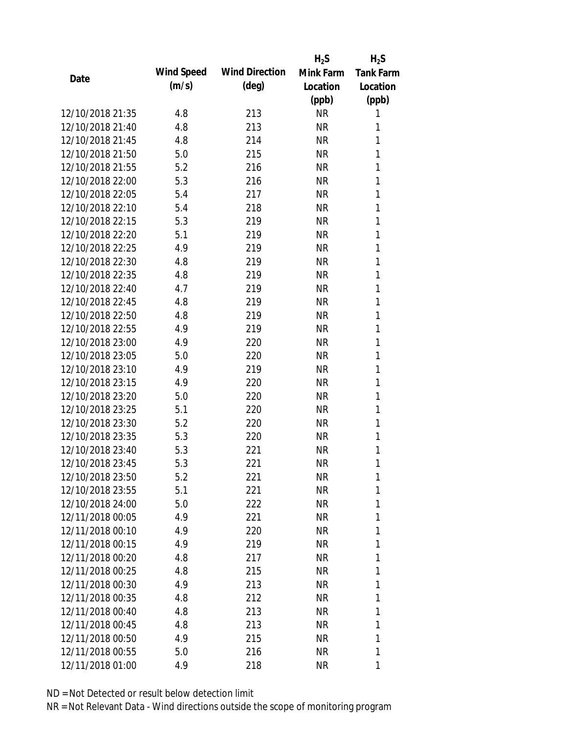|                  |            |                       | $H_2S$    | $H_2S$           |
|------------------|------------|-----------------------|-----------|------------------|
| Date             | Wind Speed | <b>Wind Direction</b> | Mink Farm | <b>Tank Farm</b> |
|                  | (m/s)      | $(\text{deg})$        | Location  | Location         |
|                  |            |                       | (ppb)     | (ppb)            |
| 12/10/2018 21:35 | 4.8        | 213                   | <b>NR</b> | 1                |
| 12/10/2018 21:40 | 4.8        | 213                   | <b>NR</b> | 1                |
| 12/10/2018 21:45 | 4.8        | 214                   | <b>NR</b> | 1                |
| 12/10/2018 21:50 | 5.0        | 215                   | <b>NR</b> | 1                |
| 12/10/2018 21:55 | 5.2        | 216                   | <b>NR</b> | 1                |
| 12/10/2018 22:00 | 5.3        | 216                   | <b>NR</b> | 1                |
| 12/10/2018 22:05 | 5.4        | 217                   | <b>NR</b> | 1                |
| 12/10/2018 22:10 | 5.4        | 218                   | <b>NR</b> | 1                |
| 12/10/2018 22:15 | 5.3        | 219                   | <b>NR</b> | 1                |
| 12/10/2018 22:20 | 5.1        | 219                   | <b>NR</b> | 1                |
| 12/10/2018 22:25 | 4.9        | 219                   | <b>NR</b> | 1                |
| 12/10/2018 22:30 | 4.8        | 219                   | <b>NR</b> | 1                |
| 12/10/2018 22:35 | 4.8        | 219                   | <b>NR</b> | 1                |
| 12/10/2018 22:40 | 4.7        | 219                   | <b>NR</b> | 1                |
| 12/10/2018 22:45 | 4.8        | 219                   | <b>NR</b> | 1                |
| 12/10/2018 22:50 | 4.8        | 219                   | <b>NR</b> | 1                |
| 12/10/2018 22:55 | 4.9        | 219                   | <b>NR</b> | 1                |
| 12/10/2018 23:00 | 4.9        | 220                   | <b>NR</b> | 1                |
| 12/10/2018 23:05 | 5.0        | 220                   | <b>NR</b> | 1                |
| 12/10/2018 23:10 | 4.9        | 219                   | <b>NR</b> | 1                |
| 12/10/2018 23:15 | 4.9        | 220                   | <b>NR</b> | 1                |
| 12/10/2018 23:20 | 5.0        | 220                   | <b>NR</b> | 1                |
| 12/10/2018 23:25 | 5.1        | 220                   | <b>NR</b> | 1                |
| 12/10/2018 23:30 | 5.2        | 220                   | <b>NR</b> | 1                |
| 12/10/2018 23:35 | 5.3        | 220                   | <b>NR</b> | 1                |
| 12/10/2018 23:40 | 5.3        | 221                   | <b>NR</b> | 1                |
| 12/10/2018 23:45 | 5.3        | 221                   | <b>NR</b> | 1                |
| 12/10/2018 23:50 | 5.2        | 221                   | <b>NR</b> | 1                |
| 12/10/2018 23:55 | 5.1        | 221                   | <b>NR</b> | 1                |
| 12/10/2018 24:00 | 5.0        | 222                   | <b>NR</b> | 1                |
| 12/11/2018 00:05 | 4.9        | 221                   | <b>NR</b> | 1                |
| 12/11/2018 00:10 | 4.9        | 220                   | <b>NR</b> | 1                |
| 12/11/2018 00:15 | 4.9        | 219                   | <b>NR</b> | 1                |
| 12/11/2018 00:20 | 4.8        | 217                   | <b>NR</b> | 1                |
| 12/11/2018 00:25 | 4.8        | 215                   | <b>NR</b> | 1                |
| 12/11/2018 00:30 | 4.9        | 213                   | <b>NR</b> | 1                |
| 12/11/2018 00:35 | 4.8        | 212                   | <b>NR</b> | 1                |
| 12/11/2018 00:40 | 4.8        | 213                   | <b>NR</b> | 1                |
| 12/11/2018 00:45 | 4.8        | 213                   | <b>NR</b> | 1                |
| 12/11/2018 00:50 | 4.9        | 215                   | <b>NR</b> | 1                |
| 12/11/2018 00:55 | 5.0        | 216                   | <b>NR</b> | 1                |
| 12/11/2018 01:00 | 4.9        | 218                   | <b>NR</b> | 1                |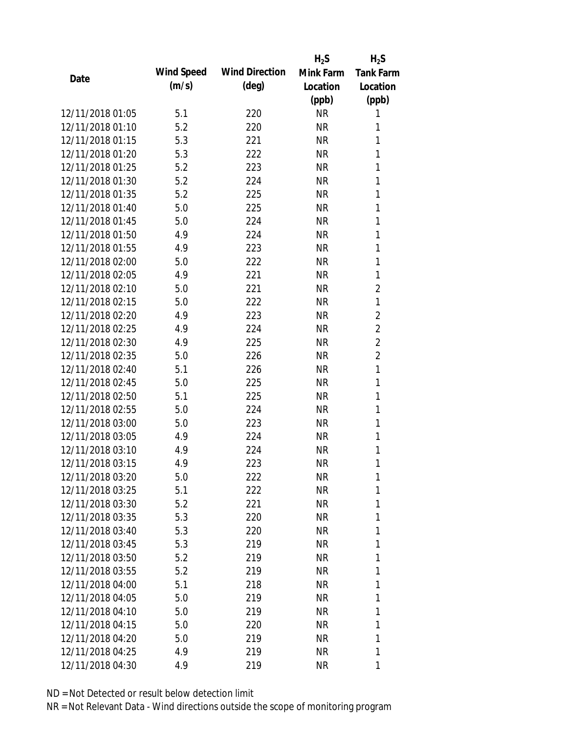|                  |            |                       | $H_2S$    | $H_2S$           |
|------------------|------------|-----------------------|-----------|------------------|
| Date             | Wind Speed | <b>Wind Direction</b> | Mink Farm | <b>Tank Farm</b> |
|                  | (m/s)      | $(\text{deg})$        | Location  | Location         |
|                  |            |                       | (ppb)     | (ppb)            |
| 12/11/2018 01:05 | 5.1        | 220                   | <b>NR</b> | 1                |
| 12/11/2018 01:10 | 5.2        | 220                   | <b>NR</b> | 1                |
| 12/11/2018 01:15 | 5.3        | 221                   | <b>NR</b> | 1                |
| 12/11/2018 01:20 | 5.3        | 222                   | <b>NR</b> | 1                |
| 12/11/2018 01:25 | 5.2        | 223                   | <b>NR</b> | 1                |
| 12/11/2018 01:30 | 5.2        | 224                   | <b>NR</b> | 1                |
| 12/11/2018 01:35 | 5.2        | 225                   | <b>NR</b> | 1                |
| 12/11/2018 01:40 | 5.0        | 225                   | <b>NR</b> | 1                |
| 12/11/2018 01:45 | 5.0        | 224                   | <b>NR</b> | 1                |
| 12/11/2018 01:50 | 4.9        | 224                   | <b>NR</b> | 1                |
| 12/11/2018 01:55 | 4.9        | 223                   | <b>NR</b> | 1                |
| 12/11/2018 02:00 | 5.0        | 222                   | <b>NR</b> | 1                |
| 12/11/2018 02:05 | 4.9        | 221                   | <b>NR</b> | 1                |
| 12/11/2018 02:10 | 5.0        | 221                   | <b>NR</b> | $\overline{2}$   |
| 12/11/2018 02:15 | 5.0        | 222                   | <b>NR</b> | 1                |
| 12/11/2018 02:20 | 4.9        | 223                   | <b>NR</b> | 2                |
| 12/11/2018 02:25 | 4.9        | 224                   | <b>NR</b> | $\overline{2}$   |
| 12/11/2018 02:30 | 4.9        | 225                   | <b>NR</b> | $\overline{2}$   |
| 12/11/2018 02:35 | 5.0        | 226                   | <b>NR</b> | $\overline{2}$   |
| 12/11/2018 02:40 | 5.1        | 226                   | <b>NR</b> | $\mathbf{1}$     |
| 12/11/2018 02:45 | 5.0        | 225                   | <b>NR</b> | 1                |
| 12/11/2018 02:50 | 5.1        | 225                   | <b>NR</b> | 1                |
| 12/11/2018 02:55 | 5.0        | 224                   | <b>NR</b> | 1                |
| 12/11/2018 03:00 | 5.0        | 223                   | <b>NR</b> | 1                |
| 12/11/2018 03:05 | 4.9        | 224                   | <b>NR</b> | 1                |
| 12/11/2018 03:10 | 4.9        | 224                   | <b>NR</b> | 1                |
| 12/11/2018 03:15 | 4.9        | 223                   | <b>NR</b> | 1                |
| 12/11/2018 03:20 | 5.0        | 222                   | <b>NR</b> | 1                |
| 12/11/2018 03:25 | 5.1        | 222                   | <b>NR</b> | 1                |
| 12/11/2018 03:30 | 5.2        | 221                   | <b>NR</b> | 1                |
| 12/11/2018 03:35 | 5.3        | 220                   | <b>NR</b> | 1                |
| 12/11/2018 03:40 | 5.3        | 220                   | <b>NR</b> | 1                |
| 12/11/2018 03:45 | 5.3        | 219                   | <b>NR</b> | 1                |
| 12/11/2018 03:50 | 5.2        | 219                   | <b>NR</b> | 1                |
| 12/11/2018 03:55 | 5.2        | 219                   | <b>NR</b> | 1                |
| 12/11/2018 04:00 | 5.1        | 218                   | <b>NR</b> | 1                |
| 12/11/2018 04:05 | 5.0        | 219                   | <b>NR</b> | 1                |
| 12/11/2018 04:10 | 5.0        | 219                   | <b>NR</b> | 1                |
| 12/11/2018 04:15 | 5.0        | 220                   | <b>NR</b> | 1                |
| 12/11/2018 04:20 | 5.0        | 219                   | <b>NR</b> | 1                |
| 12/11/2018 04:25 | 4.9        | 219                   | <b>NR</b> | 1                |
| 12/11/2018 04:30 | 4.9        | 219                   | <b>NR</b> | 1                |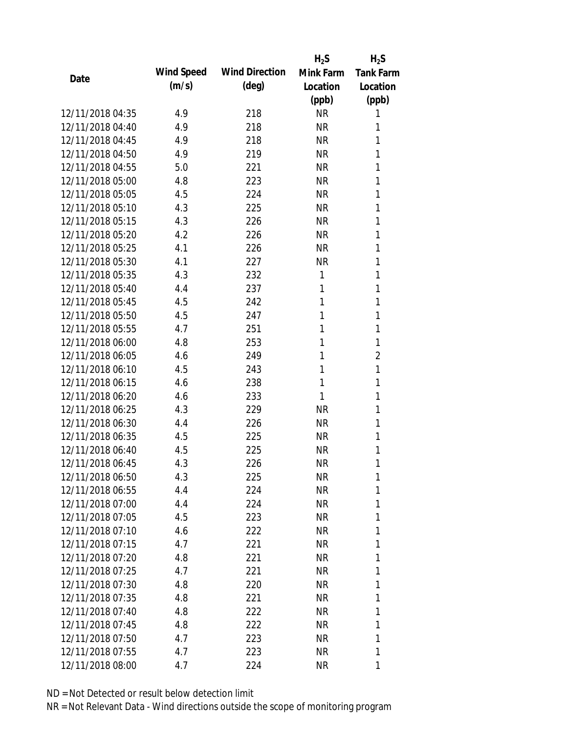|                  |            |                       | $H_2S$    | $H_2S$           |
|------------------|------------|-----------------------|-----------|------------------|
| Date             | Wind Speed | <b>Wind Direction</b> | Mink Farm | <b>Tank Farm</b> |
|                  | (m/s)      | $(\text{deg})$        | Location  | Location         |
|                  |            |                       | (ppb)     | (ppb)            |
| 12/11/2018 04:35 | 4.9        | 218                   | <b>NR</b> | 1                |
| 12/11/2018 04:40 | 4.9        | 218                   | <b>NR</b> | 1                |
| 12/11/2018 04:45 | 4.9        | 218                   | <b>NR</b> | 1                |
| 12/11/2018 04:50 | 4.9        | 219                   | <b>NR</b> | 1                |
| 12/11/2018 04:55 | 5.0        | 221                   | <b>NR</b> | 1                |
| 12/11/2018 05:00 | 4.8        | 223                   | <b>NR</b> | 1                |
| 12/11/2018 05:05 | 4.5        | 224                   | <b>NR</b> | 1                |
| 12/11/2018 05:10 | 4.3        | 225                   | <b>NR</b> | 1                |
| 12/11/2018 05:15 | 4.3        | 226                   | <b>NR</b> | 1                |
| 12/11/2018 05:20 | 4.2        | 226                   | <b>NR</b> | 1                |
| 12/11/2018 05:25 | 4.1        | 226                   | <b>NR</b> | 1                |
| 12/11/2018 05:30 | 4.1        | 227                   | <b>NR</b> | 1                |
| 12/11/2018 05:35 | 4.3        | 232                   | 1         | 1                |
| 12/11/2018 05:40 | 4.4        | 237                   | 1         | 1                |
| 12/11/2018 05:45 | 4.5        | 242                   | 1         | 1                |
| 12/11/2018 05:50 | 4.5        | 247                   | 1         | 1                |
| 12/11/2018 05:55 | 4.7        | 251                   | 1         | 1                |
| 12/11/2018 06:00 | 4.8        | 253                   | 1         | 1                |
| 12/11/2018 06:05 | 4.6        | 249                   | 1         | $\overline{2}$   |
| 12/11/2018 06:10 | 4.5        | 243                   | 1         | 1                |
| 12/11/2018 06:15 | 4.6        | 238                   | 1         | 1                |
| 12/11/2018 06:20 | 4.6        | 233                   | 1         | 1                |
| 12/11/2018 06:25 | 4.3        | 229                   | <b>NR</b> | 1                |
| 12/11/2018 06:30 | 4.4        | 226                   | <b>NR</b> | 1                |
| 12/11/2018 06:35 | 4.5        | 225                   | <b>NR</b> | 1                |
| 12/11/2018 06:40 | 4.5        | 225                   | <b>NR</b> | 1                |
| 12/11/2018 06:45 | 4.3        | 226                   | <b>NR</b> | 1                |
| 12/11/2018 06:50 | 4.3        | 225                   | <b>NR</b> | 1                |
| 12/11/2018 06:55 | 4.4        | 224                   | <b>NR</b> | 1                |
| 12/11/2018 07:00 | 4.4        | 224                   | <b>NR</b> | 1                |
| 12/11/2018 07:05 | 4.5        | 223                   | <b>NR</b> | 1                |
| 12/11/2018 07:10 | 4.6        | 222                   | <b>NR</b> | 1                |
| 12/11/2018 07:15 | 4.7        | 221                   | <b>NR</b> | 1                |
| 12/11/2018 07:20 | 4.8        | 221                   | <b>NR</b> | 1                |
| 12/11/2018 07:25 | 4.7        | 221                   | <b>NR</b> | 1                |
| 12/11/2018 07:30 | 4.8        | 220                   | <b>NR</b> | 1                |
| 12/11/2018 07:35 | 4.8        | 221                   | <b>NR</b> | 1                |
| 12/11/2018 07:40 | 4.8        | 222                   | NR        | 1                |
| 12/11/2018 07:45 | 4.8        | 222                   | <b>NR</b> | 1                |
| 12/11/2018 07:50 | 4.7        | 223                   | <b>NR</b> | 1                |
| 12/11/2018 07:55 | 4.7        | 223                   | <b>NR</b> | 1                |
| 12/11/2018 08:00 | 4.7        | 224                   | <b>NR</b> | 1                |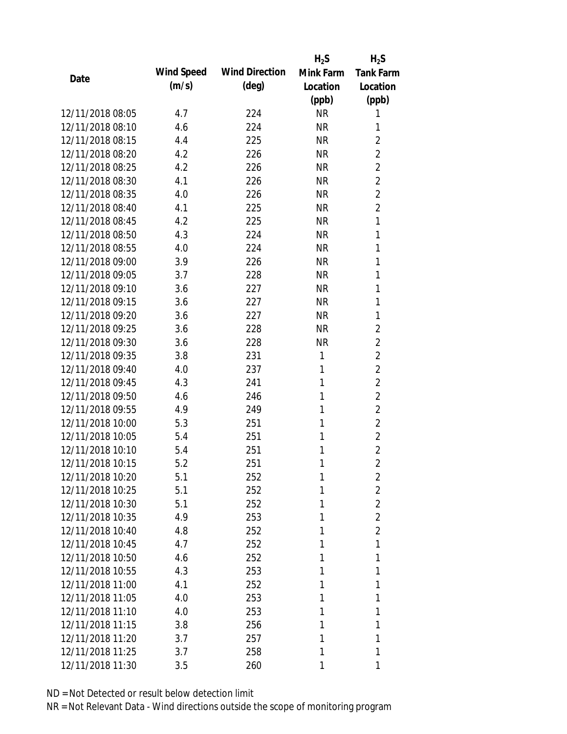|                  |            |                       | $H_2S$    | $H_2S$           |
|------------------|------------|-----------------------|-----------|------------------|
| Date             | Wind Speed | <b>Wind Direction</b> | Mink Farm | <b>Tank Farm</b> |
|                  | (m/s)      | $(\text{deg})$        | Location  | Location         |
|                  |            |                       | (ppb)     | (ppb)            |
| 12/11/2018 08:05 | 4.7        | 224                   | <b>NR</b> | 1                |
| 12/11/2018 08:10 | 4.6        | 224                   | <b>NR</b> | 1                |
| 12/11/2018 08:15 | 4.4        | 225                   | <b>NR</b> | 2                |
| 12/11/2018 08:20 | 4.2        | 226                   | <b>NR</b> | $\overline{2}$   |
| 12/11/2018 08:25 | 4.2        | 226                   | <b>NR</b> | $\overline{2}$   |
| 12/11/2018 08:30 | 4.1        | 226                   | <b>NR</b> | $\overline{2}$   |
| 12/11/2018 08:35 | 4.0        | 226                   | <b>NR</b> | $\overline{2}$   |
| 12/11/2018 08:40 | 4.1        | 225                   | <b>NR</b> | $\overline{2}$   |
| 12/11/2018 08:45 | 4.2        | 225                   | <b>NR</b> | 1                |
| 12/11/2018 08:50 | 4.3        | 224                   | <b>NR</b> | 1                |
| 12/11/2018 08:55 | 4.0        | 224                   | <b>NR</b> | 1                |
| 12/11/2018 09:00 | 3.9        | 226                   | <b>NR</b> | 1                |
| 12/11/2018 09:05 | 3.7        | 228                   | <b>NR</b> | 1                |
| 12/11/2018 09:10 | 3.6        | 227                   | <b>NR</b> | 1                |
| 12/11/2018 09:15 | 3.6        | 227                   | <b>NR</b> | 1                |
| 12/11/2018 09:20 | 3.6        | 227                   | <b>NR</b> | 1                |
| 12/11/2018 09:25 | 3.6        | 228                   | <b>NR</b> | $\overline{2}$   |
| 12/11/2018 09:30 | 3.6        | 228                   | <b>NR</b> | $\overline{2}$   |
| 12/11/2018 09:35 | 3.8        | 231                   | 1         | $\overline{2}$   |
| 12/11/2018 09:40 | 4.0        | 237                   | 1         | $\overline{2}$   |
| 12/11/2018 09:45 | 4.3        | 241                   | 1         | $\overline{2}$   |
| 12/11/2018 09:50 | 4.6        | 246                   | 1         | $\overline{2}$   |
| 12/11/2018 09:55 | 4.9        | 249                   | 1         | $\overline{2}$   |
| 12/11/2018 10:00 | 5.3        | 251                   | 1         | $\overline{2}$   |
| 12/11/2018 10:05 | 5.4        | 251                   | 1         | $\overline{2}$   |
| 12/11/2018 10:10 | 5.4        | 251                   | 1         | $\overline{2}$   |
| 12/11/2018 10:15 | 5.2        | 251                   | 1         | $\overline{2}$   |
| 12/11/2018 10:20 | 5.1        | 252                   | 1         | 2                |
| 12/11/2018 10:25 | 5.1        | 252                   | 1         | 2                |
| 12/11/2018 10:30 | 5.1        | 252                   | 1         | $\overline{2}$   |
| 12/11/2018 10:35 | 4.9        | 253                   | 1         | $\overline{2}$   |
| 12/11/2018 10:40 | 4.8        | 252                   | 1         | $\overline{2}$   |
| 12/11/2018 10:45 | 4.7        | 252                   | 1         | 1                |
| 12/11/2018 10:50 | 4.6        | 252                   | 1         | 1                |
| 12/11/2018 10:55 | 4.3        | 253                   | 1         | 1                |
| 12/11/2018 11:00 | 4.1        | 252                   | 1         | 1                |
| 12/11/2018 11:05 | 4.0        | 253                   | 1         | 1                |
| 12/11/2018 11:10 | 4.0        | 253                   | 1         | 1                |
| 12/11/2018 11:15 | 3.8        | 256                   | 1         | 1                |
| 12/11/2018 11:20 | 3.7        | 257                   | 1         | 1                |
| 12/11/2018 11:25 | 3.7        | 258                   | 1         | 1                |
| 12/11/2018 11:30 | 3.5        | 260                   | 1         | 1                |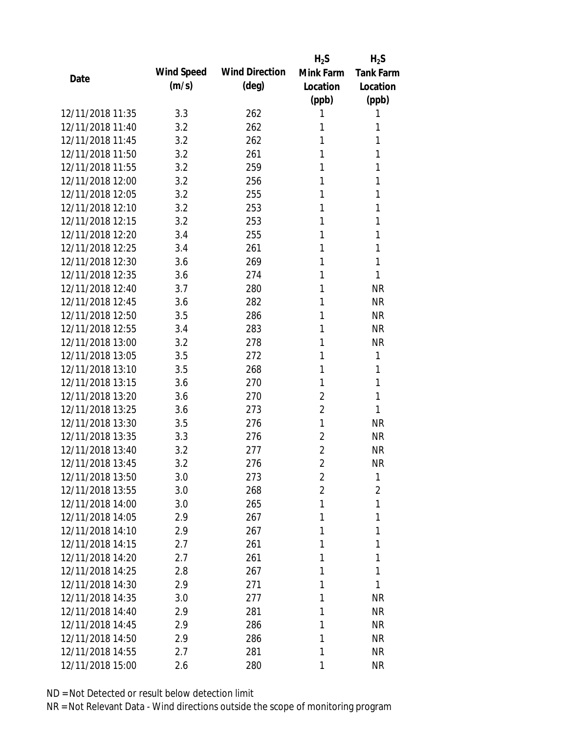|                  |            |                       | $H_2S$         | $H_2S$           |
|------------------|------------|-----------------------|----------------|------------------|
|                  | Wind Speed | <b>Wind Direction</b> | Mink Farm      | <b>Tank Farm</b> |
| Date             | (m/s)      | (deg)                 | Location       | Location         |
|                  |            |                       | (ppb)          | (ppb)            |
| 12/11/2018 11:35 | 3.3        | 262                   | 1              | 1                |
| 12/11/2018 11:40 | 3.2        | 262                   | 1              | 1                |
| 12/11/2018 11:45 | 3.2        | 262                   | 1              | 1                |
| 12/11/2018 11:50 | 3.2        | 261                   | 1              | 1                |
| 12/11/2018 11:55 | 3.2        | 259                   | 1              | 1                |
| 12/11/2018 12:00 | 3.2        | 256                   | 1              | 1                |
| 12/11/2018 12:05 | 3.2        | 255                   | 1              | 1                |
| 12/11/2018 12:10 | 3.2        | 253                   | 1              | 1                |
| 12/11/2018 12:15 | 3.2        | 253                   | 1              | 1                |
| 12/11/2018 12:20 | 3.4        | 255                   | 1              | 1                |
| 12/11/2018 12:25 | 3.4        | 261                   | 1              | 1                |
| 12/11/2018 12:30 | 3.6        | 269                   | 1              | 1                |
| 12/11/2018 12:35 | 3.6        | 274                   | 1              | 1                |
| 12/11/2018 12:40 | 3.7        | 280                   | 1              | <b>NR</b>        |
| 12/11/2018 12:45 | 3.6        | 282                   | 1              | <b>NR</b>        |
| 12/11/2018 12:50 | 3.5        | 286                   | 1              | <b>NR</b>        |
| 12/11/2018 12:55 | 3.4        | 283                   | 1              | <b>NR</b>        |
| 12/11/2018 13:00 | 3.2        | 278                   | 1              | <b>NR</b>        |
| 12/11/2018 13:05 | 3.5        | 272                   | 1              | 1                |
| 12/11/2018 13:10 | 3.5        | 268                   | 1              | 1                |
| 12/11/2018 13:15 | 3.6        | 270                   | 1              | 1                |
| 12/11/2018 13:20 | 3.6        | 270                   | $\overline{2}$ | 1                |
| 12/11/2018 13:25 | 3.6        | 273                   | $\overline{2}$ | 1                |
| 12/11/2018 13:30 | 3.5        | 276                   | 1              | <b>NR</b>        |
| 12/11/2018 13:35 | 3.3        | 276                   | $\overline{2}$ | <b>NR</b>        |
| 12/11/2018 13:40 | 3.2        | 277                   | $\overline{2}$ | <b>NR</b>        |
| 12/11/2018 13:45 | 3.2        | 276                   | $\overline{2}$ | <b>NR</b>        |
| 12/11/2018 13:50 | 3.0        | 273                   | $\overline{2}$ | 1                |
| 12/11/2018 13:55 | 3.0        | 268                   | $\overline{2}$ | 2                |
| 12/11/2018 14:00 | 3.0        | 265                   | 1              | 1                |
| 12/11/2018 14:05 | 2.9        | 267                   | 1              | 1                |
| 12/11/2018 14:10 | 2.9        | 267                   | 1              | 1                |
| 12/11/2018 14:15 | 2.7        | 261                   | 1              | 1                |
| 12/11/2018 14:20 | 2.7        | 261                   | 1              | 1                |
| 12/11/2018 14:25 | 2.8        | 267                   | 1              | 1                |
| 12/11/2018 14:30 | 2.9        | 271                   | 1              | 1                |
| 12/11/2018 14:35 | 3.0        | 277                   | 1              | <b>NR</b>        |
| 12/11/2018 14:40 | 2.9        | 281                   | 1              | <b>NR</b>        |
| 12/11/2018 14:45 | 2.9        | 286                   | 1              | <b>NR</b>        |
| 12/11/2018 14:50 | 2.9        | 286                   | 1              | <b>NR</b>        |
| 12/11/2018 14:55 | 2.7        | 281                   | 1              | <b>NR</b>        |
| 12/11/2018 15:00 | 2.6        | 280                   | 1              | <b>NR</b>        |
|                  |            |                       |                |                  |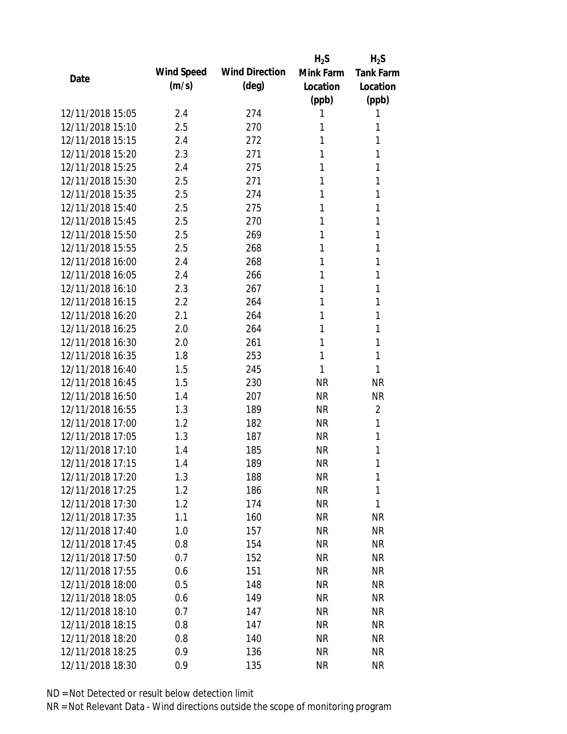|                  |            |                       | $H_2S$    | $H_2S$           |
|------------------|------------|-----------------------|-----------|------------------|
|                  | Wind Speed | <b>Wind Direction</b> | Mink Farm | <b>Tank Farm</b> |
| Date             | (m/s)      | $(\text{deg})$        | Location  | Location         |
|                  |            |                       | (ppb)     | (ppb)            |
| 12/11/2018 15:05 | 2.4        | 274                   | 1         | 1                |
| 12/11/2018 15:10 | 2.5        | 270                   | 1         | 1                |
| 12/11/2018 15:15 | 2.4        | 272                   | 1         | 1                |
| 12/11/2018 15:20 | 2.3        | 271                   | 1         | 1                |
| 12/11/2018 15:25 | 2.4        | 275                   | 1         | 1                |
| 12/11/2018 15:30 | 2.5        | 271                   | 1         | 1                |
| 12/11/2018 15:35 | 2.5        | 274                   | 1         | 1                |
| 12/11/2018 15:40 | 2.5        | 275                   | 1         | 1                |
| 12/11/2018 15:45 | 2.5        | 270                   | 1         | 1                |
| 12/11/2018 15:50 | 2.5        | 269                   | 1         | 1                |
| 12/11/2018 15:55 | 2.5        | 268                   | 1         | 1                |
| 12/11/2018 16:00 | 2.4        | 268                   | 1         | 1                |
| 12/11/2018 16:05 | 2.4        | 266                   | 1         | 1                |
| 12/11/2018 16:10 | 2.3        | 267                   | 1         | 1                |
| 12/11/2018 16:15 | 2.2        | 264                   | 1         | 1                |
| 12/11/2018 16:20 | 2.1        | 264                   | 1         | 1                |
| 12/11/2018 16:25 | 2.0        | 264                   | 1         | 1                |
| 12/11/2018 16:30 | 2.0        | 261                   | 1         | 1                |
| 12/11/2018 16:35 | 1.8        | 253                   | 1         | 1                |
| 12/11/2018 16:40 | 1.5        | 245                   | 1         | 1                |
| 12/11/2018 16:45 | 1.5        | 230                   | <b>NR</b> | <b>NR</b>        |
| 12/11/2018 16:50 | 1.4        | 207                   | <b>NR</b> | <b>NR</b>        |
| 12/11/2018 16:55 | 1.3        | 189                   | <b>NR</b> | $\overline{2}$   |
| 12/11/2018 17:00 | 1.2        | 182                   | <b>NR</b> | 1                |
| 12/11/2018 17:05 | 1.3        | 187                   | <b>NR</b> | 1                |
| 12/11/2018 17:10 | 1.4        | 185                   | <b>NR</b> | 1                |
| 12/11/2018 17:15 | 1.4        | 189                   | <b>NR</b> | 1                |
| 12/11/2018 17:20 | 1.3        | 188                   | <b>NR</b> | 1                |
| 12/11/2018 17:25 | 1.2        | 186                   | <b>NR</b> | 1                |
| 12/11/2018 17:30 | 1.2        | 174                   | <b>NR</b> | 1                |
| 12/11/2018 17:35 | 1.1        | 160                   | <b>NR</b> | <b>NR</b>        |
| 12/11/2018 17:40 | 1.0        | 157                   | <b>NR</b> | <b>NR</b>        |
| 12/11/2018 17:45 | 0.8        | 154                   | <b>NR</b> | <b>NR</b>        |
| 12/11/2018 17:50 | 0.7        | 152                   | <b>NR</b> | <b>NR</b>        |
| 12/11/2018 17:55 | 0.6        | 151                   | <b>NR</b> | NR               |
| 12/11/2018 18:00 | 0.5        | 148                   | <b>NR</b> | <b>NR</b>        |
| 12/11/2018 18:05 | 0.6        | 149                   | <b>NR</b> | <b>NR</b>        |
| 12/11/2018 18:10 | 0.7        | 147                   | NR        | NR               |
| 12/11/2018 18:15 | 0.8        | 147                   | <b>NR</b> | NR               |
| 12/11/2018 18:20 | 0.8        | 140                   | <b>NR</b> | NR               |
| 12/11/2018 18:25 | 0.9        | 136                   | <b>NR</b> | <b>NR</b>        |
| 12/11/2018 18:30 |            |                       | <b>NR</b> | <b>NR</b>        |
|                  | 0.9        | 135                   |           |                  |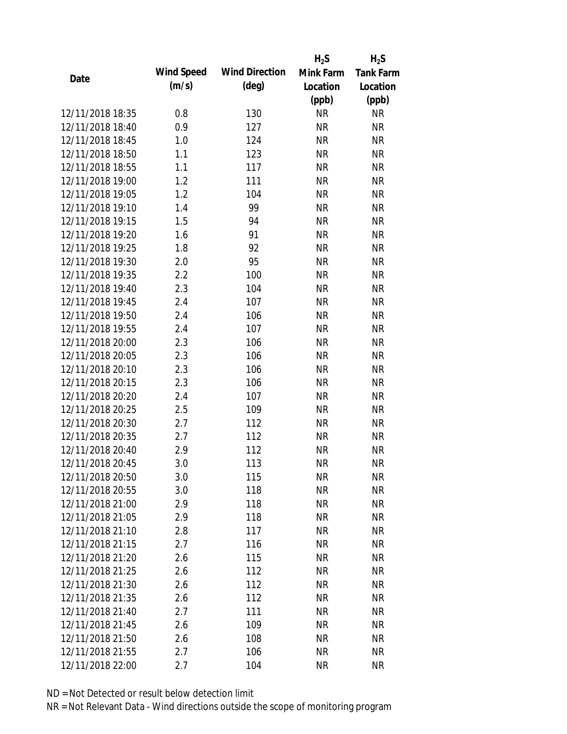|                  |            |                       | $H_2S$    | $H_2S$           |
|------------------|------------|-----------------------|-----------|------------------|
| Date             | Wind Speed | <b>Wind Direction</b> | Mink Farm | <b>Tank Farm</b> |
|                  | (m/s)      | $(\text{deg})$        | Location  | Location         |
|                  |            |                       | (ppb)     | (ppb)            |
| 12/11/2018 18:35 | 0.8        | 130                   | <b>NR</b> | <b>NR</b>        |
| 12/11/2018 18:40 | 0.9        | 127                   | <b>NR</b> | <b>NR</b>        |
| 12/11/2018 18:45 | 1.0        | 124                   | <b>NR</b> | <b>NR</b>        |
| 12/11/2018 18:50 | 1.1        | 123                   | <b>NR</b> | <b>NR</b>        |
| 12/11/2018 18:55 | 1.1        | 117                   | <b>NR</b> | <b>NR</b>        |
| 12/11/2018 19:00 | 1.2        | 111                   | <b>NR</b> | <b>NR</b>        |
| 12/11/2018 19:05 | 1.2        | 104                   | <b>NR</b> | <b>NR</b>        |
| 12/11/2018 19:10 | 1.4        | 99                    | <b>NR</b> | <b>NR</b>        |
| 12/11/2018 19:15 | 1.5        | 94                    | <b>NR</b> | <b>NR</b>        |
| 12/11/2018 19:20 | 1.6        | 91                    | <b>NR</b> | <b>NR</b>        |
| 12/11/2018 19:25 | 1.8        | 92                    | <b>NR</b> | <b>NR</b>        |
| 12/11/2018 19:30 | 2.0        | 95                    | <b>NR</b> | <b>NR</b>        |
| 12/11/2018 19:35 | 2.2        | 100                   | <b>NR</b> | <b>NR</b>        |
| 12/11/2018 19:40 | 2.3        | 104                   | <b>NR</b> | <b>NR</b>        |
| 12/11/2018 19:45 | 2.4        | 107                   | <b>NR</b> | <b>NR</b>        |
| 12/11/2018 19:50 | 2.4        | 106                   | <b>NR</b> | <b>NR</b>        |
| 12/11/2018 19:55 | 2.4        | 107                   | <b>NR</b> | <b>NR</b>        |
| 12/11/2018 20:00 | 2.3        | 106                   | <b>NR</b> | <b>NR</b>        |
| 12/11/2018 20:05 | 2.3        | 106                   | <b>NR</b> | <b>NR</b>        |
| 12/11/2018 20:10 | 2.3        | 106                   | <b>NR</b> | <b>NR</b>        |
| 12/11/2018 20:15 | 2.3        | 106                   | <b>NR</b> | <b>NR</b>        |
| 12/11/2018 20:20 | 2.4        | 107                   | <b>NR</b> | <b>NR</b>        |
| 12/11/2018 20:25 | 2.5        | 109                   | <b>NR</b> | <b>NR</b>        |
| 12/11/2018 20:30 | 2.7        | 112                   | <b>NR</b> | <b>NR</b>        |
| 12/11/2018 20:35 | 2.7        | 112                   | <b>NR</b> | <b>NR</b>        |
| 12/11/2018 20:40 | 2.9        | 112                   | <b>NR</b> | <b>NR</b>        |
| 12/11/2018 20:45 | 3.0        | 113                   | <b>NR</b> | <b>NR</b>        |
| 12/11/2018 20:50 | 3.0        | 115                   | <b>NR</b> | <b>NR</b>        |
| 12/11/2018 20:55 | 3.0        | 118                   | <b>NR</b> | <b>NR</b>        |
| 12/11/2018 21:00 | 2.9        | 118                   | NR        | <b>NR</b>        |
| 12/11/2018 21:05 | 2.9        | 118                   | <b>NR</b> | <b>NR</b>        |
| 12/11/2018 21:10 | 2.8        | 117                   | <b>NR</b> | <b>NR</b>        |
| 12/11/2018 21:15 | 2.7        | 116                   | <b>NR</b> | <b>NR</b>        |
| 12/11/2018 21:20 | 2.6        | 115                   | <b>NR</b> | <b>NR</b>        |
| 12/11/2018 21:25 | 2.6        | 112                   | <b>NR</b> | <b>NR</b>        |
| 12/11/2018 21:30 | 2.6        | 112                   | <b>NR</b> | <b>NR</b>        |
| 12/11/2018 21:35 | 2.6        | 112                   | <b>NR</b> | <b>NR</b>        |
| 12/11/2018 21:40 | 2.7        | 111                   | <b>NR</b> | <b>NR</b>        |
| 12/11/2018 21:45 | 2.6        | 109                   | <b>NR</b> | <b>NR</b>        |
| 12/11/2018 21:50 | 2.6        | 108                   | <b>NR</b> | <b>NR</b>        |
| 12/11/2018 21:55 | 2.7        | 106                   | <b>NR</b> | <b>NR</b>        |
| 12/11/2018 22:00 | 2.7        | 104                   | <b>NR</b> | <b>NR</b>        |
|                  |            |                       |           |                  |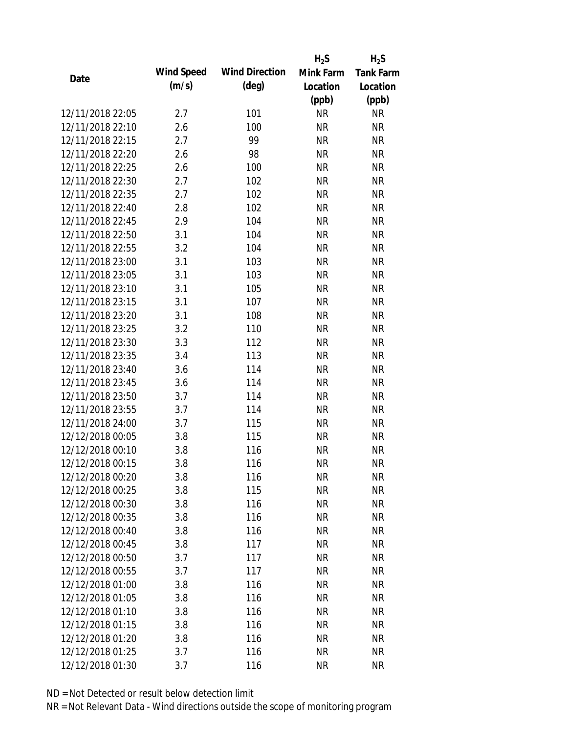|                  |            |                       | $H_2S$    | $H_2S$           |
|------------------|------------|-----------------------|-----------|------------------|
| Date             | Wind Speed | <b>Wind Direction</b> | Mink Farm | <b>Tank Farm</b> |
|                  | (m/s)      | $(\text{deg})$        | Location  | Location         |
|                  |            |                       | (ppb)     | (ppb)            |
| 12/11/2018 22:05 | 2.7        | 101                   | <b>NR</b> | <b>NR</b>        |
| 12/11/2018 22:10 | 2.6        | 100                   | <b>NR</b> | <b>NR</b>        |
| 12/11/2018 22:15 | 2.7        | 99                    | <b>NR</b> | <b>NR</b>        |
| 12/11/2018 22:20 | 2.6        | 98                    | <b>NR</b> | <b>NR</b>        |
| 12/11/2018 22:25 | 2.6        | 100                   | <b>NR</b> | <b>NR</b>        |
| 12/11/2018 22:30 | 2.7        | 102                   | <b>NR</b> | <b>NR</b>        |
| 12/11/2018 22:35 | 2.7        | 102                   | <b>NR</b> | <b>NR</b>        |
| 12/11/2018 22:40 | 2.8        | 102                   | <b>NR</b> | <b>NR</b>        |
| 12/11/2018 22:45 | 2.9        | 104                   | <b>NR</b> | <b>NR</b>        |
| 12/11/2018 22:50 | 3.1        | 104                   | <b>NR</b> | <b>NR</b>        |
| 12/11/2018 22:55 | 3.2        | 104                   | <b>NR</b> | <b>NR</b>        |
| 12/11/2018 23:00 | 3.1        | 103                   | <b>NR</b> | <b>NR</b>        |
| 12/11/2018 23:05 | 3.1        | 103                   | <b>NR</b> | <b>NR</b>        |
| 12/11/2018 23:10 | 3.1        | 105                   | <b>NR</b> | <b>NR</b>        |
| 12/11/2018 23:15 | 3.1        | 107                   | <b>NR</b> | <b>NR</b>        |
| 12/11/2018 23:20 | 3.1        | 108                   | <b>NR</b> | <b>NR</b>        |
| 12/11/2018 23:25 | 3.2        | 110                   | <b>NR</b> | <b>NR</b>        |
| 12/11/2018 23:30 | 3.3        | 112                   | <b>NR</b> | <b>NR</b>        |
| 12/11/2018 23:35 | 3.4        | 113                   | <b>NR</b> | <b>NR</b>        |
| 12/11/2018 23:40 | 3.6        | 114                   | <b>NR</b> | <b>NR</b>        |
| 12/11/2018 23:45 | 3.6        | 114                   | <b>NR</b> | <b>NR</b>        |
| 12/11/2018 23:50 | 3.7        | 114                   | <b>NR</b> | <b>NR</b>        |
| 12/11/2018 23:55 | 3.7        | 114                   | <b>NR</b> | <b>NR</b>        |
| 12/11/2018 24:00 | 3.7        | 115                   | <b>NR</b> | <b>NR</b>        |
| 12/12/2018 00:05 | 3.8        | 115                   | <b>NR</b> | <b>NR</b>        |
| 12/12/2018 00:10 | 3.8        | 116                   | <b>NR</b> | <b>NR</b>        |
| 12/12/2018 00:15 | 3.8        | 116                   | <b>NR</b> | <b>NR</b>        |
| 12/12/2018 00:20 | 3.8        | 116                   | <b>NR</b> | <b>NR</b>        |
| 12/12/2018 00:25 | 3.8        | 115                   | <b>NR</b> | <b>NR</b>        |
| 12/12/2018 00:30 | 3.8        | 116                   | <b>NR</b> | <b>NR</b>        |
| 12/12/2018 00:35 | 3.8        | 116                   | <b>NR</b> | <b>NR</b>        |
| 12/12/2018 00:40 | 3.8        | 116                   | <b>NR</b> | <b>NR</b>        |
| 12/12/2018 00:45 | 3.8        | 117                   | <b>NR</b> | <b>NR</b>        |
| 12/12/2018 00:50 | 3.7        | 117                   | <b>NR</b> | <b>NR</b>        |
| 12/12/2018 00:55 | 3.7        | 117                   | <b>NR</b> | NR               |
| 12/12/2018 01:00 | 3.8        | 116                   | <b>NR</b> | <b>NR</b>        |
| 12/12/2018 01:05 | 3.8        | 116                   | NR        | <b>NR</b>        |
| 12/12/2018 01:10 | 3.8        | 116                   | NR        | <b>NR</b>        |
| 12/12/2018 01:15 | 3.8        | 116                   | <b>NR</b> | NR               |
| 12/12/2018 01:20 | 3.8        | 116                   | <b>NR</b> | <b>NR</b>        |
| 12/12/2018 01:25 | 3.7        | 116                   | <b>NR</b> | <b>NR</b>        |
| 12/12/2018 01:30 | 3.7        | 116                   | <b>NR</b> | <b>NR</b>        |
|                  |            |                       |           |                  |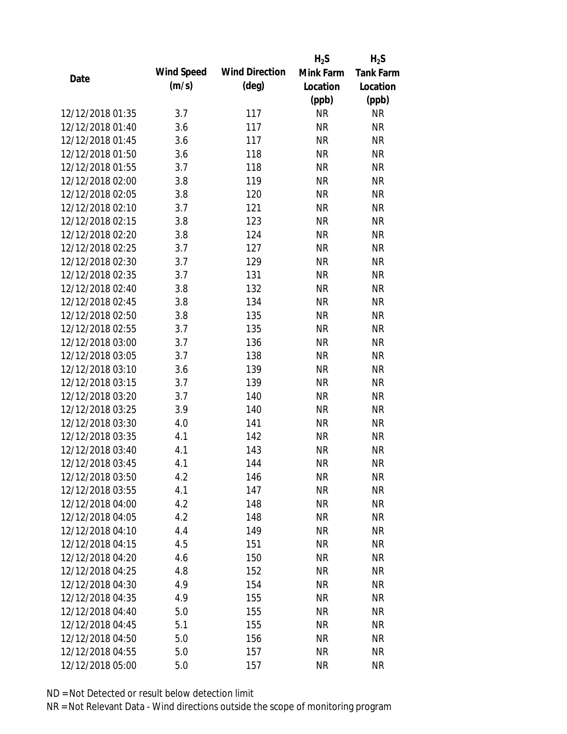|                  |            |                       | $H_2S$    | $H_2S$           |
|------------------|------------|-----------------------|-----------|------------------|
|                  | Wind Speed | <b>Wind Direction</b> | Mink Farm | <b>Tank Farm</b> |
| Date             | (m/s)      | $(\text{deg})$        | Location  | Location         |
|                  |            |                       | (ppb)     | (ppb)            |
| 12/12/2018 01:35 | 3.7        | 117                   | <b>NR</b> | <b>NR</b>        |
| 12/12/2018 01:40 | 3.6        | 117                   | <b>NR</b> | <b>NR</b>        |
| 12/12/2018 01:45 | 3.6        | 117                   | <b>NR</b> | <b>NR</b>        |
| 12/12/2018 01:50 | 3.6        | 118                   | <b>NR</b> | <b>NR</b>        |
| 12/12/2018 01:55 | 3.7        | 118                   | <b>NR</b> | <b>NR</b>        |
| 12/12/2018 02:00 | 3.8        | 119                   | <b>NR</b> | <b>NR</b>        |
| 12/12/2018 02:05 | 3.8        | 120                   | <b>NR</b> | <b>NR</b>        |
| 12/12/2018 02:10 | 3.7        | 121                   | <b>NR</b> | <b>NR</b>        |
| 12/12/2018 02:15 | 3.8        | 123                   | <b>NR</b> | <b>NR</b>        |
| 12/12/2018 02:20 | 3.8        | 124                   | <b>NR</b> | <b>NR</b>        |
| 12/12/2018 02:25 | 3.7        | 127                   | <b>NR</b> | <b>NR</b>        |
| 12/12/2018 02:30 | 3.7        | 129                   | <b>NR</b> | <b>NR</b>        |
| 12/12/2018 02:35 | 3.7        | 131                   | <b>NR</b> | <b>NR</b>        |
| 12/12/2018 02:40 | 3.8        | 132                   | <b>NR</b> | <b>NR</b>        |
| 12/12/2018 02:45 | 3.8        | 134                   | <b>NR</b> | <b>NR</b>        |
| 12/12/2018 02:50 | 3.8        | 135                   | <b>NR</b> | <b>NR</b>        |
| 12/12/2018 02:55 | 3.7        | 135                   | <b>NR</b> | <b>NR</b>        |
| 12/12/2018 03:00 | 3.7        | 136                   | <b>NR</b> | <b>NR</b>        |
| 12/12/2018 03:05 | 3.7        | 138                   | <b>NR</b> | <b>NR</b>        |
| 12/12/2018 03:10 | 3.6        | 139                   | <b>NR</b> | <b>NR</b>        |
| 12/12/2018 03:15 | 3.7        | 139                   | <b>NR</b> | <b>NR</b>        |
| 12/12/2018 03:20 | 3.7        | 140                   | <b>NR</b> | <b>NR</b>        |
| 12/12/2018 03:25 | 3.9        | 140                   | <b>NR</b> | <b>NR</b>        |
| 12/12/2018 03:30 | 4.0        | 141                   | <b>NR</b> | <b>NR</b>        |
| 12/12/2018 03:35 | 4.1        | 142                   | <b>NR</b> | <b>NR</b>        |
| 12/12/2018 03:40 | 4.1        | 143                   | <b>NR</b> | <b>NR</b>        |
| 12/12/2018 03:45 | 4.1        | 144                   | <b>NR</b> | <b>NR</b>        |
| 12/12/2018 03:50 | 4.2        | 146                   | <b>NR</b> | <b>NR</b>        |
| 12/12/2018 03:55 | 4.1        | 147                   | <b>NR</b> | <b>NR</b>        |
| 12/12/2018 04:00 | 4.2        | 148                   | NR        | <b>NR</b>        |
| 12/12/2018 04:05 | 4.2        | 148                   | <b>NR</b> | <b>NR</b>        |
| 12/12/2018 04:10 | 4.4        | 149                   | <b>NR</b> | <b>NR</b>        |
| 12/12/2018 04:15 | 4.5        | 151                   | <b>NR</b> | <b>NR</b>        |
| 12/12/2018 04:20 | 4.6        | 150                   | <b>NR</b> | <b>NR</b>        |
| 12/12/2018 04:25 | 4.8        | 152                   | <b>NR</b> | <b>NR</b>        |
| 12/12/2018 04:30 | 4.9        | 154                   | <b>NR</b> | <b>NR</b>        |
| 12/12/2018 04:35 | 4.9        | 155                   | <b>NR</b> | <b>NR</b>        |
| 12/12/2018 04:40 | 5.0        | 155                   | <b>NR</b> | <b>NR</b>        |
| 12/12/2018 04:45 | 5.1        | 155                   | <b>NR</b> | <b>NR</b>        |
| 12/12/2018 04:50 | 5.0        | 156                   | <b>NR</b> | <b>NR</b>        |
| 12/12/2018 04:55 | 5.0        | 157                   | <b>NR</b> | <b>NR</b>        |
| 12/12/2018 05:00 | 5.0        | 157                   | <b>NR</b> | <b>NR</b>        |
|                  |            |                       |           |                  |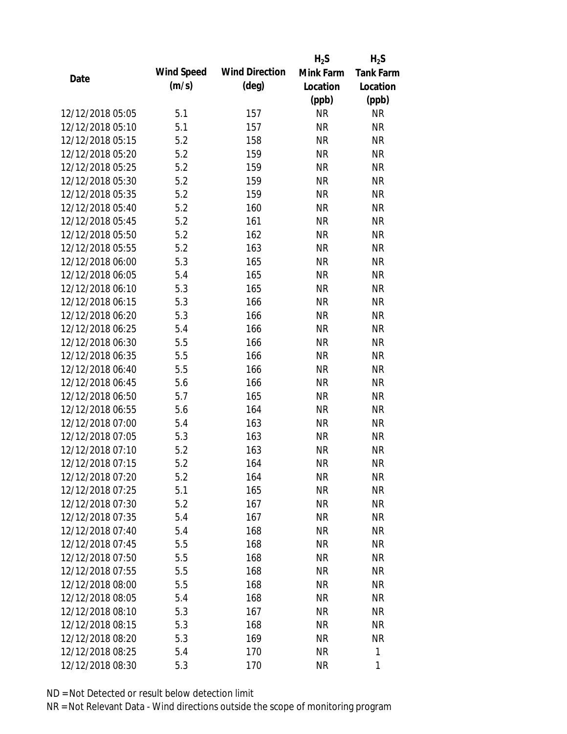|                  |            |                       | $H_2S$    | $H_2S$           |
|------------------|------------|-----------------------|-----------|------------------|
|                  | Wind Speed | <b>Wind Direction</b> | Mink Farm | <b>Tank Farm</b> |
| Date             | (m/s)      | $(\text{deg})$        | Location  | Location         |
|                  |            |                       | (ppb)     | (ppb)            |
| 12/12/2018 05:05 | 5.1        | 157                   | <b>NR</b> | <b>NR</b>        |
| 12/12/2018 05:10 | 5.1        | 157                   | <b>NR</b> | <b>NR</b>        |
| 12/12/2018 05:15 | 5.2        | 158                   | <b>NR</b> | <b>NR</b>        |
| 12/12/2018 05:20 | 5.2        | 159                   | <b>NR</b> | <b>NR</b>        |
| 12/12/2018 05:25 | 5.2        | 159                   | <b>NR</b> | <b>NR</b>        |
| 12/12/2018 05:30 | 5.2        | 159                   | <b>NR</b> | <b>NR</b>        |
| 12/12/2018 05:35 | 5.2        | 159                   | <b>NR</b> | <b>NR</b>        |
| 12/12/2018 05:40 | 5.2        | 160                   | <b>NR</b> | <b>NR</b>        |
| 12/12/2018 05:45 | 5.2        | 161                   | <b>NR</b> | <b>NR</b>        |
| 12/12/2018 05:50 | 5.2        | 162                   | <b>NR</b> | <b>NR</b>        |
| 12/12/2018 05:55 | 5.2        | 163                   | <b>NR</b> | <b>NR</b>        |
| 12/12/2018 06:00 | 5.3        | 165                   | <b>NR</b> | <b>NR</b>        |
| 12/12/2018 06:05 | 5.4        | 165                   | <b>NR</b> | <b>NR</b>        |
| 12/12/2018 06:10 | 5.3        | 165                   | <b>NR</b> | <b>NR</b>        |
| 12/12/2018 06:15 | 5.3        | 166                   | <b>NR</b> | <b>NR</b>        |
| 12/12/2018 06:20 | 5.3        | 166                   | <b>NR</b> | <b>NR</b>        |
| 12/12/2018 06:25 | 5.4        | 166                   | <b>NR</b> | <b>NR</b>        |
| 12/12/2018 06:30 | 5.5        | 166                   | <b>NR</b> | <b>NR</b>        |
| 12/12/2018 06:35 | 5.5        | 166                   | <b>NR</b> | <b>NR</b>        |
| 12/12/2018 06:40 | 5.5        | 166                   | <b>NR</b> | <b>NR</b>        |
| 12/12/2018 06:45 | 5.6        | 166                   | <b>NR</b> | <b>NR</b>        |
| 12/12/2018 06:50 | 5.7        | 165                   | <b>NR</b> | <b>NR</b>        |
| 12/12/2018 06:55 | 5.6        | 164                   | <b>NR</b> | <b>NR</b>        |
| 12/12/2018 07:00 | 5.4        | 163                   | <b>NR</b> | <b>NR</b>        |
| 12/12/2018 07:05 | 5.3        | 163                   | <b>NR</b> | <b>NR</b>        |
| 12/12/2018 07:10 | 5.2        | 163                   | <b>NR</b> | <b>NR</b>        |
| 12/12/2018 07:15 | 5.2        | 164                   | <b>NR</b> | <b>NR</b>        |
| 12/12/2018 07:20 | 5.2        | 164                   | <b>NR</b> | <b>NR</b>        |
| 12/12/2018 07:25 | 5.1        | 165                   | <b>NR</b> | <b>NR</b>        |
| 12/12/2018 07:30 | 5.2        | 167                   | <b>NR</b> | <b>NR</b>        |
| 12/12/2018 07:35 | 5.4        | 167                   | <b>NR</b> | <b>NR</b>        |
| 12/12/2018 07:40 | 5.4        | 168                   | <b>NR</b> | NR               |
| 12/12/2018 07:45 | 5.5        | 168                   | <b>NR</b> | NR               |
| 12/12/2018 07:50 | 5.5        | 168                   | <b>NR</b> | <b>NR</b>        |
| 12/12/2018 07:55 | 5.5        | 168                   | <b>NR</b> | <b>NR</b>        |
| 12/12/2018 08:00 | 5.5        | 168                   | <b>NR</b> | <b>NR</b>        |
| 12/12/2018 08:05 | 5.4        | 168                   | <b>NR</b> | <b>NR</b>        |
| 12/12/2018 08:10 | 5.3        | 167                   | <b>NR</b> | <b>NR</b>        |
| 12/12/2018 08:15 | 5.3        | 168                   | <b>NR</b> | <b>NR</b>        |
| 12/12/2018 08:20 | 5.3        | 169                   | <b>NR</b> | <b>NR</b>        |
|                  |            |                       |           |                  |
| 12/12/2018 08:25 | 5.4        | 170                   | <b>NR</b> | 1                |
| 12/12/2018 08:30 | 5.3        | 170                   | <b>NR</b> | 1                |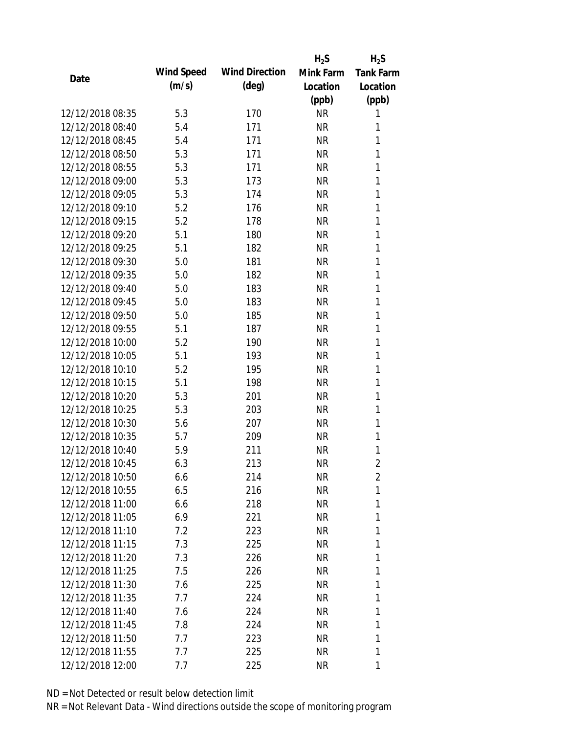|                  |            |                       | $H_2S$    | $H_2S$           |
|------------------|------------|-----------------------|-----------|------------------|
| Date             | Wind Speed | <b>Wind Direction</b> | Mink Farm | <b>Tank Farm</b> |
|                  | (m/s)      | $(\text{deg})$        | Location  | Location         |
|                  |            |                       | (ppb)     | (ppb)            |
| 12/12/2018 08:35 | 5.3        | 170                   | <b>NR</b> | 1                |
| 12/12/2018 08:40 | 5.4        | 171                   | <b>NR</b> | 1                |
| 12/12/2018 08:45 | 5.4        | 171                   | <b>NR</b> | 1                |
| 12/12/2018 08:50 | 5.3        | 171                   | <b>NR</b> | 1                |
| 12/12/2018 08:55 | 5.3        | 171                   | <b>NR</b> | 1                |
| 12/12/2018 09:00 | 5.3        | 173                   | <b>NR</b> | 1                |
| 12/12/2018 09:05 | 5.3        | 174                   | <b>NR</b> | 1                |
| 12/12/2018 09:10 | 5.2        | 176                   | <b>NR</b> | 1                |
| 12/12/2018 09:15 | 5.2        | 178                   | <b>NR</b> | 1                |
| 12/12/2018 09:20 | 5.1        | 180                   | <b>NR</b> | 1                |
| 12/12/2018 09:25 | 5.1        | 182                   | <b>NR</b> | 1                |
| 12/12/2018 09:30 | 5.0        | 181                   | <b>NR</b> | 1                |
| 12/12/2018 09:35 | 5.0        | 182                   | <b>NR</b> | 1                |
| 12/12/2018 09:40 | 5.0        | 183                   | <b>NR</b> | 1                |
| 12/12/2018 09:45 | 5.0        | 183                   | <b>NR</b> | 1                |
| 12/12/2018 09:50 | 5.0        | 185                   | <b>NR</b> | 1                |
| 12/12/2018 09:55 | 5.1        | 187                   | <b>NR</b> | 1                |
| 12/12/2018 10:00 | 5.2        | 190                   | <b>NR</b> | 1                |
| 12/12/2018 10:05 | 5.1        | 193                   | <b>NR</b> | 1                |
| 12/12/2018 10:10 | 5.2        | 195                   | <b>NR</b> | 1                |
| 12/12/2018 10:15 | 5.1        | 198                   | <b>NR</b> | 1                |
| 12/12/2018 10:20 | 5.3        | 201                   | <b>NR</b> | 1                |
| 12/12/2018 10:25 | 5.3        | 203                   | <b>NR</b> | 1                |
| 12/12/2018 10:30 | 5.6        | 207                   | <b>NR</b> | 1                |
| 12/12/2018 10:35 | 5.7        | 209                   | <b>NR</b> | 1                |
| 12/12/2018 10:40 | 5.9        | 211                   | <b>NR</b> | 1                |
| 12/12/2018 10:45 | 6.3        | 213                   | <b>NR</b> | $\overline{2}$   |
| 12/12/2018 10:50 | 6.6        | 214                   | <b>NR</b> | 2                |
| 12/12/2018 10:55 | 6.5        | 216                   | <b>NR</b> | 1                |
| 12/12/2018 11:00 | 6.6        | 218                   | <b>NR</b> | 1                |
| 12/12/2018 11:05 | 6.9        | 221                   | <b>NR</b> | 1                |
| 12/12/2018 11:10 | 7.2        | 223                   | <b>NR</b> | 1                |
| 12/12/2018 11:15 | 7.3        | 225                   | <b>NR</b> | 1                |
| 12/12/2018 11:20 | 7.3        | 226                   | <b>NR</b> | 1                |
| 12/12/2018 11:25 | 7.5        | 226                   | <b>NR</b> | 1                |
| 12/12/2018 11:30 | 7.6        | 225                   | <b>NR</b> | 1                |
| 12/12/2018 11:35 | 7.7        | 224                   | <b>NR</b> | 1                |
| 12/12/2018 11:40 | 7.6        | 224                   | <b>NR</b> | 1                |
| 12/12/2018 11:45 | 7.8        | 224                   | <b>NR</b> | 1                |
| 12/12/2018 11:50 | 7.7        | 223                   | <b>NR</b> | 1                |
| 12/12/2018 11:55 | 7.7        | 225                   | <b>NR</b> | 1                |
| 12/12/2018 12:00 | 7.7        | 225                   | <b>NR</b> | 1                |
|                  |            |                       |           |                  |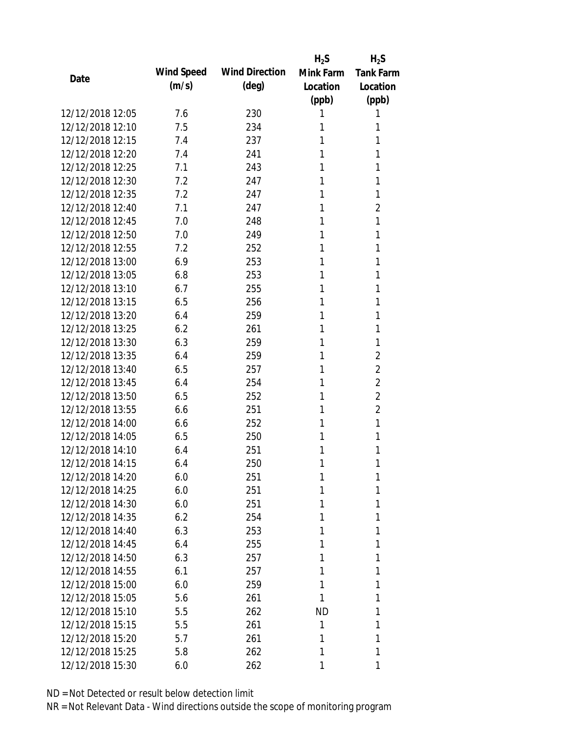|                  |            |                       | $H_2S$    | $H_2S$           |
|------------------|------------|-----------------------|-----------|------------------|
|                  | Wind Speed | <b>Wind Direction</b> | Mink Farm | <b>Tank Farm</b> |
| Date             | (m/s)      | $(\text{deg})$        | Location  | Location         |
|                  |            |                       | (ppb)     | (ppb)            |
| 12/12/2018 12:05 | 7.6        | 230                   | 1         | 1                |
| 12/12/2018 12:10 | 7.5        | 234                   | 1         | 1                |
| 12/12/2018 12:15 | 7.4        | 237                   | 1         | 1                |
| 12/12/2018 12:20 | 7.4        | 241                   | 1         | 1                |
| 12/12/2018 12:25 | 7.1        | 243                   | 1         | 1                |
| 12/12/2018 12:30 | 7.2        | 247                   | 1         | 1                |
| 12/12/2018 12:35 | 7.2        | 247                   | 1         | 1                |
| 12/12/2018 12:40 | 7.1        | 247                   | 1         | $\overline{2}$   |
| 12/12/2018 12:45 | 7.0        | 248                   | 1         | 1                |
| 12/12/2018 12:50 | 7.0        | 249                   | 1         | 1                |
| 12/12/2018 12:55 | 7.2        | 252                   | 1         | 1                |
| 12/12/2018 13:00 | 6.9        | 253                   | 1         | 1                |
| 12/12/2018 13:05 | 6.8        | 253                   | 1         | 1                |
| 12/12/2018 13:10 | 6.7        | 255                   | 1         | 1                |
| 12/12/2018 13:15 | 6.5        | 256                   | 1         | 1                |
| 12/12/2018 13:20 | 6.4        | 259                   | 1         | 1                |
| 12/12/2018 13:25 | 6.2        | 261                   | 1         | 1                |
| 12/12/2018 13:30 | 6.3        | 259                   | 1         | 1                |
| 12/12/2018 13:35 | 6.4        | 259                   | 1         | $\overline{2}$   |
| 12/12/2018 13:40 | 6.5        | 257                   | 1         | $\overline{2}$   |
| 12/12/2018 13:45 | 6.4        | 254                   | 1         | $\overline{2}$   |
| 12/12/2018 13:50 | 6.5        | 252                   | 1         | $\overline{2}$   |
| 12/12/2018 13:55 | 6.6        | 251                   | 1         | 2                |
| 12/12/2018 14:00 | 6.6        | 252                   | 1         | 1                |
| 12/12/2018 14:05 | 6.5        | 250                   | 1         | 1                |
| 12/12/2018 14:10 | 6.4        | 251                   | 1         | 1                |
| 12/12/2018 14:15 | 6.4        | 250                   | 1         | 1                |
| 12/12/2018 14:20 | 6.0        | 251                   | 1         | 1                |
| 12/12/2018 14:25 | 6.0        | 251                   | 1         | 1                |
| 12/12/2018 14:30 | 6.0        | 251                   | 1         | 1                |
| 12/12/2018 14:35 | 6.2        | 254                   | 1         | 1                |
| 12/12/2018 14:40 | 6.3        | 253                   | 1         | 1                |
| 12/12/2018 14:45 | 6.4        | 255                   | 1         | 1                |
| 12/12/2018 14:50 | 6.3        | 257                   | 1         | 1                |
| 12/12/2018 14:55 | 6.1        | 257                   | 1         | 1                |
| 12/12/2018 15:00 | 6.0        | 259                   | 1         | 1                |
| 12/12/2018 15:05 | 5.6        | 261                   | 1         | 1                |
| 12/12/2018 15:10 | 5.5        | 262                   | <b>ND</b> | 1                |
| 12/12/2018 15:15 | 5.5        | 261                   | 1         | 1                |
| 12/12/2018 15:20 | 5.7        | 261                   | 1         | 1                |
| 12/12/2018 15:25 | 5.8        | 262                   | 1         | 1                |
| 12/12/2018 15:30 | 6.0        | 262                   | 1         | 1                |
|                  |            |                       |           |                  |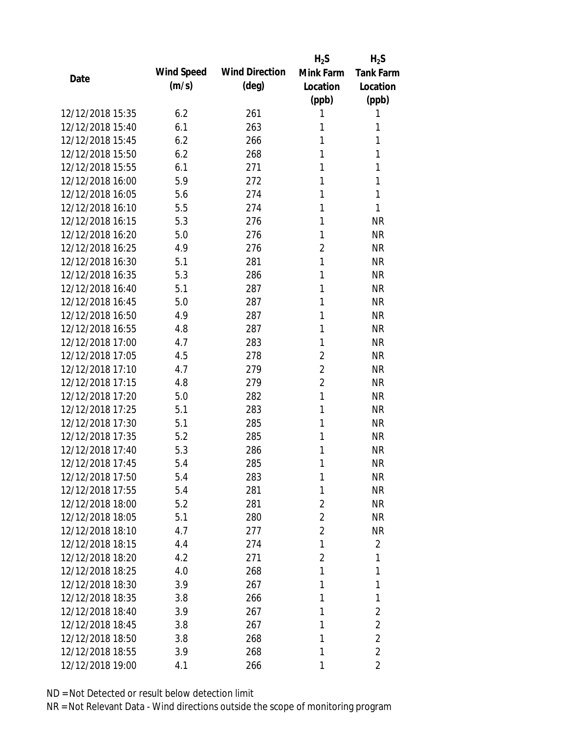|                  |            |                       | $H_2S$         | $H_2S$           |
|------------------|------------|-----------------------|----------------|------------------|
| Date             | Wind Speed | <b>Wind Direction</b> | Mink Farm      | <b>Tank Farm</b> |
|                  | (m/s)      | $(\text{deg})$        | Location       | Location         |
|                  |            |                       | (ppb)          | (ppb)            |
| 12/12/2018 15:35 | 6.2        | 261                   | 1              | 1                |
| 12/12/2018 15:40 | 6.1        | 263                   | 1              | 1                |
| 12/12/2018 15:45 | 6.2        | 266                   | 1              | 1                |
| 12/12/2018 15:50 | 6.2        | 268                   | 1              | 1                |
| 12/12/2018 15:55 | 6.1        | 271                   | 1              | 1                |
| 12/12/2018 16:00 | 5.9        | 272                   | 1              | 1                |
| 12/12/2018 16:05 | 5.6        | 274                   | 1              | 1                |
| 12/12/2018 16:10 | 5.5        | 274                   | 1              | 1                |
| 12/12/2018 16:15 | 5.3        | 276                   | 1              | <b>NR</b>        |
| 12/12/2018 16:20 | 5.0        | 276                   | 1              | <b>NR</b>        |
| 12/12/2018 16:25 | 4.9        | 276                   | $\overline{2}$ | <b>NR</b>        |
| 12/12/2018 16:30 | 5.1        | 281                   | 1              | <b>NR</b>        |
| 12/12/2018 16:35 | 5.3        | 286                   | 1              | <b>NR</b>        |
| 12/12/2018 16:40 | 5.1        | 287                   | 1              | <b>NR</b>        |
| 12/12/2018 16:45 | 5.0        | 287                   | 1              | <b>NR</b>        |
| 12/12/2018 16:50 | 4.9        | 287                   | 1              | <b>NR</b>        |
| 12/12/2018 16:55 | 4.8        | 287                   | 1              | <b>NR</b>        |
| 12/12/2018 17:00 | 4.7        | 283                   | 1              | <b>NR</b>        |
| 12/12/2018 17:05 | 4.5        | 278                   | $\overline{2}$ | <b>NR</b>        |
| 12/12/2018 17:10 | 4.7        | 279                   | $\overline{2}$ | <b>NR</b>        |
| 12/12/2018 17:15 | 4.8        | 279                   | $\overline{2}$ | <b>NR</b>        |
| 12/12/2018 17:20 | 5.0        | 282                   | 1              | <b>NR</b>        |
| 12/12/2018 17:25 | 5.1        | 283                   | 1              | <b>NR</b>        |
| 12/12/2018 17:30 | 5.1        | 285                   | 1              | <b>NR</b>        |
| 12/12/2018 17:35 | 5.2        | 285                   | 1              | <b>NR</b>        |
| 12/12/2018 17:40 | 5.3        | 286                   | 1              | <b>NR</b>        |
| 12/12/2018 17:45 | 5.4        | 285                   | 1              | <b>NR</b>        |
| 12/12/2018 17:50 | 5.4        | 283                   | 1              | <b>NR</b>        |
| 12/12/2018 17:55 | 5.4        | 281                   | 1              | <b>NR</b>        |
| 12/12/2018 18:00 | 5.2        | 281                   | 2              | <b>NR</b>        |
| 12/12/2018 18:05 | 5.1        | 280                   | $\overline{2}$ | <b>NR</b>        |
| 12/12/2018 18:10 | 4.7        | 277                   | $\overline{2}$ | <b>NR</b>        |
| 12/12/2018 18:15 | 4.4        | 274                   | 1              | 2                |
| 12/12/2018 18:20 | 4.2        | 271                   | $\overline{2}$ | 1                |
| 12/12/2018 18:25 | 4.0        | 268                   | 1              | 1                |
| 12/12/2018 18:30 | 3.9        | 267                   | 1              | 1                |
| 12/12/2018 18:35 | 3.8        | 266                   | 1              | 1                |
| 12/12/2018 18:40 | 3.9        | 267                   | 1              | 2                |
| 12/12/2018 18:45 | 3.8        | 267                   | 1              | $\overline{2}$   |
| 12/12/2018 18:50 | 3.8        | 268                   | 1              | $\overline{2}$   |
| 12/12/2018 18:55 | 3.9        | 268                   | 1              | $\overline{2}$   |
| 12/12/2018 19:00 | 4.1        | 266                   | 1              | 2                |
|                  |            |                       |                |                  |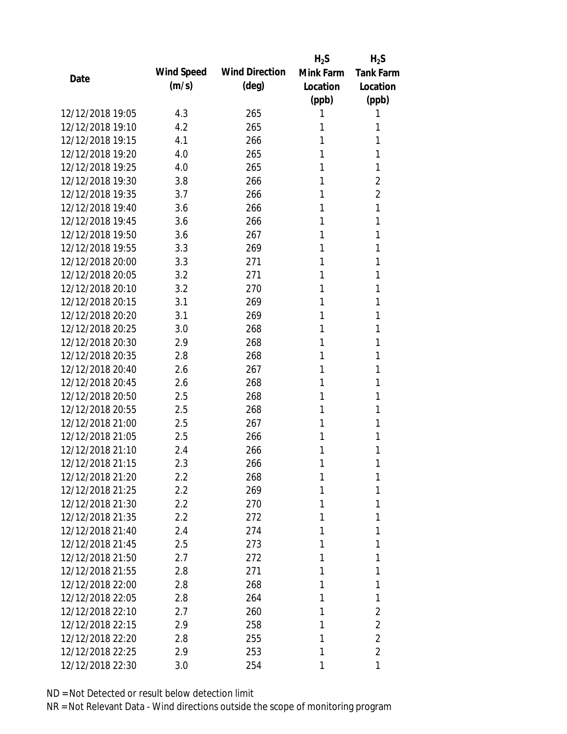|                  |            |                       | $H_2S$    | $H_2S$           |
|------------------|------------|-----------------------|-----------|------------------|
| Date             | Wind Speed | <b>Wind Direction</b> | Mink Farm | <b>Tank Farm</b> |
|                  | (m/s)      | $(\text{deg})$        | Location  | Location         |
|                  |            |                       | (ppb)     | (ppb)            |
| 12/12/2018 19:05 | 4.3        | 265                   | 1         | 1                |
| 12/12/2018 19:10 | 4.2        | 265                   | 1         | 1                |
| 12/12/2018 19:15 | 4.1        | 266                   | 1         | 1                |
| 12/12/2018 19:20 | 4.0        | 265                   | 1         | 1                |
| 12/12/2018 19:25 | 4.0        | 265                   | 1         | 1                |
| 12/12/2018 19:30 | 3.8        | 266                   | 1         | 2                |
| 12/12/2018 19:35 | 3.7        | 266                   | 1         | $\overline{2}$   |
| 12/12/2018 19:40 | 3.6        | 266                   | 1         | 1                |
| 12/12/2018 19:45 | 3.6        | 266                   | 1         | 1                |
| 12/12/2018 19:50 | 3.6        | 267                   | 1         | 1                |
| 12/12/2018 19:55 | 3.3        | 269                   | 1         | 1                |
| 12/12/2018 20:00 | 3.3        | 271                   | 1         | 1                |
| 12/12/2018 20:05 | 3.2        | 271                   | 1         | 1                |
| 12/12/2018 20:10 | 3.2        | 270                   | 1         | 1                |
| 12/12/2018 20:15 | 3.1        | 269                   | 1         | 1                |
| 12/12/2018 20:20 | 3.1        | 269                   | 1         | 1                |
| 12/12/2018 20:25 | 3.0        | 268                   | 1         | 1                |
| 12/12/2018 20:30 | 2.9        | 268                   | 1         | 1                |
| 12/12/2018 20:35 | 2.8        | 268                   | 1         | 1                |
| 12/12/2018 20:40 | 2.6        | 267                   | 1         | 1                |
| 12/12/2018 20:45 | 2.6        | 268                   | 1         | 1                |
| 12/12/2018 20:50 | 2.5        | 268                   | 1         | 1                |
| 12/12/2018 20:55 | 2.5        | 268                   | 1         | 1                |
| 12/12/2018 21:00 | 2.5        | 267                   | 1         | 1                |
| 12/12/2018 21:05 | 2.5        | 266                   | 1         | 1                |
| 12/12/2018 21:10 | 2.4        | 266                   | 1         | 1                |
| 12/12/2018 21:15 | 2.3        | 266                   | 1         | 1                |
| 12/12/2018 21:20 | $2.2\,$    | 268                   | 1         | 1                |
| 12/12/2018 21:25 | 2.2        | 269                   | 1         | 1                |
| 12/12/2018 21:30 | $2.2\,$    | 270                   | 1         | 1                |
| 12/12/2018 21:35 | 2.2        | 272                   | 1         | 1                |
| 12/12/2018 21:40 | 2.4        | 274                   | 1         | 1                |
| 12/12/2018 21:45 | 2.5        | 273                   | 1         | 1                |
| 12/12/2018 21:50 | 2.7        | 272                   | 1         | 1                |
| 12/12/2018 21:55 | 2.8        | 271                   | 1         | 1                |
| 12/12/2018 22:00 | 2.8        | 268                   | 1         | 1                |
| 12/12/2018 22:05 | 2.8        | 264                   | 1         | 1                |
| 12/12/2018 22:10 | 2.7        | 260                   | 1         | 2                |
| 12/12/2018 22:15 | 2.9        | 258                   | 1         | $\overline{2}$   |
| 12/12/2018 22:20 | 2.8        | 255                   | 1         | $\overline{2}$   |
| 12/12/2018 22:25 | 2.9        | 253                   | 1         | $\overline{2}$   |
| 12/12/2018 22:30 | 3.0        | 254                   | 1         | 1                |
|                  |            |                       |           |                  |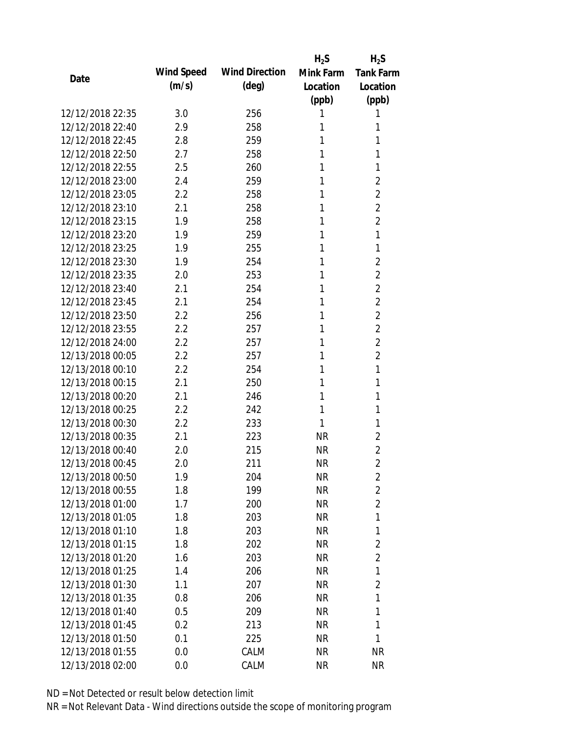|                  |            |                       | $H_2S$    | $H_2S$           |
|------------------|------------|-----------------------|-----------|------------------|
|                  | Wind Speed | <b>Wind Direction</b> | Mink Farm | <b>Tank Farm</b> |
| Date             | (m/s)      | $(\text{deg})$        | Location  | Location         |
|                  |            |                       | (ppb)     | (ppb)            |
| 12/12/2018 22:35 | 3.0        | 256                   | 1         | 1                |
| 12/12/2018 22:40 | 2.9        | 258                   | 1         | 1                |
| 12/12/2018 22:45 | 2.8        | 259                   | 1         | 1                |
| 12/12/2018 22:50 | 2.7        | 258                   | 1         | 1                |
| 12/12/2018 22:55 | 2.5        | 260                   | 1         | 1                |
| 12/12/2018 23:00 | 2.4        | 259                   | 1         | 2                |
| 12/12/2018 23:05 | 2.2        | 258                   | 1         | $\overline{2}$   |
| 12/12/2018 23:10 | 2.1        | 258                   | 1         | $\overline{2}$   |
| 12/12/2018 23:15 | 1.9        | 258                   | 1         | $\overline{2}$   |
| 12/12/2018 23:20 | 1.9        | 259                   | 1         | 1                |
| 12/12/2018 23:25 | 1.9        | 255                   | 1         | 1                |
| 12/12/2018 23:30 | 1.9        | 254                   | 1         | $\overline{2}$   |
| 12/12/2018 23:35 | 2.0        | 253                   | 1         | $\overline{2}$   |
| 12/12/2018 23:40 | 2.1        | 254                   | 1         | $\overline{2}$   |
| 12/12/2018 23:45 | 2.1        | 254                   | 1         | $\overline{2}$   |
| 12/12/2018 23:50 | 2.2        | 256                   | 1         | $\overline{2}$   |
| 12/12/2018 23:55 | 2.2        | 257                   | 1         | $\overline{2}$   |
| 12/12/2018 24:00 | 2.2        | 257                   | 1         | $\overline{2}$   |
| 12/13/2018 00:05 | 2.2        | 257                   | 1         | $\overline{2}$   |
| 12/13/2018 00:10 | 2.2        | 254                   | 1         | 1                |
| 12/13/2018 00:15 | 2.1        | 250                   | 1         | 1                |
| 12/13/2018 00:20 | 2.1        | 246                   | 1         | 1                |
| 12/13/2018 00:25 | 2.2        | 242                   | 1         | 1                |
| 12/13/2018 00:30 | 2.2        | 233                   | 1         | 1                |
| 12/13/2018 00:35 | 2.1        | 223                   | <b>NR</b> | 2                |
| 12/13/2018 00:40 | 2.0        | 215                   | <b>NR</b> | 2                |
| 12/13/2018 00:45 | 2.0        | 211                   | <b>NR</b> | $\overline{2}$   |
| 12/13/2018 00:50 | 1.9        | 204                   | <b>NR</b> | 2                |
| 12/13/2018 00:55 | 1.8        | 199                   | <b>NR</b> | $\overline{2}$   |
| 12/13/2018 01:00 | 1.7        | 200                   | <b>NR</b> | $\overline{2}$   |
| 12/13/2018 01:05 | 1.8        | 203                   | <b>NR</b> | 1                |
| 12/13/2018 01:10 | 1.8        | 203                   | <b>NR</b> | 1                |
| 12/13/2018 01:15 | 1.8        | 202                   | <b>NR</b> | $\overline{2}$   |
| 12/13/2018 01:20 | 1.6        | 203                   | <b>NR</b> | $\overline{2}$   |
| 12/13/2018 01:25 | 1.4        | 206                   | <b>NR</b> | 1                |
| 12/13/2018 01:30 | 1.1        | 207                   | <b>NR</b> | $\overline{2}$   |
| 12/13/2018 01:35 | 0.8        | 206                   | <b>NR</b> | 1                |
| 12/13/2018 01:40 | 0.5        | 209                   | <b>NR</b> | 1                |
| 12/13/2018 01:45 | 0.2        | 213                   | <b>NR</b> | 1                |
| 12/13/2018 01:50 | 0.1        | 225                   | <b>NR</b> | 1                |
| 12/13/2018 01:55 | 0.0        | CALM                  | <b>NR</b> | <b>NR</b>        |
| 12/13/2018 02:00 | 0.0        | CALM                  | <b>NR</b> | <b>NR</b>        |
|                  |            |                       |           |                  |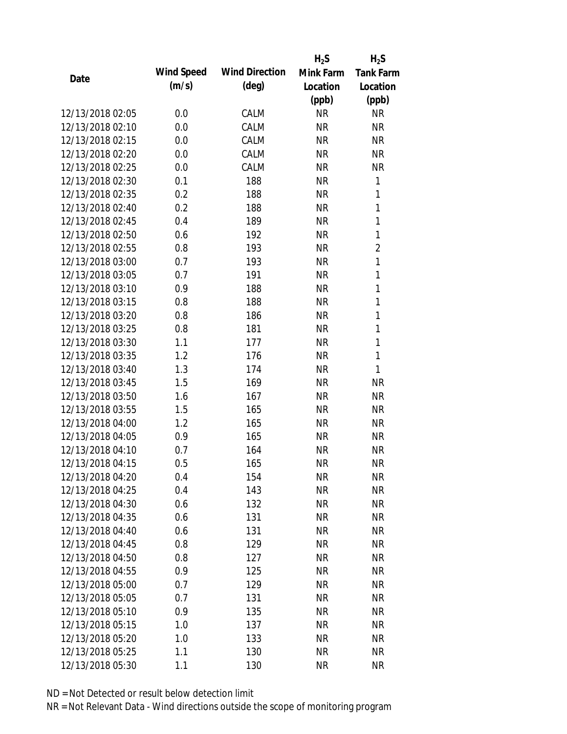|                  |            |                       | $H_2S$    | $H_2S$           |
|------------------|------------|-----------------------|-----------|------------------|
|                  | Wind Speed | <b>Wind Direction</b> | Mink Farm | <b>Tank Farm</b> |
| Date             | (m/s)      | $(\text{deg})$        | Location  | Location         |
|                  |            |                       | (ppb)     | (ppb)            |
| 12/13/2018 02:05 | 0.0        | CALM                  | <b>NR</b> | <b>NR</b>        |
| 12/13/2018 02:10 | 0.0        | CALM                  | <b>NR</b> | <b>NR</b>        |
| 12/13/2018 02:15 | 0.0        | CALM                  | <b>NR</b> | <b>NR</b>        |
| 12/13/2018 02:20 | 0.0        | CALM                  | <b>NR</b> | <b>NR</b>        |
| 12/13/2018 02:25 | 0.0        | CALM                  | <b>NR</b> | <b>NR</b>        |
| 12/13/2018 02:30 | 0.1        | 188                   | <b>NR</b> | 1                |
| 12/13/2018 02:35 | 0.2        | 188                   | <b>NR</b> | 1                |
| 12/13/2018 02:40 | 0.2        | 188                   | <b>NR</b> | 1                |
| 12/13/2018 02:45 | 0.4        | 189                   | <b>NR</b> | 1                |
| 12/13/2018 02:50 | 0.6        | 192                   | <b>NR</b> | 1                |
| 12/13/2018 02:55 | 0.8        | 193                   | <b>NR</b> | $\overline{2}$   |
| 12/13/2018 03:00 | 0.7        | 193                   | <b>NR</b> | 1                |
| 12/13/2018 03:05 | 0.7        | 191                   | <b>NR</b> | 1                |
| 12/13/2018 03:10 | 0.9        | 188                   | <b>NR</b> | 1                |
| 12/13/2018 03:15 | 0.8        | 188                   | <b>NR</b> | 1                |
| 12/13/2018 03:20 | 0.8        | 186                   | <b>NR</b> | 1                |
| 12/13/2018 03:25 | 0.8        | 181                   | <b>NR</b> | 1                |
| 12/13/2018 03:30 | 1.1        | 177                   | <b>NR</b> | 1                |
| 12/13/2018 03:35 | 1.2        | 176                   | <b>NR</b> | 1                |
| 12/13/2018 03:40 | 1.3        | 174                   | <b>NR</b> | $\mathbf{1}$     |
| 12/13/2018 03:45 | 1.5        | 169                   | <b>NR</b> | <b>NR</b>        |
| 12/13/2018 03:50 | 1.6        | 167                   | <b>NR</b> | <b>NR</b>        |
| 12/13/2018 03:55 | 1.5        | 165                   | <b>NR</b> | <b>NR</b>        |
| 12/13/2018 04:00 | 1.2        | 165                   | <b>NR</b> | <b>NR</b>        |
| 12/13/2018 04:05 | 0.9        | 165                   | <b>NR</b> | <b>NR</b>        |
| 12/13/2018 04:10 | 0.7        | 164                   | <b>NR</b> | <b>NR</b>        |
| 12/13/2018 04:15 | 0.5        | 165                   | <b>NR</b> | <b>NR</b>        |
| 12/13/2018 04:20 | 0.4        | 154                   | <b>NR</b> | <b>NR</b>        |
| 12/13/2018 04:25 | 0.4        | 143                   | <b>NR</b> | <b>NR</b>        |
| 12/13/2018 04:30 | 0.6        | 132                   | NR        | <b>NR</b>        |
| 12/13/2018 04:35 | 0.6        | 131                   | <b>NR</b> | <b>NR</b>        |
| 12/13/2018 04:40 | 0.6        | 131                   | <b>NR</b> | <b>NR</b>        |
| 12/13/2018 04:45 | 0.8        | 129                   | <b>NR</b> | <b>NR</b>        |
| 12/13/2018 04:50 | 0.8        | 127                   | <b>NR</b> | <b>NR</b>        |
| 12/13/2018 04:55 | 0.9        | 125                   | <b>NR</b> | <b>NR</b>        |
| 12/13/2018 05:00 | 0.7        | 129                   | <b>NR</b> | <b>NR</b>        |
| 12/13/2018 05:05 | 0.7        | 131                   | <b>NR</b> | <b>NR</b>        |
| 12/13/2018 05:10 | 0.9        | 135                   | <b>NR</b> | <b>NR</b>        |
| 12/13/2018 05:15 | 1.0        | 137                   | <b>NR</b> | <b>NR</b>        |
| 12/13/2018 05:20 | 1.0        | 133                   | <b>NR</b> | <b>NR</b>        |
| 12/13/2018 05:25 | 1.1        | 130                   | <b>NR</b> | <b>NR</b>        |
| 12/13/2018 05:30 | 1.1        | 130                   | <b>NR</b> | <b>NR</b>        |
|                  |            |                       |           |                  |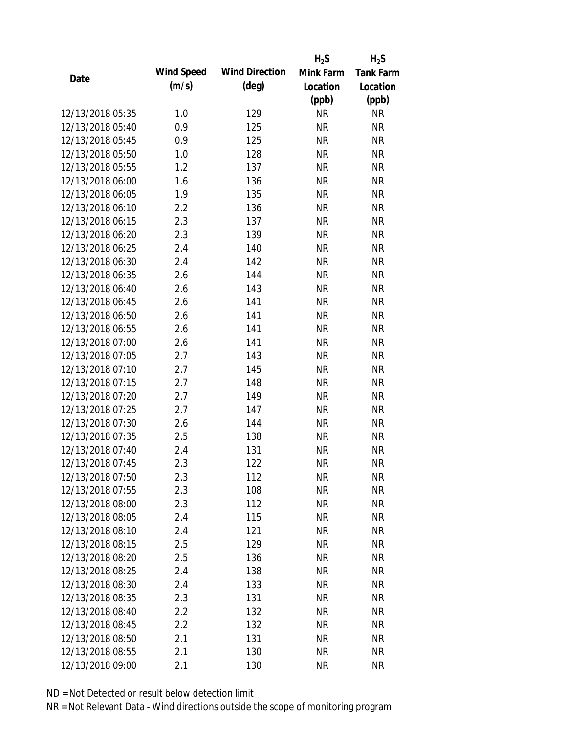|                  |            |                       | $H_2S$    | $H_2S$           |
|------------------|------------|-----------------------|-----------|------------------|
|                  | Wind Speed | <b>Wind Direction</b> | Mink Farm | <b>Tank Farm</b> |
| Date             | (m/s)      | $(\text{deg})$        | Location  | Location         |
|                  |            |                       | (ppb)     | (ppb)            |
| 12/13/2018 05:35 | 1.0        | 129                   | <b>NR</b> | <b>NR</b>        |
| 12/13/2018 05:40 | 0.9        | 125                   | <b>NR</b> | <b>NR</b>        |
| 12/13/2018 05:45 | 0.9        | 125                   | <b>NR</b> | <b>NR</b>        |
| 12/13/2018 05:50 | 1.0        | 128                   | <b>NR</b> | <b>NR</b>        |
| 12/13/2018 05:55 | 1.2        | 137                   | <b>NR</b> | <b>NR</b>        |
| 12/13/2018 06:00 | 1.6        | 136                   | <b>NR</b> | <b>NR</b>        |
| 12/13/2018 06:05 | 1.9        | 135                   | <b>NR</b> | <b>NR</b>        |
| 12/13/2018 06:10 | 2.2        | 136                   | <b>NR</b> | <b>NR</b>        |
| 12/13/2018 06:15 | 2.3        | 137                   | <b>NR</b> | <b>NR</b>        |
| 12/13/2018 06:20 | 2.3        | 139                   | <b>NR</b> | <b>NR</b>        |
| 12/13/2018 06:25 | 2.4        | 140                   | <b>NR</b> | <b>NR</b>        |
| 12/13/2018 06:30 | 2.4        | 142                   | <b>NR</b> | <b>NR</b>        |
| 12/13/2018 06:35 | 2.6        | 144                   | <b>NR</b> | <b>NR</b>        |
| 12/13/2018 06:40 | 2.6        | 143                   | <b>NR</b> | <b>NR</b>        |
| 12/13/2018 06:45 | 2.6        | 141                   | <b>NR</b> | <b>NR</b>        |
| 12/13/2018 06:50 | 2.6        | 141                   | <b>NR</b> | <b>NR</b>        |
| 12/13/2018 06:55 | 2.6        | 141                   | <b>NR</b> | <b>NR</b>        |
| 12/13/2018 07:00 | 2.6        | 141                   | <b>NR</b> | <b>NR</b>        |
| 12/13/2018 07:05 | 2.7        | 143                   | <b>NR</b> | <b>NR</b>        |
| 12/13/2018 07:10 | 2.7        | 145                   | <b>NR</b> | <b>NR</b>        |
| 12/13/2018 07:15 | 2.7        | 148                   | <b>NR</b> | <b>NR</b>        |
| 12/13/2018 07:20 | 2.7        | 149                   | <b>NR</b> | <b>NR</b>        |
| 12/13/2018 07:25 | 2.7        | 147                   | <b>NR</b> | <b>NR</b>        |
| 12/13/2018 07:30 | 2.6        | 144                   | <b>NR</b> | <b>NR</b>        |
| 12/13/2018 07:35 | 2.5        | 138                   | <b>NR</b> | <b>NR</b>        |
| 12/13/2018 07:40 | 2.4        | 131                   | <b>NR</b> | <b>NR</b>        |
| 12/13/2018 07:45 | 2.3        | 122                   | <b>NR</b> | <b>NR</b>        |
| 12/13/2018 07:50 | 2.3        | 112                   | <b>NR</b> | <b>NR</b>        |
| 12/13/2018 07:55 | 2.3        | 108                   | <b>NR</b> | <b>NR</b>        |
| 12/13/2018 08:00 | 2.3        | 112                   | NR        | <b>NR</b>        |
| 12/13/2018 08:05 | 2.4        | 115                   | <b>NR</b> | <b>NR</b>        |
| 12/13/2018 08:10 | 2.4        | 121                   | <b>NR</b> | <b>NR</b>        |
| 12/13/2018 08:15 | 2.5        | 129                   | <b>NR</b> | <b>NR</b>        |
| 12/13/2018 08:20 | 2.5        | 136                   | <b>NR</b> | <b>NR</b>        |
| 12/13/2018 08:25 | 2.4        | 138                   | <b>NR</b> | <b>NR</b>        |
| 12/13/2018 08:30 | 2.4        | 133                   | <b>NR</b> | <b>NR</b>        |
| 12/13/2018 08:35 | 2.3        | 131                   | <b>NR</b> | <b>NR</b>        |
| 12/13/2018 08:40 | 2.2        | 132                   | <b>NR</b> | <b>NR</b>        |
| 12/13/2018 08:45 | 2.2        | 132                   | <b>NR</b> | <b>NR</b>        |
| 12/13/2018 08:50 | 2.1        | 131                   | <b>NR</b> | <b>NR</b>        |
| 12/13/2018 08:55 | 2.1        | 130                   | <b>NR</b> | <b>NR</b>        |
| 12/13/2018 09:00 | 2.1        | 130                   | <b>NR</b> | <b>NR</b>        |
|                  |            |                       |           |                  |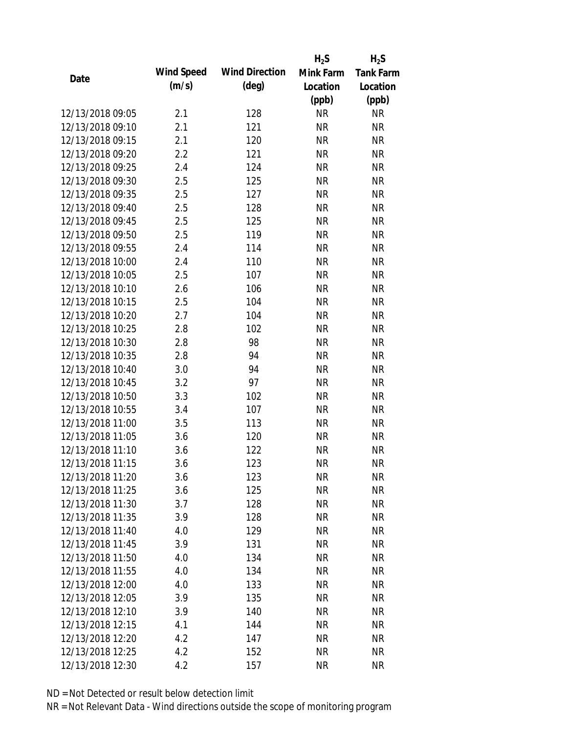|                  |            |                       | $H_2S$    | $H_2S$           |
|------------------|------------|-----------------------|-----------|------------------|
| Date             | Wind Speed | <b>Wind Direction</b> | Mink Farm | <b>Tank Farm</b> |
|                  | (m/s)      | $(\text{deg})$        | Location  | Location         |
|                  |            |                       | (ppb)     | (ppb)            |
| 12/13/2018 09:05 | 2.1        | 128                   | <b>NR</b> | <b>NR</b>        |
| 12/13/2018 09:10 | 2.1        | 121                   | <b>NR</b> | <b>NR</b>        |
| 12/13/2018 09:15 | 2.1        | 120                   | <b>NR</b> | <b>NR</b>        |
| 12/13/2018 09:20 | 2.2        | 121                   | <b>NR</b> | <b>NR</b>        |
| 12/13/2018 09:25 | 2.4        | 124                   | <b>NR</b> | <b>NR</b>        |
| 12/13/2018 09:30 | 2.5        | 125                   | <b>NR</b> | <b>NR</b>        |
| 12/13/2018 09:35 | 2.5        | 127                   | <b>NR</b> | <b>NR</b>        |
| 12/13/2018 09:40 | 2.5        | 128                   | <b>NR</b> | <b>NR</b>        |
| 12/13/2018 09:45 | 2.5        | 125                   | <b>NR</b> | <b>NR</b>        |
| 12/13/2018 09:50 | 2.5        | 119                   | <b>NR</b> | <b>NR</b>        |
| 12/13/2018 09:55 | 2.4        | 114                   | <b>NR</b> | <b>NR</b>        |
| 12/13/2018 10:00 | 2.4        | 110                   | <b>NR</b> | <b>NR</b>        |
| 12/13/2018 10:05 | 2.5        | 107                   | <b>NR</b> | <b>NR</b>        |
| 12/13/2018 10:10 | 2.6        | 106                   | <b>NR</b> | <b>NR</b>        |
| 12/13/2018 10:15 | 2.5        | 104                   | <b>NR</b> | <b>NR</b>        |
| 12/13/2018 10:20 | 2.7        | 104                   | <b>NR</b> | <b>NR</b>        |
| 12/13/2018 10:25 | 2.8        | 102                   | <b>NR</b> | <b>NR</b>        |
| 12/13/2018 10:30 | 2.8        | 98                    | <b>NR</b> | <b>NR</b>        |
| 12/13/2018 10:35 | 2.8        | 94                    | <b>NR</b> | <b>NR</b>        |
| 12/13/2018 10:40 | 3.0        | 94                    | <b>NR</b> | <b>NR</b>        |
| 12/13/2018 10:45 | 3.2        | 97                    | <b>NR</b> | <b>NR</b>        |
| 12/13/2018 10:50 | 3.3        | 102                   | <b>NR</b> | <b>NR</b>        |
| 12/13/2018 10:55 | 3.4        | 107                   | <b>NR</b> | <b>NR</b>        |
| 12/13/2018 11:00 | 3.5        | 113                   | <b>NR</b> | <b>NR</b>        |
| 12/13/2018 11:05 | 3.6        | 120                   | <b>NR</b> | <b>NR</b>        |
| 12/13/2018 11:10 | 3.6        | 122                   | <b>NR</b> | <b>NR</b>        |
| 12/13/2018 11:15 | 3.6        | 123                   | <b>NR</b> | <b>NR</b>        |
| 12/13/2018 11:20 | 3.6        | 123                   | <b>NR</b> | <b>NR</b>        |
| 12/13/2018 11:25 | 3.6        | 125                   | <b>NR</b> | <b>NR</b>        |
| 12/13/2018 11:30 | 3.7        | 128                   | NR        | <b>NR</b>        |
| 12/13/2018 11:35 | 3.9        | 128                   | <b>NR</b> | <b>NR</b>        |
| 12/13/2018 11:40 | 4.0        | 129                   | <b>NR</b> | <b>NR</b>        |
| 12/13/2018 11:45 | 3.9        | 131                   | <b>NR</b> | <b>NR</b>        |
| 12/13/2018 11:50 | 4.0        | 134                   | <b>NR</b> | <b>NR</b>        |
| 12/13/2018 11:55 | 4.0        | 134                   | <b>NR</b> | <b>NR</b>        |
| 12/13/2018 12:00 | 4.0        | 133                   | <b>NR</b> | <b>NR</b>        |
| 12/13/2018 12:05 | 3.9        | 135                   | <b>NR</b> | <b>NR</b>        |
| 12/13/2018 12:10 | 3.9        | 140                   | <b>NR</b> | <b>NR</b>        |
| 12/13/2018 12:15 | 4.1        | 144                   | <b>NR</b> | <b>NR</b>        |
| 12/13/2018 12:20 | 4.2        | 147                   | <b>NR</b> | <b>NR</b>        |
| 12/13/2018 12:25 | 4.2        | 152                   | <b>NR</b> | <b>NR</b>        |
| 12/13/2018 12:30 | 4.2        | 157                   | <b>NR</b> | <b>NR</b>        |
|                  |            |                       |           |                  |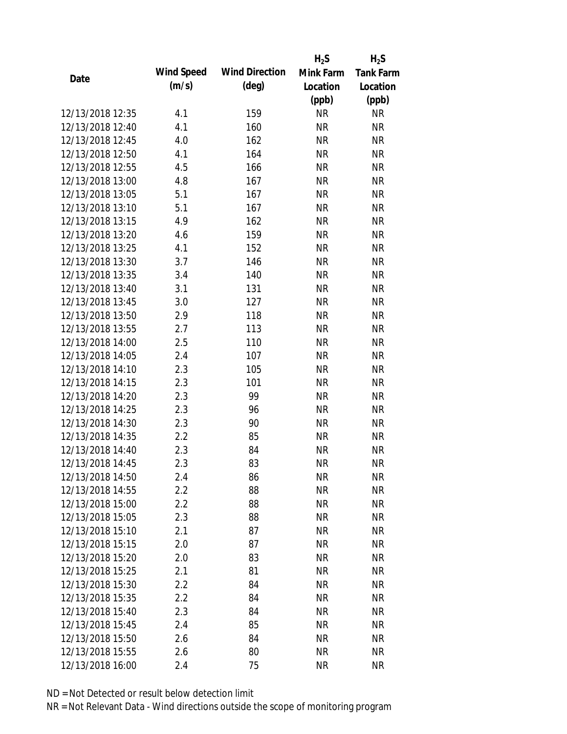|                  |            |                       | $H_2S$    | $H_2S$           |
|------------------|------------|-----------------------|-----------|------------------|
| Date             | Wind Speed | <b>Wind Direction</b> | Mink Farm | <b>Tank Farm</b> |
|                  | (m/s)      | $(\text{deg})$        | Location  | Location         |
|                  |            |                       | (ppb)     | (ppb)            |
| 12/13/2018 12:35 | 4.1        | 159                   | <b>NR</b> | <b>NR</b>        |
| 12/13/2018 12:40 | 4.1        | 160                   | <b>NR</b> | <b>NR</b>        |
| 12/13/2018 12:45 | 4.0        | 162                   | <b>NR</b> | <b>NR</b>        |
| 12/13/2018 12:50 | 4.1        | 164                   | <b>NR</b> | <b>NR</b>        |
| 12/13/2018 12:55 | 4.5        | 166                   | <b>NR</b> | <b>NR</b>        |
| 12/13/2018 13:00 | 4.8        | 167                   | <b>NR</b> | <b>NR</b>        |
| 12/13/2018 13:05 | 5.1        | 167                   | <b>NR</b> | <b>NR</b>        |
| 12/13/2018 13:10 | 5.1        | 167                   | <b>NR</b> | <b>NR</b>        |
| 12/13/2018 13:15 | 4.9        | 162                   | <b>NR</b> | <b>NR</b>        |
| 12/13/2018 13:20 | 4.6        | 159                   | <b>NR</b> | <b>NR</b>        |
| 12/13/2018 13:25 | 4.1        | 152                   | <b>NR</b> | <b>NR</b>        |
| 12/13/2018 13:30 | 3.7        | 146                   | <b>NR</b> | <b>NR</b>        |
| 12/13/2018 13:35 | 3.4        | 140                   | <b>NR</b> | <b>NR</b>        |
| 12/13/2018 13:40 | 3.1        | 131                   | <b>NR</b> | <b>NR</b>        |
| 12/13/2018 13:45 | 3.0        | 127                   | <b>NR</b> | <b>NR</b>        |
| 12/13/2018 13:50 | 2.9        | 118                   | <b>NR</b> | <b>NR</b>        |
| 12/13/2018 13:55 | 2.7        | 113                   | <b>NR</b> | <b>NR</b>        |
| 12/13/2018 14:00 | 2.5        | 110                   | <b>NR</b> | <b>NR</b>        |
| 12/13/2018 14:05 | 2.4        | 107                   | <b>NR</b> | <b>NR</b>        |
| 12/13/2018 14:10 | 2.3        | 105                   | <b>NR</b> | <b>NR</b>        |
| 12/13/2018 14:15 | 2.3        | 101                   | <b>NR</b> | <b>NR</b>        |
| 12/13/2018 14:20 | 2.3        | 99                    | <b>NR</b> | <b>NR</b>        |
| 12/13/2018 14:25 | 2.3        | 96                    | <b>NR</b> | <b>NR</b>        |
| 12/13/2018 14:30 | 2.3        | 90                    | <b>NR</b> | <b>NR</b>        |
| 12/13/2018 14:35 | 2.2        | 85                    | <b>NR</b> | <b>NR</b>        |
| 12/13/2018 14:40 | 2.3        | 84                    | <b>NR</b> | <b>NR</b>        |
| 12/13/2018 14:45 | 2.3        | 83                    | <b>NR</b> | <b>NR</b>        |
| 12/13/2018 14:50 | 2.4        | 86                    | <b>NR</b> | <b>NR</b>        |
| 12/13/2018 14:55 | 2.2        | 88                    | <b>NR</b> | <b>NR</b>        |
| 12/13/2018 15:00 | 2.2        | 88                    | NR        | <b>NR</b>        |
| 12/13/2018 15:05 | 2.3        | 88                    | <b>NR</b> | <b>NR</b>        |
| 12/13/2018 15:10 | 2.1        | 87                    | <b>NR</b> | <b>NR</b>        |
| 12/13/2018 15:15 | 2.0        | 87                    | <b>NR</b> | <b>NR</b>        |
| 12/13/2018 15:20 | 2.0        | 83                    | <b>NR</b> | <b>NR</b>        |
| 12/13/2018 15:25 | 2.1        | 81                    | <b>NR</b> | <b>NR</b>        |
| 12/13/2018 15:30 | 2.2        | 84                    | <b>NR</b> | <b>NR</b>        |
| 12/13/2018 15:35 | 2.2        | 84                    | <b>NR</b> | <b>NR</b>        |
| 12/13/2018 15:40 | 2.3        | 84                    | <b>NR</b> | <b>NR</b>        |
| 12/13/2018 15:45 | 2.4        | 85                    | <b>NR</b> | <b>NR</b>        |
| 12/13/2018 15:50 | 2.6        | 84                    | <b>NR</b> | <b>NR</b>        |
| 12/13/2018 15:55 | 2.6        | 80                    | <b>NR</b> | <b>NR</b>        |
| 12/13/2018 16:00 | 2.4        | 75                    | <b>NR</b> | <b>NR</b>        |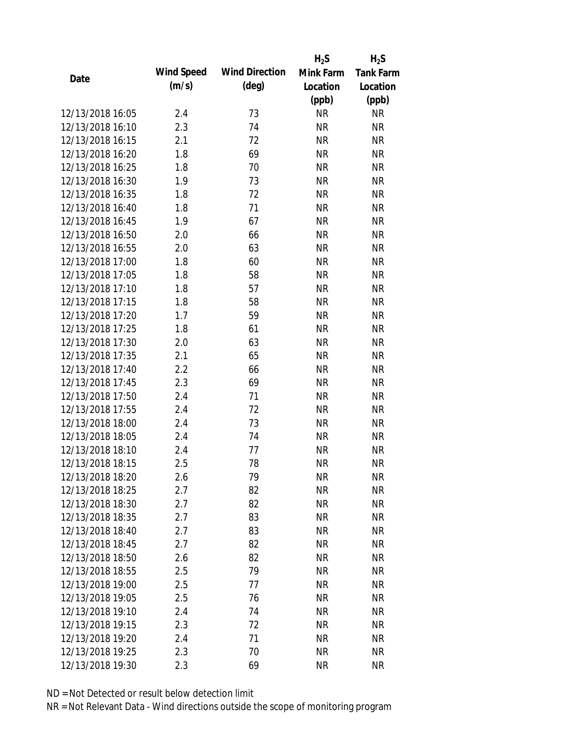|                  |            |                       | $H_2S$    | $H_2S$           |
|------------------|------------|-----------------------|-----------|------------------|
|                  | Wind Speed | <b>Wind Direction</b> | Mink Farm | <b>Tank Farm</b> |
| Date             | (m/s)      | $(\text{deg})$        | Location  | Location         |
|                  |            |                       | (ppb)     | (ppb)            |
| 12/13/2018 16:05 | 2.4        | 73                    | <b>NR</b> | <b>NR</b>        |
| 12/13/2018 16:10 | 2.3        | 74                    | <b>NR</b> | <b>NR</b>        |
| 12/13/2018 16:15 | 2.1        | 72                    | <b>NR</b> | <b>NR</b>        |
| 12/13/2018 16:20 | 1.8        | 69                    | <b>NR</b> | <b>NR</b>        |
| 12/13/2018 16:25 | 1.8        | 70                    | <b>NR</b> | <b>NR</b>        |
| 12/13/2018 16:30 | 1.9        | 73                    | <b>NR</b> | <b>NR</b>        |
| 12/13/2018 16:35 | 1.8        | 72                    | <b>NR</b> | <b>NR</b>        |
| 12/13/2018 16:40 | 1.8        | 71                    | <b>NR</b> | <b>NR</b>        |
| 12/13/2018 16:45 | 1.9        | 67                    | <b>NR</b> | <b>NR</b>        |
| 12/13/2018 16:50 | 2.0        | 66                    | <b>NR</b> | <b>NR</b>        |
| 12/13/2018 16:55 | 2.0        | 63                    | <b>NR</b> | <b>NR</b>        |
| 12/13/2018 17:00 | 1.8        | 60                    | <b>NR</b> | <b>NR</b>        |
| 12/13/2018 17:05 | 1.8        | 58                    | <b>NR</b> | <b>NR</b>        |
| 12/13/2018 17:10 | 1.8        | 57                    | <b>NR</b> | <b>NR</b>        |
| 12/13/2018 17:15 | 1.8        | 58                    | <b>NR</b> | <b>NR</b>        |
| 12/13/2018 17:20 | 1.7        | 59                    | <b>NR</b> | <b>NR</b>        |
| 12/13/2018 17:25 | 1.8        | 61                    | <b>NR</b> | <b>NR</b>        |
| 12/13/2018 17:30 | 2.0        | 63                    | <b>NR</b> | <b>NR</b>        |
| 12/13/2018 17:35 | 2.1        | 65                    | <b>NR</b> | <b>NR</b>        |
| 12/13/2018 17:40 | 2.2        | 66                    | <b>NR</b> | <b>NR</b>        |
| 12/13/2018 17:45 | 2.3        | 69                    | <b>NR</b> | <b>NR</b>        |
| 12/13/2018 17:50 | 2.4        | 71                    | <b>NR</b> | <b>NR</b>        |
| 12/13/2018 17:55 | 2.4        | 72                    | <b>NR</b> | <b>NR</b>        |
| 12/13/2018 18:00 | 2.4        | 73                    | <b>NR</b> | <b>NR</b>        |
| 12/13/2018 18:05 | 2.4        | 74                    | <b>NR</b> | <b>NR</b>        |
| 12/13/2018 18:10 | 2.4        | 77                    | <b>NR</b> | <b>NR</b>        |
| 12/13/2018 18:15 | 2.5        | 78                    | <b>NR</b> | <b>NR</b>        |
| 12/13/2018 18:20 | 2.6        | 79                    | <b>NR</b> | <b>NR</b>        |
| 12/13/2018 18:25 | 2.7        | 82                    | <b>NR</b> | <b>NR</b>        |
| 12/13/2018 18:30 | 2.7        | 82                    | <b>NR</b> | <b>NR</b>        |
| 12/13/2018 18:35 | 2.7        | 83                    | <b>NR</b> | <b>NR</b>        |
| 12/13/2018 18:40 | 2.7        | 83                    | <b>NR</b> | NR               |
| 12/13/2018 18:45 | 2.7        | 82                    | <b>NR</b> | NR               |
| 12/13/2018 18:50 | 2.6        | 82                    | <b>NR</b> | <b>NR</b>        |
| 12/13/2018 18:55 | 2.5        | 79                    | <b>NR</b> | <b>NR</b>        |
| 12/13/2018 19:00 | 2.5        | 77                    | NR        | NR               |
| 12/13/2018 19:05 | 2.5        | 76                    | <b>NR</b> | <b>NR</b>        |
| 12/13/2018 19:10 | 2.4        | 74                    | <b>NR</b> | <b>NR</b>        |
| 12/13/2018 19:15 | 2.3        | 72                    | <b>NR</b> | <b>NR</b>        |
| 12/13/2018 19:20 | 2.4        | 71                    | <b>NR</b> | NR               |
| 12/13/2018 19:25 | 2.3        | 70                    | <b>NR</b> | <b>NR</b>        |
| 12/13/2018 19:30 | 2.3        | 69                    | <b>NR</b> | <b>NR</b>        |
|                  |            |                       |           |                  |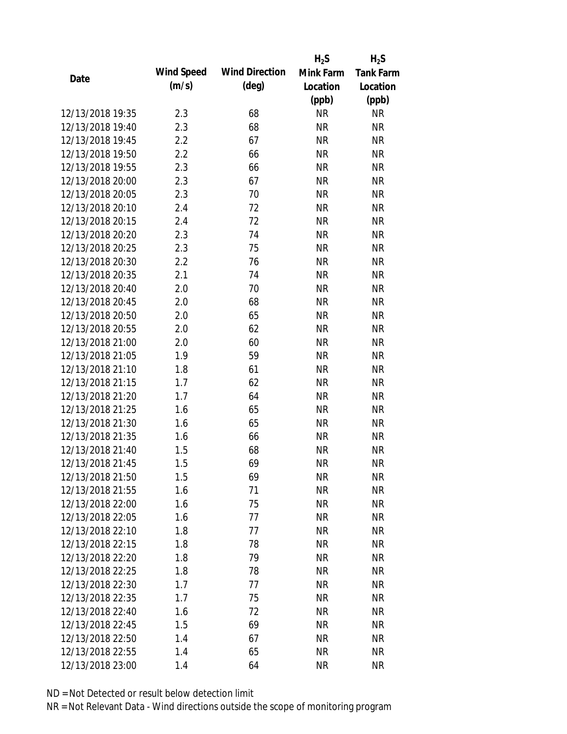|                                      |            |                       | $H_2S$    | $H_2S$           |
|--------------------------------------|------------|-----------------------|-----------|------------------|
| Date                                 | Wind Speed | <b>Wind Direction</b> | Mink Farm | <b>Tank Farm</b> |
|                                      | (m/s)      | $(\text{deg})$        | Location  | Location         |
|                                      |            |                       | (ppb)     | (ppb)            |
| 12/13/2018 19:35                     | 2.3        | 68                    | <b>NR</b> | NR               |
| 12/13/2018 19:40                     | 2.3        | 68                    | <b>NR</b> | <b>NR</b>        |
| 12/13/2018 19:45                     | 2.2        | 67                    | <b>NR</b> | <b>NR</b>        |
| 12/13/2018 19:50                     | 2.2        | 66                    | <b>NR</b> | <b>NR</b>        |
| 12/13/2018 19:55                     | 2.3        | 66                    | <b>NR</b> | <b>NR</b>        |
| 12/13/2018 20:00                     | 2.3        | 67                    | <b>NR</b> | <b>NR</b>        |
| 12/13/2018 20:05                     | 2.3        | 70                    | <b>NR</b> | <b>NR</b>        |
| 12/13/2018 20:10                     | 2.4        | 72                    | <b>NR</b> | <b>NR</b>        |
| 12/13/2018 20:15                     | 2.4        | 72                    | <b>NR</b> | <b>NR</b>        |
| 12/13/2018 20:20                     | 2.3        | 74                    | <b>NR</b> | <b>NR</b>        |
| 12/13/2018 20:25                     | 2.3        | 75                    | <b>NR</b> | <b>NR</b>        |
| 12/13/2018 20:30                     | 2.2        | 76                    | <b>NR</b> | <b>NR</b>        |
| 12/13/2018 20:35                     | 2.1        | 74                    | <b>NR</b> | <b>NR</b>        |
| 12/13/2018 20:40                     | 2.0        | 70                    | <b>NR</b> | <b>NR</b>        |
| 12/13/2018 20:45                     | 2.0        | 68                    | <b>NR</b> | <b>NR</b>        |
| 12/13/2018 20:50                     | 2.0        | 65                    | <b>NR</b> | <b>NR</b>        |
| 12/13/2018 20:55                     | 2.0        | 62                    | <b>NR</b> | <b>NR</b>        |
| 12/13/2018 21:00                     | 2.0        | 60                    | <b>NR</b> | <b>NR</b>        |
| 12/13/2018 21:05                     | 1.9        | 59                    | <b>NR</b> | <b>NR</b>        |
| 12/13/2018 21:10                     | 1.8        | 61                    | <b>NR</b> | <b>NR</b>        |
| 12/13/2018 21:15                     | 1.7        | 62                    | <b>NR</b> | <b>NR</b>        |
| 12/13/2018 21:20                     | 1.7        | 64                    | <b>NR</b> | <b>NR</b>        |
| 12/13/2018 21:25                     | 1.6        | 65                    | <b>NR</b> | <b>NR</b>        |
| 12/13/2018 21:30                     | 1.6        | 65                    | <b>NR</b> | <b>NR</b>        |
| 12/13/2018 21:35                     | 1.6        | 66                    | <b>NR</b> | <b>NR</b>        |
| 12/13/2018 21:40                     | 1.5        | 68                    | <b>NR</b> | <b>NR</b>        |
| 12/13/2018 21:45                     | 1.5        | 69                    | <b>NR</b> | <b>NR</b>        |
| 12/13/2018 21:50                     | 1.5        | 69                    | <b>NR</b> | <b>NR</b>        |
| 12/13/2018 21:55                     | 1.6        | 71                    | <b>NR</b> | <b>NR</b>        |
| 12/13/2018 22:00                     | 1.6        | 75                    | <b>NR</b> | <b>NR</b>        |
| 12/13/2018 22:05                     | 1.6        | 77                    | <b>NR</b> | <b>NR</b>        |
| 12/13/2018 22:10                     | 1.8        | 77                    | <b>NR</b> | <b>NR</b>        |
| 12/13/2018 22:15                     | 1.8        | 78                    | <b>NR</b> | <b>NR</b>        |
| 12/13/2018 22:20                     | 1.8        | 79                    | <b>NR</b> | <b>NR</b>        |
| 12/13/2018 22:25                     | 1.8        | 78                    | <b>NR</b> | NR               |
|                                      |            |                       |           |                  |
| 12/13/2018 22:30<br>12/13/2018 22:35 | 1.7<br>1.7 | 77<br>75              | <b>NR</b> | <b>NR</b>        |
|                                      |            |                       | <b>NR</b> | NR               |
| 12/13/2018 22:40                     | 1.6        | 72                    | <b>NR</b> | NR               |
| 12/13/2018 22:45                     | 1.5        | 69                    | <b>NR</b> | NR               |
| 12/13/2018 22:50                     | 1.4        | 67                    | <b>NR</b> | NR               |
| 12/13/2018 22:55                     | 1.4        | 65                    | <b>NR</b> | <b>NR</b>        |
| 12/13/2018 23:00                     | 1.4        | 64                    | <b>NR</b> | <b>NR</b>        |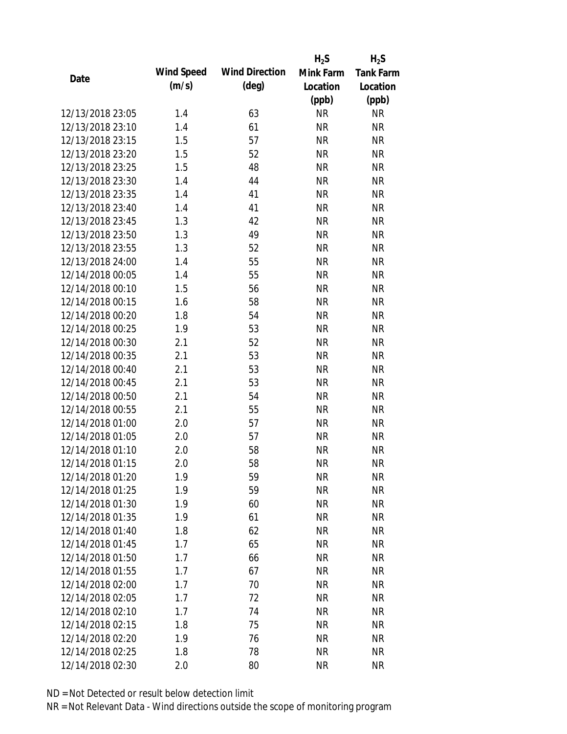|                  |            |                       | $H_2S$    | $H_2S$           |
|------------------|------------|-----------------------|-----------|------------------|
| Date             | Wind Speed | <b>Wind Direction</b> | Mink Farm | <b>Tank Farm</b> |
|                  | (m/s)      | $(\text{deg})$        | Location  | Location         |
|                  |            |                       | (ppb)     | (ppb)            |
| 12/13/2018 23:05 | 1.4        | 63                    | <b>NR</b> | <b>NR</b>        |
| 12/13/2018 23:10 | 1.4        | 61                    | <b>NR</b> | <b>NR</b>        |
| 12/13/2018 23:15 | 1.5        | 57                    | <b>NR</b> | <b>NR</b>        |
| 12/13/2018 23:20 | 1.5        | 52                    | <b>NR</b> | <b>NR</b>        |
| 12/13/2018 23:25 | 1.5        | 48                    | <b>NR</b> | <b>NR</b>        |
| 12/13/2018 23:30 | 1.4        | 44                    | <b>NR</b> | <b>NR</b>        |
| 12/13/2018 23:35 | 1.4        | 41                    | <b>NR</b> | <b>NR</b>        |
| 12/13/2018 23:40 | 1.4        | 41                    | <b>NR</b> | <b>NR</b>        |
| 12/13/2018 23:45 | 1.3        | 42                    | <b>NR</b> | <b>NR</b>        |
| 12/13/2018 23:50 | 1.3        | 49                    | <b>NR</b> | <b>NR</b>        |
| 12/13/2018 23:55 | 1.3        | 52                    | <b>NR</b> | <b>NR</b>        |
| 12/13/2018 24:00 | 1.4        | 55                    | <b>NR</b> | <b>NR</b>        |
| 12/14/2018 00:05 | 1.4        | 55                    | <b>NR</b> | <b>NR</b>        |
| 12/14/2018 00:10 | 1.5        | 56                    | <b>NR</b> | <b>NR</b>        |
| 12/14/2018 00:15 | 1.6        | 58                    | <b>NR</b> | <b>NR</b>        |
| 12/14/2018 00:20 | 1.8        | 54                    | <b>NR</b> | <b>NR</b>        |
| 12/14/2018 00:25 | 1.9        | 53                    | <b>NR</b> | <b>NR</b>        |
| 12/14/2018 00:30 | 2.1        | 52                    | <b>NR</b> | <b>NR</b>        |
| 12/14/2018 00:35 | 2.1        | 53                    | <b>NR</b> | <b>NR</b>        |
| 12/14/2018 00:40 | 2.1        | 53                    | <b>NR</b> | <b>NR</b>        |
| 12/14/2018 00:45 | 2.1        | 53                    | <b>NR</b> | <b>NR</b>        |
| 12/14/2018 00:50 | 2.1        | 54                    | <b>NR</b> | <b>NR</b>        |
| 12/14/2018 00:55 | 2.1        | 55                    | <b>NR</b> | <b>NR</b>        |
| 12/14/2018 01:00 | 2.0        | 57                    | <b>NR</b> | <b>NR</b>        |
| 12/14/2018 01:05 | 2.0        | 57                    | <b>NR</b> | <b>NR</b>        |
| 12/14/2018 01:10 | 2.0        | 58                    | <b>NR</b> | <b>NR</b>        |
| 12/14/2018 01:15 | 2.0        | 58                    | <b>NR</b> | <b>NR</b>        |
| 12/14/2018 01:20 | 1.9        | 59                    | <b>NR</b> | <b>NR</b>        |
| 12/14/2018 01:25 | 1.9        | 59                    | <b>NR</b> | <b>NR</b>        |
| 12/14/2018 01:30 | 1.9        | 60                    | <b>NR</b> | <b>NR</b>        |
| 12/14/2018 01:35 | 1.9        | 61                    | <b>NR</b> | <b>NR</b>        |
| 12/14/2018 01:40 | 1.8        | 62                    | <b>NR</b> | <b>NR</b>        |
| 12/14/2018 01:45 | 1.7        | 65                    | <b>NR</b> | <b>NR</b>        |
| 12/14/2018 01:50 | 1.7        | 66                    | <b>NR</b> | <b>NR</b>        |
| 12/14/2018 01:55 | 1.7        | 67                    | <b>NR</b> | <b>NR</b>        |
| 12/14/2018 02:00 | 1.7        | 70                    | <b>NR</b> | <b>NR</b>        |
| 12/14/2018 02:05 | 1.7        | 72                    | <b>NR</b> | <b>NR</b>        |
| 12/14/2018 02:10 | 1.7        | 74                    | <b>NR</b> | <b>NR</b>        |
| 12/14/2018 02:15 | 1.8        | 75                    | <b>NR</b> | <b>NR</b>        |
| 12/14/2018 02:20 | 1.9        | 76                    | <b>NR</b> | <b>NR</b>        |
| 12/14/2018 02:25 | 1.8        | 78                    | <b>NR</b> | <b>NR</b>        |
| 12/14/2018 02:30 | 2.0        | 80                    | <b>NR</b> | <b>NR</b>        |
|                  |            |                       |           |                  |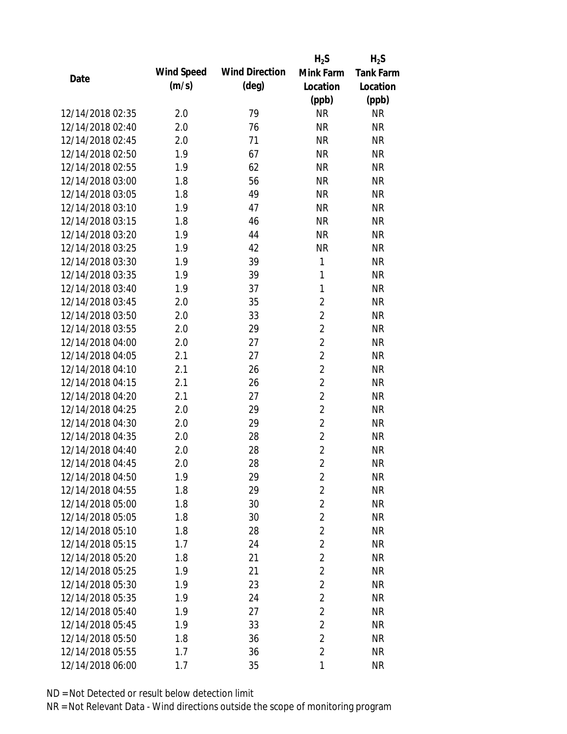|                  |            |                       | $H_2S$         | $H_2S$           |
|------------------|------------|-----------------------|----------------|------------------|
|                  | Wind Speed | <b>Wind Direction</b> | Mink Farm      | <b>Tank Farm</b> |
| Date             | (m/s)      | $(\text{deg})$        | Location       | Location         |
|                  |            |                       | (ppb)          | (ppb)            |
| 12/14/2018 02:35 | 2.0        | 79                    | <b>NR</b>      | <b>NR</b>        |
| 12/14/2018 02:40 | 2.0        | 76                    | <b>NR</b>      | <b>NR</b>        |
| 12/14/2018 02:45 | 2.0        | 71                    | <b>NR</b>      | <b>NR</b>        |
| 12/14/2018 02:50 | 1.9        | 67                    | <b>NR</b>      | <b>NR</b>        |
| 12/14/2018 02:55 | 1.9        | 62                    | <b>NR</b>      | <b>NR</b>        |
| 12/14/2018 03:00 | 1.8        | 56                    | <b>NR</b>      | <b>NR</b>        |
| 12/14/2018 03:05 | 1.8        | 49                    | <b>NR</b>      | <b>NR</b>        |
| 12/14/2018 03:10 | 1.9        | 47                    | <b>NR</b>      | <b>NR</b>        |
| 12/14/2018 03:15 | 1.8        | 46                    | <b>NR</b>      | <b>NR</b>        |
| 12/14/2018 03:20 | 1.9        | 44                    | <b>NR</b>      | <b>NR</b>        |
| 12/14/2018 03:25 | 1.9        | 42                    | <b>NR</b>      | <b>NR</b>        |
| 12/14/2018 03:30 | 1.9        | 39                    | 1              | <b>NR</b>        |
| 12/14/2018 03:35 | 1.9        | 39                    | $\mathbf{1}$   | <b>NR</b>        |
| 12/14/2018 03:40 | 1.9        | 37                    | 1              | <b>NR</b>        |
| 12/14/2018 03:45 | 2.0        | 35                    | $\overline{2}$ | <b>NR</b>        |
| 12/14/2018 03:50 | 2.0        | 33                    | $\overline{2}$ | <b>NR</b>        |
| 12/14/2018 03:55 | 2.0        | 29                    | $\overline{2}$ | <b>NR</b>        |
| 12/14/2018 04:00 | 2.0        | 27                    | $\overline{2}$ | <b>NR</b>        |
| 12/14/2018 04:05 | 2.1        | 27                    | $\overline{2}$ | <b>NR</b>        |
| 12/14/2018 04:10 | 2.1        | 26                    | $\overline{2}$ | <b>NR</b>        |
| 12/14/2018 04:15 | 2.1        | 26                    | $\overline{2}$ | <b>NR</b>        |
| 12/14/2018 04:20 | 2.1        | 27                    | $\overline{2}$ | <b>NR</b>        |
| 12/14/2018 04:25 | 2.0        | 29                    | $\overline{2}$ | <b>NR</b>        |
| 12/14/2018 04:30 | 2.0        | 29                    | $\overline{2}$ | <b>NR</b>        |
| 12/14/2018 04:35 | 2.0        | 28                    | $\overline{2}$ | <b>NR</b>        |
| 12/14/2018 04:40 | 2.0        | 28                    | $\overline{2}$ | <b>NR</b>        |
| 12/14/2018 04:45 | 2.0        | 28                    | $\overline{2}$ | <b>NR</b>        |
| 12/14/2018 04:50 | 1.9        | 29                    | $\overline{2}$ | <b>NR</b>        |
| 12/14/2018 04:55 | 1.8        | 29                    | $\overline{2}$ | <b>NR</b>        |
| 12/14/2018 05:00 | 1.8        | 30                    | $\overline{2}$ | <b>NR</b>        |
| 12/14/2018 05:05 | 1.8        | 30                    | $\overline{2}$ | <b>NR</b>        |
| 12/14/2018 05:10 | 1.8        | 28                    | $\overline{2}$ | <b>NR</b>        |
| 12/14/2018 05:15 | 1.7        | 24                    | $\overline{2}$ | <b>NR</b>        |
| 12/14/2018 05:20 | 1.8        | 21                    | $\overline{2}$ | <b>NR</b>        |
| 12/14/2018 05:25 | 1.9        | 21                    | $\overline{2}$ | <b>NR</b>        |
| 12/14/2018 05:30 | 1.9        | 23                    | $\overline{2}$ | <b>NR</b>        |
| 12/14/2018 05:35 | 1.9        | 24                    | $\overline{2}$ | <b>NR</b>        |
| 12/14/2018 05:40 | 1.9        | 27                    | $\overline{2}$ | <b>NR</b>        |
| 12/14/2018 05:45 | 1.9        | 33                    | $\overline{2}$ | <b>NR</b>        |
| 12/14/2018 05:50 | 1.8        | 36                    | $\overline{2}$ | <b>NR</b>        |
| 12/14/2018 05:55 | 1.7        | 36                    | $\overline{2}$ | <b>NR</b>        |
| 12/14/2018 06:00 | $1.7$      | 35                    | 1              | <b>NR</b>        |
|                  |            |                       |                |                  |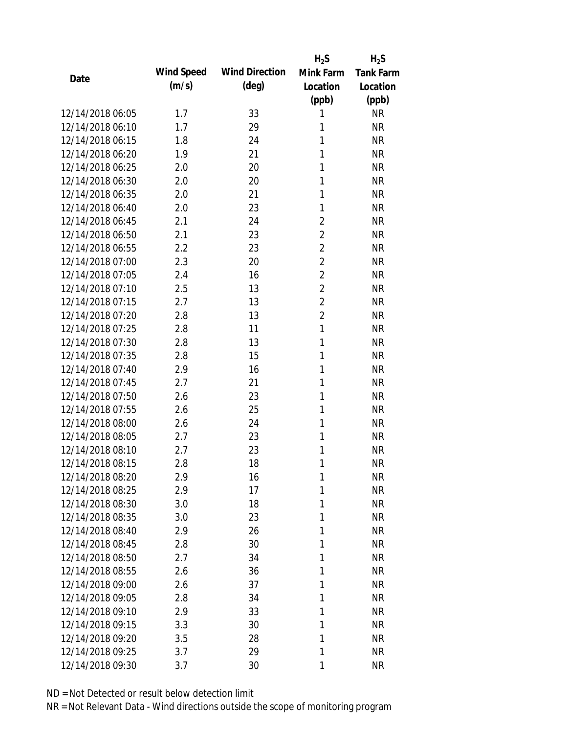|                  |            |                       | $H_2S$         | $H_2S$           |
|------------------|------------|-----------------------|----------------|------------------|
|                  | Wind Speed | <b>Wind Direction</b> | Mink Farm      | <b>Tank Farm</b> |
| Date             | (m/s)      | $(\text{deg})$        | Location       | Location         |
|                  |            |                       | (ppb)          | (ppb)            |
| 12/14/2018 06:05 | 1.7        | 33                    | 1              | <b>NR</b>        |
| 12/14/2018 06:10 | 1.7        | 29                    | 1              | <b>NR</b>        |
| 12/14/2018 06:15 | 1.8        | 24                    | 1              | <b>NR</b>        |
| 12/14/2018 06:20 | 1.9        | 21                    | 1              | <b>NR</b>        |
| 12/14/2018 06:25 | 2.0        | 20                    | 1              | <b>NR</b>        |
| 12/14/2018 06:30 | 2.0        | 20                    | 1              | <b>NR</b>        |
| 12/14/2018 06:35 | 2.0        | 21                    | 1              | <b>NR</b>        |
| 12/14/2018 06:40 | 2.0        | 23                    | 1              | <b>NR</b>        |
| 12/14/2018 06:45 | 2.1        | 24                    | $\overline{2}$ | <b>NR</b>        |
| 12/14/2018 06:50 | 2.1        | 23                    | $\overline{2}$ | <b>NR</b>        |
| 12/14/2018 06:55 | 2.2        | 23                    | $\overline{2}$ | <b>NR</b>        |
| 12/14/2018 07:00 | 2.3        | 20                    | $\overline{2}$ | <b>NR</b>        |
| 12/14/2018 07:05 | 2.4        | 16                    | $\overline{2}$ | <b>NR</b>        |
| 12/14/2018 07:10 | 2.5        | 13                    | $\overline{2}$ | <b>NR</b>        |
| 12/14/2018 07:15 | 2.7        | 13                    | $\overline{2}$ | <b>NR</b>        |
| 12/14/2018 07:20 | 2.8        | 13                    | $\overline{2}$ | <b>NR</b>        |
| 12/14/2018 07:25 | 2.8        | 11                    | $\mathbf{1}$   | <b>NR</b>        |
| 12/14/2018 07:30 | 2.8        | 13                    | 1              | <b>NR</b>        |
| 12/14/2018 07:35 | 2.8        | 15                    | 1              | <b>NR</b>        |
| 12/14/2018 07:40 | 2.9        | 16                    | 1              | <b>NR</b>        |
| 12/14/2018 07:45 | 2.7        | 21                    | 1              | <b>NR</b>        |
| 12/14/2018 07:50 | 2.6        | 23                    | 1              | <b>NR</b>        |
| 12/14/2018 07:55 | 2.6        | 25                    | 1              | <b>NR</b>        |
| 12/14/2018 08:00 | 2.6        | 24                    | 1              | <b>NR</b>        |
| 12/14/2018 08:05 | 2.7        | 23                    | 1              | <b>NR</b>        |
| 12/14/2018 08:10 | 2.7        | 23                    | 1              | <b>NR</b>        |
| 12/14/2018 08:15 | 2.8        | 18                    | 1              | <b>NR</b>        |
| 12/14/2018 08:20 | 2.9        | 16                    | 1              | <b>NR</b>        |
| 12/14/2018 08:25 | 2.9        | 17                    | 1              | <b>NR</b>        |
| 12/14/2018 08:30 | 3.0        | 18                    | 1              | <b>NR</b>        |
| 12/14/2018 08:35 | 3.0        | 23                    | 1              | <b>NR</b>        |
| 12/14/2018 08:40 | 2.9        | 26                    | 1              | <b>NR</b>        |
| 12/14/2018 08:45 | 2.8        | 30                    | 1              | <b>NR</b>        |
| 12/14/2018 08:50 | 2.7        | 34                    | 1              | <b>NR</b>        |
| 12/14/2018 08:55 | 2.6        | 36                    | 1              | <b>NR</b>        |
| 12/14/2018 09:00 | 2.6        | 37                    | 1              | <b>NR</b>        |
| 12/14/2018 09:05 | 2.8        | 34                    | 1              | <b>NR</b>        |
| 12/14/2018 09:10 | 2.9        | 33                    | 1              | <b>NR</b>        |
| 12/14/2018 09:15 | 3.3        | 30                    | 1              | <b>NR</b>        |
| 12/14/2018 09:20 | 3.5        | 28                    | 1              | <b>NR</b>        |
| 12/14/2018 09:25 | 3.7        | 29                    | 1              | <b>NR</b>        |
| 12/14/2018 09:30 | 3.7        | 30                    | 1              | <b>NR</b>        |
|                  |            |                       |                |                  |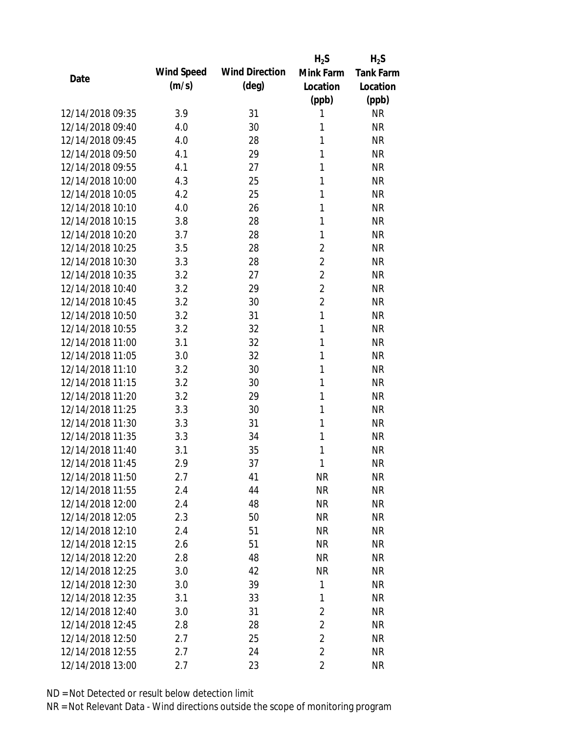|                  |            |                       | $H_2S$         | $H_2S$           |
|------------------|------------|-----------------------|----------------|------------------|
| Date             | Wind Speed | <b>Wind Direction</b> | Mink Farm      | <b>Tank Farm</b> |
|                  | (m/s)      | $(\text{deg})$        | Location       | Location         |
|                  |            |                       | (ppb)          | (ppb)            |
| 12/14/2018 09:35 | 3.9        | 31                    | 1              | <b>NR</b>        |
| 12/14/2018 09:40 | 4.0        | 30                    | 1              | <b>NR</b>        |
| 12/14/2018 09:45 | 4.0        | 28                    | 1              | <b>NR</b>        |
| 12/14/2018 09:50 | 4.1        | 29                    | 1              | <b>NR</b>        |
| 12/14/2018 09:55 | 4.1        | 27                    | 1              | <b>NR</b>        |
| 12/14/2018 10:00 | 4.3        | 25                    | 1              | <b>NR</b>        |
| 12/14/2018 10:05 | 4.2        | 25                    | 1              | <b>NR</b>        |
| 12/14/2018 10:10 | 4.0        | 26                    | 1              | <b>NR</b>        |
| 12/14/2018 10:15 | 3.8        | 28                    | 1              | <b>NR</b>        |
| 12/14/2018 10:20 | 3.7        | 28                    | 1              | <b>NR</b>        |
| 12/14/2018 10:25 | 3.5        | 28                    | $\overline{2}$ | <b>NR</b>        |
| 12/14/2018 10:30 | 3.3        | 28                    | $\overline{2}$ | <b>NR</b>        |
| 12/14/2018 10:35 | 3.2        | 27                    | $\overline{2}$ | <b>NR</b>        |
| 12/14/2018 10:40 | 3.2        | 29                    | $\overline{2}$ | <b>NR</b>        |
| 12/14/2018 10:45 | 3.2        | 30                    | $\overline{2}$ | <b>NR</b>        |
| 12/14/2018 10:50 | 3.2        | 31                    | $\mathbf{1}$   | <b>NR</b>        |
| 12/14/2018 10:55 | 3.2        | 32                    | 1              | <b>NR</b>        |
| 12/14/2018 11:00 | 3.1        | 32                    | 1              | <b>NR</b>        |
| 12/14/2018 11:05 | 3.0        | 32                    | 1              | <b>NR</b>        |
| 12/14/2018 11:10 | 3.2        | 30                    | 1              | <b>NR</b>        |
| 12/14/2018 11:15 | 3.2        | 30                    | 1              | <b>NR</b>        |
| 12/14/2018 11:20 | 3.2        | 29                    | 1              | <b>NR</b>        |
| 12/14/2018 11:25 | 3.3        | 30                    | 1              | <b>NR</b>        |
| 12/14/2018 11:30 | 3.3        | 31                    | 1              | <b>NR</b>        |
| 12/14/2018 11:35 | 3.3        | 34                    | 1              | <b>NR</b>        |
| 12/14/2018 11:40 | 3.1        | 35                    | 1              | <b>NR</b>        |
| 12/14/2018 11:45 | 2.9        | 37                    | 1              | <b>NR</b>        |
| 12/14/2018 11:50 | 2.7        | 41                    | <b>NR</b>      | <b>NR</b>        |
| 12/14/2018 11:55 | 2.4        | 44                    | <b>NR</b>      | <b>NR</b>        |
| 12/14/2018 12:00 | 2.4        | 48                    | <b>NR</b>      | <b>NR</b>        |
| 12/14/2018 12:05 | 2.3        | 50                    | <b>NR</b>      | <b>NR</b>        |
| 12/14/2018 12:10 | 2.4        | 51                    | <b>NR</b>      | <b>NR</b>        |
| 12/14/2018 12:15 | 2.6        | 51                    | <b>NR</b>      | <b>NR</b>        |
| 12/14/2018 12:20 | 2.8        | 48                    | <b>NR</b>      | <b>NR</b>        |
| 12/14/2018 12:25 | 3.0        | 42                    | <b>NR</b>      | <b>NR</b>        |
| 12/14/2018 12:30 | 3.0        | 39                    | 1              | <b>NR</b>        |
| 12/14/2018 12:35 | 3.1        | 33                    | 1              | <b>NR</b>        |
| 12/14/2018 12:40 | 3.0        | 31                    | $\overline{2}$ | <b>NR</b>        |
| 12/14/2018 12:45 | 2.8        | 28                    | $\overline{2}$ | <b>NR</b>        |
| 12/14/2018 12:50 | 2.7        | 25                    | $\overline{2}$ | <b>NR</b>        |
| 12/14/2018 12:55 | 2.7        | 24                    | $\overline{2}$ | <b>NR</b>        |
| 12/14/2018 13:00 |            | 23                    | 2              | <b>NR</b>        |
|                  | 2.7        |                       |                |                  |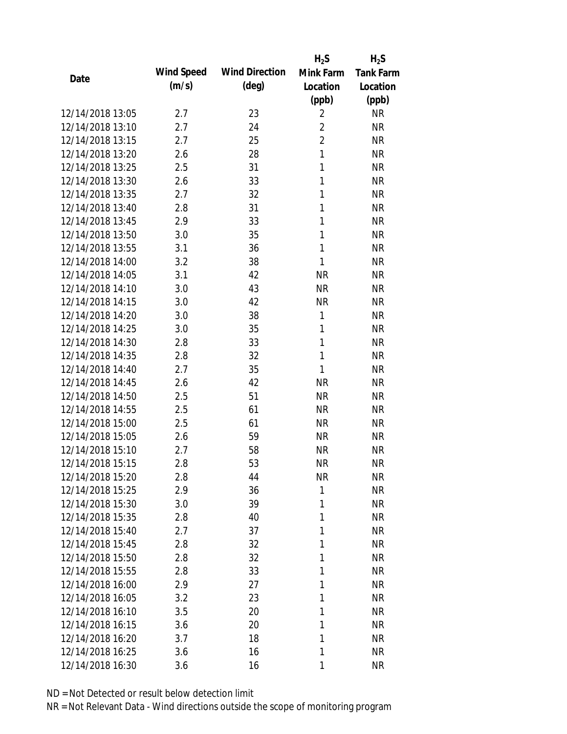|                  |            |                       | $H_2S$         | $H_2S$           |
|------------------|------------|-----------------------|----------------|------------------|
| Date             | Wind Speed | <b>Wind Direction</b> | Mink Farm      | <b>Tank Farm</b> |
|                  | (m/s)      | $(\text{deg})$        | Location       | Location         |
|                  |            |                       | (ppb)          | (ppb)            |
| 12/14/2018 13:05 | 2.7        | 23                    | $\overline{2}$ | <b>NR</b>        |
| 12/14/2018 13:10 | 2.7        | 24                    | $\overline{2}$ | <b>NR</b>        |
| 12/14/2018 13:15 | 2.7        | 25                    | $\overline{2}$ | <b>NR</b>        |
| 12/14/2018 13:20 | 2.6        | 28                    | $\mathbf{1}$   | <b>NR</b>        |
| 12/14/2018 13:25 | 2.5        | 31                    | 1              | <b>NR</b>        |
| 12/14/2018 13:30 | 2.6        | 33                    | 1              | <b>NR</b>        |
| 12/14/2018 13:35 | 2.7        | 32                    | 1              | <b>NR</b>        |
| 12/14/2018 13:40 | 2.8        | 31                    | 1              | <b>NR</b>        |
| 12/14/2018 13:45 | 2.9        | 33                    | 1              | <b>NR</b>        |
| 12/14/2018 13:50 | 3.0        | 35                    | 1              | <b>NR</b>        |
| 12/14/2018 13:55 | 3.1        | 36                    | 1              | <b>NR</b>        |
| 12/14/2018 14:00 | 3.2        | 38                    | 1              | <b>NR</b>        |
| 12/14/2018 14:05 | 3.1        | 42                    | <b>NR</b>      | <b>NR</b>        |
| 12/14/2018 14:10 | 3.0        | 43                    | <b>NR</b>      | <b>NR</b>        |
| 12/14/2018 14:15 | 3.0        | 42                    | <b>NR</b>      | <b>NR</b>        |
| 12/14/2018 14:20 | 3.0        | 38                    | $\mathbf{1}$   | <b>NR</b>        |
| 12/14/2018 14:25 | 3.0        | 35                    | 1              | <b>NR</b>        |
| 12/14/2018 14:30 | 2.8        | 33                    | $\mathbf{1}$   | <b>NR</b>        |
| 12/14/2018 14:35 | 2.8        | 32                    | $\mathbf{1}$   | <b>NR</b>        |
| 12/14/2018 14:40 | 2.7        | 35                    | 1              | <b>NR</b>        |
| 12/14/2018 14:45 | 2.6        | 42                    | <b>NR</b>      | <b>NR</b>        |
| 12/14/2018 14:50 | 2.5        | 51                    | <b>NR</b>      | <b>NR</b>        |
| 12/14/2018 14:55 | 2.5        | 61                    | <b>NR</b>      | <b>NR</b>        |
| 12/14/2018 15:00 | 2.5        | 61                    | <b>NR</b>      | <b>NR</b>        |
| 12/14/2018 15:05 | 2.6        | 59                    | <b>NR</b>      | <b>NR</b>        |
| 12/14/2018 15:10 | 2.7        | 58                    | <b>NR</b>      | <b>NR</b>        |
| 12/14/2018 15:15 | 2.8        | 53                    | <b>NR</b>      | <b>NR</b>        |
| 12/14/2018 15:20 | 2.8        | 44                    | <b>NR</b>      | <b>NR</b>        |
| 12/14/2018 15:25 | 2.9        | 36                    | $\mathbf{1}$   | <b>NR</b>        |
| 12/14/2018 15:30 | 3.0        | 39                    | 1              | <b>NR</b>        |
| 12/14/2018 15:35 | 2.8        | 40                    | 1              | <b>NR</b>        |
| 12/14/2018 15:40 | 2.7        | 37                    | 1              | <b>NR</b>        |
| 12/14/2018 15:45 | 2.8        | 32                    | 1              | <b>NR</b>        |
| 12/14/2018 15:50 | 2.8        | 32                    | 1              | <b>NR</b>        |
| 12/14/2018 15:55 | 2.8        | 33                    | 1              | <b>NR</b>        |
| 12/14/2018 16:00 | 2.9        | 27                    | 1              | <b>NR</b>        |
| 12/14/2018 16:05 | 3.2        | 23                    | 1              | <b>NR</b>        |
| 12/14/2018 16:10 | 3.5        | 20                    | 1              | <b>NR</b>        |
| 12/14/2018 16:15 | 3.6        | 20                    | 1              | <b>NR</b>        |
| 12/14/2018 16:20 | 3.7        | 18                    | 1              | <b>NR</b>        |
| 12/14/2018 16:25 | 3.6        | 16                    | 1              | <b>NR</b>        |
| 12/14/2018 16:30 | 3.6        | 16                    | 1              | <b>NR</b>        |
|                  |            |                       |                |                  |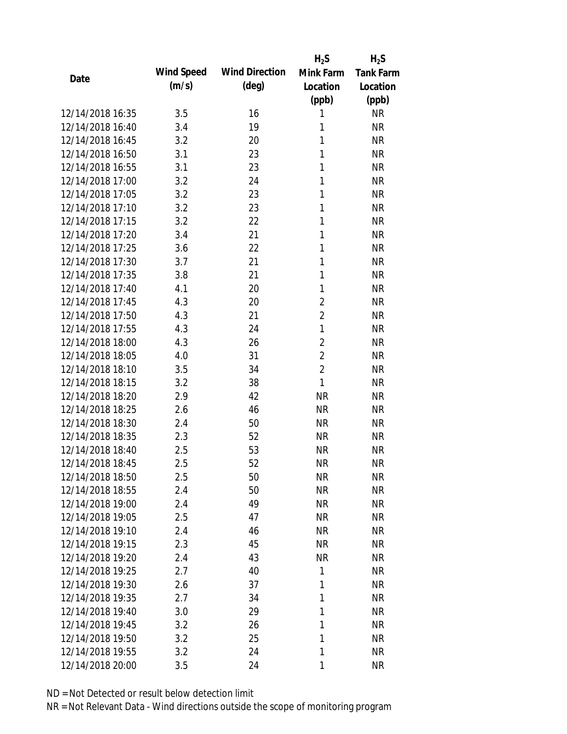|                  |            |                       | $H_2S$         | $H_2S$           |
|------------------|------------|-----------------------|----------------|------------------|
| Date             | Wind Speed | <b>Wind Direction</b> | Mink Farm      | <b>Tank Farm</b> |
|                  | (m/s)      | $(\text{deg})$        | Location       | Location         |
|                  |            |                       | (ppb)          | (ppb)            |
| 12/14/2018 16:35 | 3.5        | 16                    | 1              | <b>NR</b>        |
| 12/14/2018 16:40 | 3.4        | 19                    | 1              | <b>NR</b>        |
| 12/14/2018 16:45 | 3.2        | 20                    | 1              | <b>NR</b>        |
| 12/14/2018 16:50 | 3.1        | 23                    | $\mathbf{1}$   | <b>NR</b>        |
| 12/14/2018 16:55 | 3.1        | 23                    | 1              | <b>NR</b>        |
| 12/14/2018 17:00 | 3.2        | 24                    | 1              | <b>NR</b>        |
| 12/14/2018 17:05 | 3.2        | 23                    | 1              | <b>NR</b>        |
| 12/14/2018 17:10 | 3.2        | 23                    | 1              | <b>NR</b>        |
| 12/14/2018 17:15 | 3.2        | 22                    | 1              | <b>NR</b>        |
| 12/14/2018 17:20 | 3.4        | 21                    | 1              | <b>NR</b>        |
| 12/14/2018 17:25 | 3.6        | 22                    | 1              | <b>NR</b>        |
| 12/14/2018 17:30 | 3.7        | 21                    | 1              | <b>NR</b>        |
| 12/14/2018 17:35 | 3.8        | 21                    | 1              | <b>NR</b>        |
| 12/14/2018 17:40 | 4.1        | 20                    | 1              | <b>NR</b>        |
| 12/14/2018 17:45 | 4.3        | 20                    | $\overline{2}$ | <b>NR</b>        |
| 12/14/2018 17:50 | 4.3        | 21                    | $\overline{2}$ | <b>NR</b>        |
| 12/14/2018 17:55 | 4.3        | 24                    | $\mathbf{1}$   | <b>NR</b>        |
| 12/14/2018 18:00 | 4.3        | 26                    | $\overline{2}$ | <b>NR</b>        |
| 12/14/2018 18:05 | 4.0        | 31                    | $\overline{2}$ | <b>NR</b>        |
| 12/14/2018 18:10 | 3.5        | 34                    | $\overline{2}$ | <b>NR</b>        |
| 12/14/2018 18:15 | 3.2        | 38                    | $\mathbf{1}$   | <b>NR</b>        |
| 12/14/2018 18:20 | 2.9        | 42                    | <b>NR</b>      | <b>NR</b>        |
| 12/14/2018 18:25 | 2.6        | 46                    | <b>NR</b>      | <b>NR</b>        |
| 12/14/2018 18:30 | 2.4        | 50                    | <b>NR</b>      | <b>NR</b>        |
| 12/14/2018 18:35 | 2.3        | 52                    | <b>NR</b>      | <b>NR</b>        |
| 12/14/2018 18:40 | 2.5        | 53                    | <b>NR</b>      | <b>NR</b>        |
| 12/14/2018 18:45 | 2.5        | 52                    | <b>NR</b>      | <b>NR</b>        |
| 12/14/2018 18:50 | 2.5        | 50                    | <b>NR</b>      | <b>NR</b>        |
| 12/14/2018 18:55 | 2.4        | 50                    | <b>NR</b>      | <b>NR</b>        |
| 12/14/2018 19:00 | 2.4        | 49                    | NR             | <b>NR</b>        |
| 12/14/2018 19:05 | 2.5        | 47                    | <b>NR</b>      | <b>NR</b>        |
| 12/14/2018 19:10 | 2.4        | 46                    | <b>NR</b>      | <b>NR</b>        |
| 12/14/2018 19:15 | 2.3        | 45                    | <b>NR</b>      | <b>NR</b>        |
| 12/14/2018 19:20 | 2.4        | 43                    | <b>NR</b>      | <b>NR</b>        |
| 12/14/2018 19:25 | 2.7        | 40                    | 1              | <b>NR</b>        |
| 12/14/2018 19:30 | 2.6        | 37                    | 1              | <b>NR</b>        |
| 12/14/2018 19:35 | 2.7        | 34                    | 1              | <b>NR</b>        |
| 12/14/2018 19:40 | 3.0        | 29                    | 1              | <b>NR</b>        |
| 12/14/2018 19:45 | 3.2        | 26                    | 1              | <b>NR</b>        |
| 12/14/2018 19:50 | 3.2        | 25                    | 1              | <b>NR</b>        |
| 12/14/2018 19:55 | 3.2        | 24                    | 1              | <b>NR</b>        |
| 12/14/2018 20:00 | 3.5        | 24                    | 1              | <b>NR</b>        |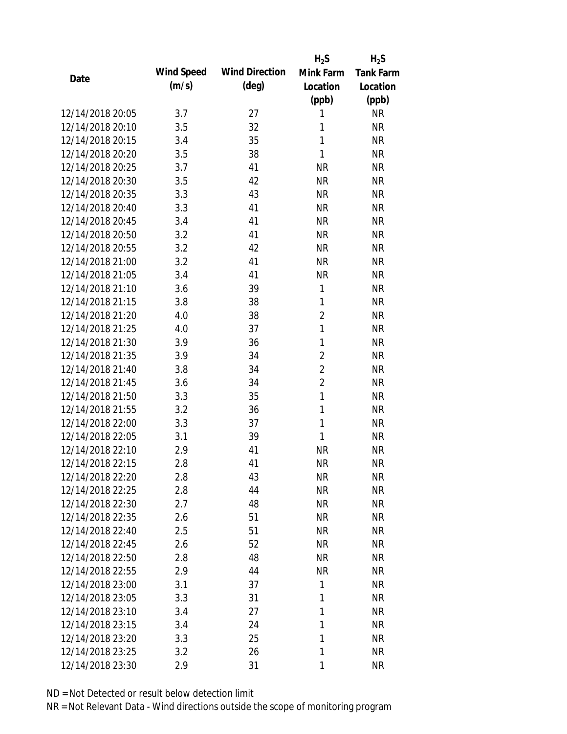|                  |            |                       | $H_2S$         | $H_2S$           |
|------------------|------------|-----------------------|----------------|------------------|
| Date             | Wind Speed | <b>Wind Direction</b> | Mink Farm      | <b>Tank Farm</b> |
|                  | (m/s)      | $(\text{deg})$        | Location       | Location         |
|                  |            |                       | (ppb)          | (ppb)            |
| 12/14/2018 20:05 | 3.7        | 27                    | 1              | <b>NR</b>        |
| 12/14/2018 20:10 | 3.5        | 32                    | 1              | <b>NR</b>        |
| 12/14/2018 20:15 | 3.4        | 35                    | $\mathbf{1}$   | <b>NR</b>        |
| 12/14/2018 20:20 | 3.5        | 38                    | 1              | <b>NR</b>        |
| 12/14/2018 20:25 | 3.7        | 41                    | <b>NR</b>      | <b>NR</b>        |
| 12/14/2018 20:30 | 3.5        | 42                    | <b>NR</b>      | <b>NR</b>        |
| 12/14/2018 20:35 | 3.3        | 43                    | <b>NR</b>      | <b>NR</b>        |
| 12/14/2018 20:40 | 3.3        | 41                    | <b>NR</b>      | <b>NR</b>        |
| 12/14/2018 20:45 | 3.4        | 41                    | <b>NR</b>      | <b>NR</b>        |
| 12/14/2018 20:50 | 3.2        | 41                    | <b>NR</b>      | <b>NR</b>        |
| 12/14/2018 20:55 | 3.2        | 42                    | <b>NR</b>      | <b>NR</b>        |
| 12/14/2018 21:00 | 3.2        | 41                    | <b>NR</b>      | <b>NR</b>        |
| 12/14/2018 21:05 | 3.4        | 41                    | <b>NR</b>      | <b>NR</b>        |
| 12/14/2018 21:10 | 3.6        | 39                    | 1              | <b>NR</b>        |
| 12/14/2018 21:15 | 3.8        | 38                    | $\mathbf{1}$   | <b>NR</b>        |
| 12/14/2018 21:20 | 4.0        | 38                    | $\overline{2}$ | <b>NR</b>        |
| 12/14/2018 21:25 | 4.0        | 37                    | $\mathbf{1}$   | <b>NR</b>        |
| 12/14/2018 21:30 | 3.9        | 36                    | 1              | <b>NR</b>        |
| 12/14/2018 21:35 | 3.9        | 34                    | $\overline{2}$ | <b>NR</b>        |
| 12/14/2018 21:40 | 3.8        | 34                    | $\overline{2}$ | <b>NR</b>        |
| 12/14/2018 21:45 | 3.6        | 34                    | $\overline{2}$ | <b>NR</b>        |
| 12/14/2018 21:50 | 3.3        | 35                    | $\mathbf{1}$   | <b>NR</b>        |
| 12/14/2018 21:55 | 3.2        | 36                    | $\mathbf{1}$   | <b>NR</b>        |
| 12/14/2018 22:00 | 3.3        | 37                    | $\mathbf{1}$   | <b>NR</b>        |
| 12/14/2018 22:05 | 3.1        | 39                    | 1              | <b>NR</b>        |
| 12/14/2018 22:10 | 2.9        | 41                    | <b>NR</b>      | <b>NR</b>        |
| 12/14/2018 22:15 | 2.8        | 41                    | <b>NR</b>      | <b>NR</b>        |
| 12/14/2018 22:20 | 2.8        | 43                    | <b>NR</b>      | <b>NR</b>        |
| 12/14/2018 22:25 | 2.8        | 44                    | <b>NR</b>      | <b>NR</b>        |
| 12/14/2018 22:30 | 2.7        | 48                    | <b>NR</b>      | <b>NR</b>        |
| 12/14/2018 22:35 | 2.6        | 51                    | <b>NR</b>      | <b>NR</b>        |
| 12/14/2018 22:40 | 2.5        | 51                    | <b>NR</b>      | <b>NR</b>        |
| 12/14/2018 22:45 | 2.6        | 52                    | <b>NR</b>      | <b>NR</b>        |
| 12/14/2018 22:50 | 2.8        | 48                    | <b>NR</b>      | <b>NR</b>        |
| 12/14/2018 22:55 | 2.9        | 44                    | <b>NR</b>      | <b>NR</b>        |
| 12/14/2018 23:00 | 3.1        | 37                    | 1              | <b>NR</b>        |
| 12/14/2018 23:05 | 3.3        | 31                    | 1              | <b>NR</b>        |
| 12/14/2018 23:10 | 3.4        | 27                    | 1              | <b>NR</b>        |
| 12/14/2018 23:15 | 3.4        | 24                    | 1              | <b>NR</b>        |
| 12/14/2018 23:20 | 3.3        | 25                    | 1              | <b>NR</b>        |
| 12/14/2018 23:25 | 3.2        | 26                    | 1              | <b>NR</b>        |
| 12/14/2018 23:30 | 2.9        | 31                    | $\mathbf{1}$   | <b>NR</b>        |
|                  |            |                       |                |                  |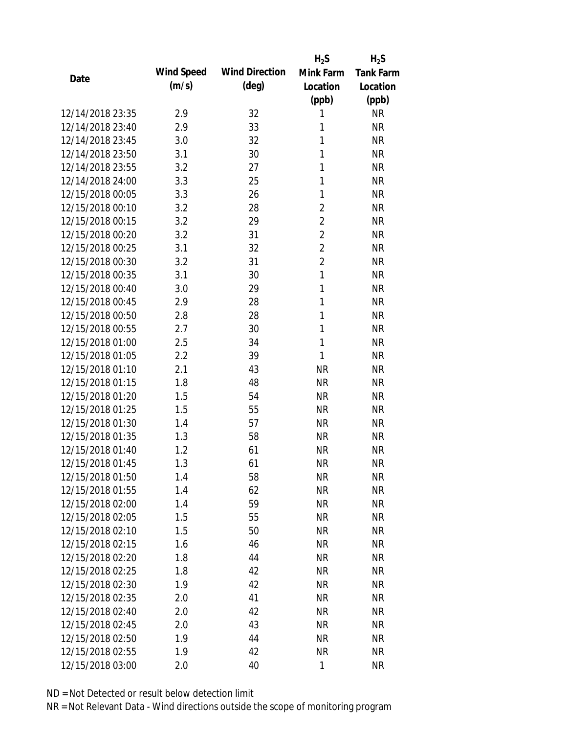|                  |            |                       | $H_2S$         | $H_2S$           |
|------------------|------------|-----------------------|----------------|------------------|
| Date             | Wind Speed | <b>Wind Direction</b> | Mink Farm      | <b>Tank Farm</b> |
|                  | (m/s)      | $(\text{deg})$        | Location       | Location         |
|                  |            |                       | (ppb)          | (ppb)            |
| 12/14/2018 23:35 | 2.9        | 32                    | 1              | <b>NR</b>        |
| 12/14/2018 23:40 | 2.9        | 33                    | 1              | <b>NR</b>        |
| 12/14/2018 23:45 | 3.0        | 32                    | 1              | <b>NR</b>        |
| 12/14/2018 23:50 | 3.1        | 30                    | 1              | <b>NR</b>        |
| 12/14/2018 23:55 | 3.2        | 27                    | 1              | <b>NR</b>        |
| 12/14/2018 24:00 | 3.3        | 25                    | 1              | <b>NR</b>        |
| 12/15/2018 00:05 | 3.3        | 26                    | 1              | <b>NR</b>        |
| 12/15/2018 00:10 | 3.2        | 28                    | $\overline{2}$ | <b>NR</b>        |
| 12/15/2018 00:15 | 3.2        | 29                    | $\overline{2}$ | <b>NR</b>        |
| 12/15/2018 00:20 | 3.2        | 31                    | $\overline{2}$ | <b>NR</b>        |
| 12/15/2018 00:25 | 3.1        | 32                    | $\overline{2}$ | <b>NR</b>        |
| 12/15/2018 00:30 | 3.2        | 31                    | $\overline{2}$ | <b>NR</b>        |
| 12/15/2018 00:35 | 3.1        | 30                    | $\mathbf{1}$   | <b>NR</b>        |
| 12/15/2018 00:40 | 3.0        | 29                    | 1              | <b>NR</b>        |
| 12/15/2018 00:45 | 2.9        | 28                    | 1              | <b>NR</b>        |
| 12/15/2018 00:50 | 2.8        | 28                    | 1              | <b>NR</b>        |
| 12/15/2018 00:55 | 2.7        | 30                    | 1              | <b>NR</b>        |
| 12/15/2018 01:00 | 2.5        | 34                    | $\mathbf{1}$   | <b>NR</b>        |
| 12/15/2018 01:05 | 2.2        | 39                    | 1              | <b>NR</b>        |
| 12/15/2018 01:10 | 2.1        | 43                    | <b>NR</b>      | <b>NR</b>        |
| 12/15/2018 01:15 | 1.8        | 48                    | <b>NR</b>      | <b>NR</b>        |
| 12/15/2018 01:20 | 1.5        | 54                    | <b>NR</b>      | <b>NR</b>        |
| 12/15/2018 01:25 | 1.5        | 55                    | <b>NR</b>      | <b>NR</b>        |
| 12/15/2018 01:30 | 1.4        | 57                    | <b>NR</b>      | <b>NR</b>        |
| 12/15/2018 01:35 | 1.3        | 58                    | <b>NR</b>      | <b>NR</b>        |
| 12/15/2018 01:40 | 1.2        | 61                    | <b>NR</b>      | <b>NR</b>        |
| 12/15/2018 01:45 | 1.3        | 61                    | <b>NR</b>      | <b>NR</b>        |
| 12/15/2018 01:50 | 1.4        | 58                    | <b>NR</b>      | <b>NR</b>        |
| 12/15/2018 01:55 | 1.4        | 62                    | <b>NR</b>      | <b>NR</b>        |
| 12/15/2018 02:00 | 1.4        | 59                    | <b>NR</b>      | <b>NR</b>        |
| 12/15/2018 02:05 | 1.5        | 55                    | <b>NR</b>      | <b>NR</b>        |
| 12/15/2018 02:10 | 1.5        | 50                    | <b>NR</b>      | <b>NR</b>        |
| 12/15/2018 02:15 | 1.6        | 46                    | <b>NR</b>      | <b>NR</b>        |
| 12/15/2018 02:20 | 1.8        | 44                    | <b>NR</b>      | <b>NR</b>        |
| 12/15/2018 02:25 | 1.8        | 42                    | <b>NR</b>      | <b>NR</b>        |
| 12/15/2018 02:30 | 1.9        | 42                    | <b>NR</b>      | <b>NR</b>        |
| 12/15/2018 02:35 | 2.0        | 41                    | <b>NR</b>      | <b>NR</b>        |
| 12/15/2018 02:40 |            | 42                    |                | <b>NR</b>        |
|                  | 2.0        |                       | <b>NR</b>      |                  |
| 12/15/2018 02:45 | 2.0        | 43                    | <b>NR</b>      | <b>NR</b>        |
| 12/15/2018 02:50 | 1.9        | 44                    | <b>NR</b>      | <b>NR</b>        |
| 12/15/2018 02:55 | 1.9        | 42                    | <b>NR</b>      | <b>NR</b>        |
| 12/15/2018 03:00 | 2.0        | 40                    | $\mathbf{1}$   | <b>NR</b>        |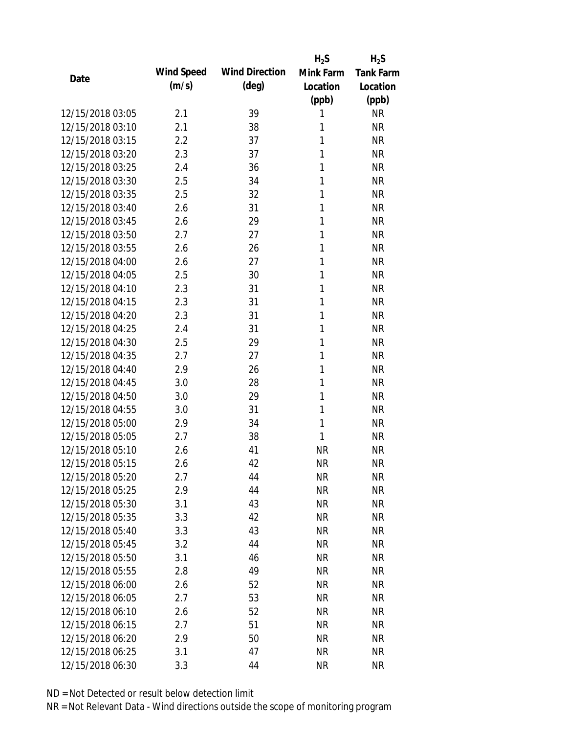|                  |            |                       | $H_2S$    | $H_2S$           |
|------------------|------------|-----------------------|-----------|------------------|
| Date             | Wind Speed | <b>Wind Direction</b> | Mink Farm | <b>Tank Farm</b> |
|                  | (m/s)      | $(\text{deg})$        | Location  | Location         |
|                  |            |                       | (ppb)     | (ppb)            |
| 12/15/2018 03:05 | 2.1        | 39                    | 1         | <b>NR</b>        |
| 12/15/2018 03:10 | 2.1        | 38                    | 1         | <b>NR</b>        |
| 12/15/2018 03:15 | 2.2        | 37                    | 1         | <b>NR</b>        |
| 12/15/2018 03:20 | 2.3        | 37                    | 1         | <b>NR</b>        |
| 12/15/2018 03:25 | 2.4        | 36                    | 1         | <b>NR</b>        |
| 12/15/2018 03:30 | 2.5        | 34                    | 1         | <b>NR</b>        |
| 12/15/2018 03:35 | 2.5        | 32                    | 1         | <b>NR</b>        |
| 12/15/2018 03:40 | 2.6        | 31                    | 1         | <b>NR</b>        |
| 12/15/2018 03:45 | 2.6        | 29                    | 1         | <b>NR</b>        |
| 12/15/2018 03:50 | 2.7        | 27                    | 1         | <b>NR</b>        |
| 12/15/2018 03:55 | 2.6        | 26                    | 1         | <b>NR</b>        |
| 12/15/2018 04:00 | 2.6        | 27                    | 1         | <b>NR</b>        |
| 12/15/2018 04:05 | 2.5        | 30                    | 1         | <b>NR</b>        |
| 12/15/2018 04:10 | 2.3        | 31                    | 1         | <b>NR</b>        |
| 12/15/2018 04:15 | 2.3        | 31                    | 1         | <b>NR</b>        |
| 12/15/2018 04:20 | 2.3        | 31                    | 1         | <b>NR</b>        |
| 12/15/2018 04:25 | 2.4        | 31                    | 1         | <b>NR</b>        |
| 12/15/2018 04:30 | 2.5        | 29                    | 1         | <b>NR</b>        |
| 12/15/2018 04:35 | 2.7        | 27                    | 1         | <b>NR</b>        |
| 12/15/2018 04:40 | 2.9        | 26                    | 1         | <b>NR</b>        |
| 12/15/2018 04:45 | 3.0        | 28                    | 1         | <b>NR</b>        |
| 12/15/2018 04:50 | 3.0        | 29                    | 1         | <b>NR</b>        |
| 12/15/2018 04:55 | 3.0        | 31                    | 1         | <b>NR</b>        |
| 12/15/2018 05:00 | 2.9        | 34                    | 1         | <b>NR</b>        |
| 12/15/2018 05:05 | 2.7        | 38                    | 1         | <b>NR</b>        |
| 12/15/2018 05:10 | 2.6        | 41                    | <b>NR</b> | <b>NR</b>        |
| 12/15/2018 05:15 | 2.6        | 42                    | <b>NR</b> | <b>NR</b>        |
| 12/15/2018 05:20 | 2.7        | 44                    | <b>NR</b> | <b>NR</b>        |
| 12/15/2018 05:25 | 2.9        | 44                    | <b>NR</b> | <b>NR</b>        |
| 12/15/2018 05:30 | 3.1        | 43                    | <b>NR</b> | <b>NR</b>        |
| 12/15/2018 05:35 | 3.3        | 42                    | <b>NR</b> | <b>NR</b>        |
| 12/15/2018 05:40 | 3.3        | 43                    | <b>NR</b> | <b>NR</b>        |
| 12/15/2018 05:45 | 3.2        | 44                    | <b>NR</b> | <b>NR</b>        |
| 12/15/2018 05:50 | 3.1        | 46                    | <b>NR</b> | <b>NR</b>        |
| 12/15/2018 05:55 | 2.8        | 49                    | <b>NR</b> | <b>NR</b>        |
| 12/15/2018 06:00 | 2.6        | 52                    | <b>NR</b> | <b>NR</b>        |
| 12/15/2018 06:05 | 2.7        | 53                    | <b>NR</b> | <b>NR</b>        |
| 12/15/2018 06:10 | 2.6        | 52                    | <b>NR</b> | <b>NR</b>        |
| 12/15/2018 06:15 | 2.7        | 51                    | <b>NR</b> | <b>NR</b>        |
| 12/15/2018 06:20 | 2.9        | 50                    | <b>NR</b> | <b>NR</b>        |
| 12/15/2018 06:25 | 3.1        | 47                    | <b>NR</b> | <b>NR</b>        |
| 12/15/2018 06:30 | 3.3        | 44                    | <b>NR</b> | <b>NR</b>        |
|                  |            |                       |           |                  |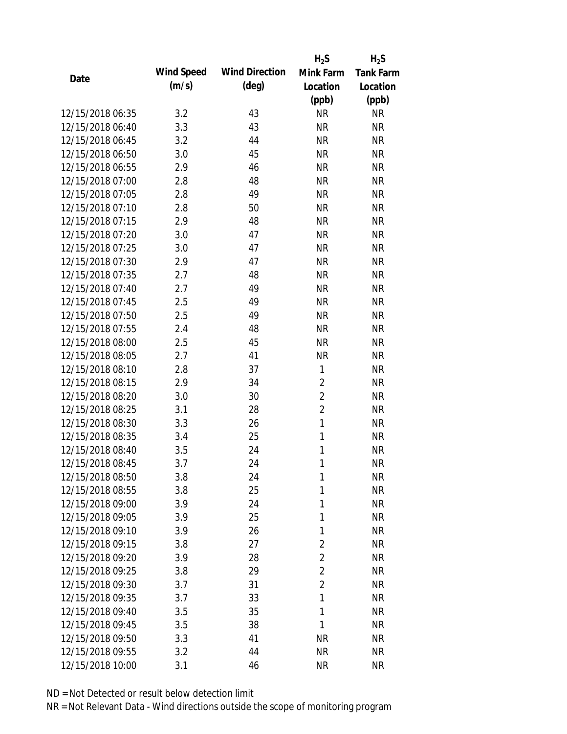|                  |            |                       | $H_2S$         | $H_2S$           |
|------------------|------------|-----------------------|----------------|------------------|
| Date             | Wind Speed | <b>Wind Direction</b> | Mink Farm      | <b>Tank Farm</b> |
|                  | (m/s)      | $(\text{deg})$        | Location       | Location         |
|                  |            |                       | (ppb)          | (ppb)            |
| 12/15/2018 06:35 | 3.2        | 43                    | <b>NR</b>      | <b>NR</b>        |
| 12/15/2018 06:40 | 3.3        | 43                    | <b>NR</b>      | <b>NR</b>        |
| 12/15/2018 06:45 | 3.2        | 44                    | <b>NR</b>      | <b>NR</b>        |
| 12/15/2018 06:50 | 3.0        | 45                    | <b>NR</b>      | <b>NR</b>        |
| 12/15/2018 06:55 | 2.9        | 46                    | <b>NR</b>      | <b>NR</b>        |
| 12/15/2018 07:00 | 2.8        | 48                    | <b>NR</b>      | <b>NR</b>        |
| 12/15/2018 07:05 | 2.8        | 49                    | <b>NR</b>      | <b>NR</b>        |
| 12/15/2018 07:10 | 2.8        | 50                    | <b>NR</b>      | <b>NR</b>        |
| 12/15/2018 07:15 | 2.9        | 48                    | <b>NR</b>      | <b>NR</b>        |
| 12/15/2018 07:20 | 3.0        | 47                    | <b>NR</b>      | <b>NR</b>        |
| 12/15/2018 07:25 | 3.0        | 47                    | <b>NR</b>      | <b>NR</b>        |
| 12/15/2018 07:30 | 2.9        | 47                    | <b>NR</b>      | <b>NR</b>        |
| 12/15/2018 07:35 | 2.7        | 48                    | <b>NR</b>      | <b>NR</b>        |
| 12/15/2018 07:40 | 2.7        | 49                    | <b>NR</b>      | <b>NR</b>        |
| 12/15/2018 07:45 | 2.5        | 49                    | <b>NR</b>      | <b>NR</b>        |
| 12/15/2018 07:50 | 2.5        | 49                    | <b>NR</b>      | <b>NR</b>        |
| 12/15/2018 07:55 | 2.4        | 48                    | <b>NR</b>      | <b>NR</b>        |
| 12/15/2018 08:00 | 2.5        | 45                    | <b>NR</b>      | <b>NR</b>        |
| 12/15/2018 08:05 | 2.7        | 41                    | <b>NR</b>      | <b>NR</b>        |
| 12/15/2018 08:10 | 2.8        | 37                    | 1              | <b>NR</b>        |
| 12/15/2018 08:15 | 2.9        | 34                    | $\overline{2}$ | <b>NR</b>        |
| 12/15/2018 08:20 | 3.0        | 30                    | $\overline{2}$ | <b>NR</b>        |
| 12/15/2018 08:25 | 3.1        | 28                    | $\overline{2}$ | <b>NR</b>        |
| 12/15/2018 08:30 | 3.3        | 26                    | $\mathbf{1}$   | <b>NR</b>        |
| 12/15/2018 08:35 | 3.4        | 25                    | $\mathbf{1}$   | <b>NR</b>        |
| 12/15/2018 08:40 | 3.5        | 24                    | 1              | <b>NR</b>        |
| 12/15/2018 08:45 | 3.7        | 24                    | 1              | <b>NR</b>        |
| 12/15/2018 08:50 | 3.8        | 24                    | 1              | <b>NR</b>        |
| 12/15/2018 08:55 | 3.8        | 25                    | 1              | <b>NR</b>        |
| 12/15/2018 09:00 | 3.9        | 24                    | 1              | <b>NR</b>        |
| 12/15/2018 09:05 | 3.9        | 25                    | 1              | <b>NR</b>        |
| 12/15/2018 09:10 | 3.9        | 26                    | 1              | <b>NR</b>        |
| 12/15/2018 09:15 | 3.8        | 27                    | $\overline{2}$ | <b>NR</b>        |
| 12/15/2018 09:20 | 3.9        | 28                    | $\overline{2}$ | <b>NR</b>        |
| 12/15/2018 09:25 | 3.8        | 29                    | $\overline{2}$ | <b>NR</b>        |
| 12/15/2018 09:30 | 3.7        | 31                    | $\overline{2}$ | <b>NR</b>        |
| 12/15/2018 09:35 | 3.7        | 33                    | 1              | <b>NR</b>        |
| 12/15/2018 09:40 | 3.5        | 35                    | 1              | <b>NR</b>        |
| 12/15/2018 09:45 | 3.5        | 38                    | 1              | <b>NR</b>        |
| 12/15/2018 09:50 | 3.3        | 41                    | <b>NR</b>      | <b>NR</b>        |
| 12/15/2018 09:55 | 3.2        | 44                    | <b>NR</b>      | <b>NR</b>        |
| 12/15/2018 10:00 | 3.1        | 46                    | <b>NR</b>      | <b>NR</b>        |
|                  |            |                       |                |                  |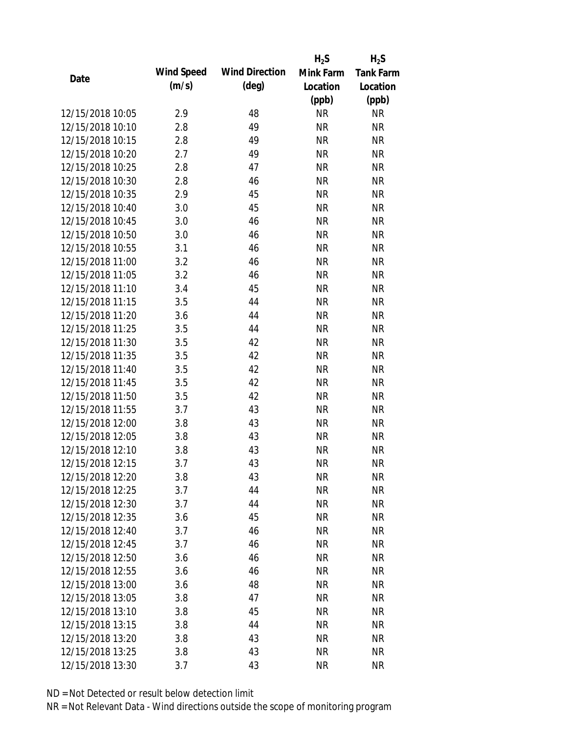|                  |            |                       | $H_2S$    | $H_2S$           |
|------------------|------------|-----------------------|-----------|------------------|
| Date             | Wind Speed | <b>Wind Direction</b> | Mink Farm | <b>Tank Farm</b> |
|                  | (m/s)      | $(\text{deg})$        | Location  | Location         |
|                  |            |                       | (ppb)     | (ppb)            |
| 12/15/2018 10:05 | 2.9        | 48                    | <b>NR</b> | <b>NR</b>        |
| 12/15/2018 10:10 | 2.8        | 49                    | <b>NR</b> | <b>NR</b>        |
| 12/15/2018 10:15 | 2.8        | 49                    | <b>NR</b> | <b>NR</b>        |
| 12/15/2018 10:20 | 2.7        | 49                    | <b>NR</b> | <b>NR</b>        |
| 12/15/2018 10:25 | 2.8        | 47                    | <b>NR</b> | <b>NR</b>        |
| 12/15/2018 10:30 | 2.8        | 46                    | <b>NR</b> | <b>NR</b>        |
| 12/15/2018 10:35 | 2.9        | 45                    | <b>NR</b> | <b>NR</b>        |
| 12/15/2018 10:40 | 3.0        | 45                    | <b>NR</b> | <b>NR</b>        |
| 12/15/2018 10:45 | 3.0        | 46                    | <b>NR</b> | <b>NR</b>        |
| 12/15/2018 10:50 | 3.0        | 46                    | <b>NR</b> | <b>NR</b>        |
| 12/15/2018 10:55 | 3.1        | 46                    | <b>NR</b> | <b>NR</b>        |
| 12/15/2018 11:00 | 3.2        | 46                    | <b>NR</b> | <b>NR</b>        |
| 12/15/2018 11:05 | 3.2        | 46                    | <b>NR</b> | <b>NR</b>        |
| 12/15/2018 11:10 | 3.4        | 45                    | <b>NR</b> | <b>NR</b>        |
| 12/15/2018 11:15 | 3.5        | 44                    | <b>NR</b> | <b>NR</b>        |
| 12/15/2018 11:20 | 3.6        | 44                    | <b>NR</b> | <b>NR</b>        |
| 12/15/2018 11:25 | 3.5        | 44                    | <b>NR</b> | <b>NR</b>        |
| 12/15/2018 11:30 | 3.5        | 42                    | <b>NR</b> | <b>NR</b>        |
| 12/15/2018 11:35 | 3.5        | 42                    | <b>NR</b> | <b>NR</b>        |
| 12/15/2018 11:40 | 3.5        | 42                    | <b>NR</b> | <b>NR</b>        |
| 12/15/2018 11:45 | 3.5        | 42                    | <b>NR</b> | <b>NR</b>        |
| 12/15/2018 11:50 | 3.5        | 42                    | <b>NR</b> | <b>NR</b>        |
| 12/15/2018 11:55 | 3.7        | 43                    | <b>NR</b> | <b>NR</b>        |
| 12/15/2018 12:00 | 3.8        | 43                    | <b>NR</b> | <b>NR</b>        |
| 12/15/2018 12:05 | 3.8        | 43                    | <b>NR</b> | <b>NR</b>        |
| 12/15/2018 12:10 | 3.8        | 43                    | <b>NR</b> | <b>NR</b>        |
| 12/15/2018 12:15 | 3.7        | 43                    | <b>NR</b> | <b>NR</b>        |
| 12/15/2018 12:20 | 3.8        | 43                    | <b>NR</b> | <b>NR</b>        |
| 12/15/2018 12:25 | 3.7        | 44                    | <b>NR</b> | <b>NR</b>        |
| 12/15/2018 12:30 | 3.7        | 44                    | <b>NR</b> | <b>NR</b>        |
| 12/15/2018 12:35 | 3.6        | 45                    | <b>NR</b> | <b>NR</b>        |
| 12/15/2018 12:40 | 3.7        | 46                    | <b>NR</b> | <b>NR</b>        |
| 12/15/2018 12:45 | 3.7        | 46                    | <b>NR</b> | <b>NR</b>        |
| 12/15/2018 12:50 | 3.6        | 46                    | <b>NR</b> | <b>NR</b>        |
| 12/15/2018 12:55 | 3.6        | 46                    | <b>NR</b> | NR               |
| 12/15/2018 13:00 |            | 48                    | <b>NR</b> | <b>NR</b>        |
| 12/15/2018 13:05 | 3.6<br>3.8 | 47                    | <b>NR</b> | NR               |
| 12/15/2018 13:10 |            | 45                    |           |                  |
|                  | 3.8        |                       | NR        | NR               |
| 12/15/2018 13:15 | 3.8        | 44                    | <b>NR</b> | NR               |
| 12/15/2018 13:20 | 3.8        | 43                    | <b>NR</b> | NR               |
| 12/15/2018 13:25 | 3.8        | 43                    | <b>NR</b> | <b>NR</b>        |
| 12/15/2018 13:30 | 3.7        | 43                    | <b>NR</b> | <b>NR</b>        |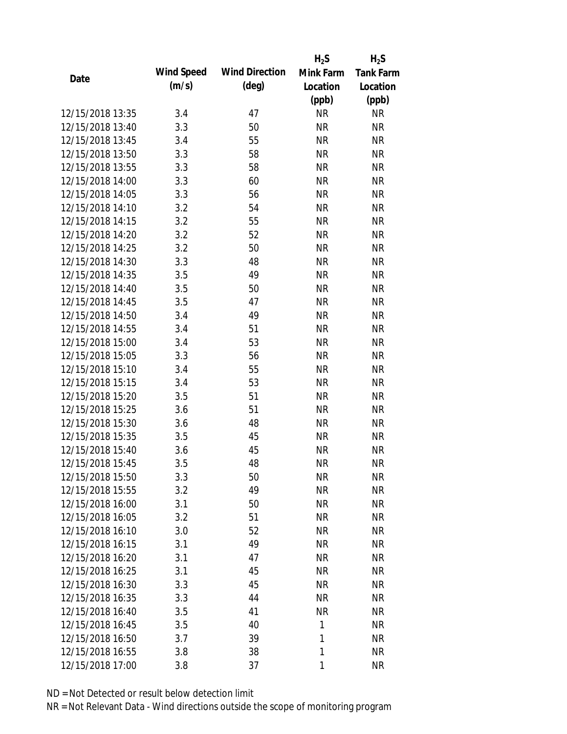|                  |            |                       | $H_2S$       | $H_2S$           |
|------------------|------------|-----------------------|--------------|------------------|
|                  | Wind Speed | <b>Wind Direction</b> | Mink Farm    | <b>Tank Farm</b> |
| Date             | (m/s)      | $(\text{deg})$        | Location     | Location         |
|                  |            |                       | (ppb)        | (ppb)            |
| 12/15/2018 13:35 | 3.4        | 47                    | <b>NR</b>    | <b>NR</b>        |
| 12/15/2018 13:40 | 3.3        | 50                    | <b>NR</b>    | <b>NR</b>        |
| 12/15/2018 13:45 | 3.4        | 55                    | <b>NR</b>    | <b>NR</b>        |
| 12/15/2018 13:50 | 3.3        | 58                    | <b>NR</b>    | <b>NR</b>        |
| 12/15/2018 13:55 | 3.3        | 58                    | <b>NR</b>    | <b>NR</b>        |
| 12/15/2018 14:00 | 3.3        | 60                    | <b>NR</b>    | <b>NR</b>        |
| 12/15/2018 14:05 | 3.3        | 56                    | <b>NR</b>    | <b>NR</b>        |
| 12/15/2018 14:10 | 3.2        | 54                    | <b>NR</b>    | <b>NR</b>        |
| 12/15/2018 14:15 | 3.2        | 55                    | <b>NR</b>    | <b>NR</b>        |
| 12/15/2018 14:20 | 3.2        | 52                    | <b>NR</b>    | <b>NR</b>        |
| 12/15/2018 14:25 | 3.2        | 50                    | <b>NR</b>    | <b>NR</b>        |
| 12/15/2018 14:30 | 3.3        | 48                    | <b>NR</b>    | <b>NR</b>        |
| 12/15/2018 14:35 | 3.5        | 49                    | <b>NR</b>    | <b>NR</b>        |
| 12/15/2018 14:40 | 3.5        | 50                    | <b>NR</b>    | <b>NR</b>        |
| 12/15/2018 14:45 | 3.5        | 47                    | <b>NR</b>    | <b>NR</b>        |
| 12/15/2018 14:50 | 3.4        | 49                    | <b>NR</b>    | <b>NR</b>        |
| 12/15/2018 14:55 | 3.4        | 51                    | <b>NR</b>    | <b>NR</b>        |
| 12/15/2018 15:00 | 3.4        | 53                    | <b>NR</b>    | <b>NR</b>        |
| 12/15/2018 15:05 | 3.3        | 56                    | <b>NR</b>    | <b>NR</b>        |
| 12/15/2018 15:10 | 3.4        | 55                    | <b>NR</b>    | <b>NR</b>        |
| 12/15/2018 15:15 | 3.4        | 53                    | <b>NR</b>    | <b>NR</b>        |
| 12/15/2018 15:20 | 3.5        | 51                    | <b>NR</b>    | <b>NR</b>        |
| 12/15/2018 15:25 | 3.6        | 51                    | <b>NR</b>    | <b>NR</b>        |
| 12/15/2018 15:30 | 3.6        | 48                    | <b>NR</b>    | <b>NR</b>        |
| 12/15/2018 15:35 | 3.5        | 45                    | <b>NR</b>    | <b>NR</b>        |
| 12/15/2018 15:40 | 3.6        | 45                    | <b>NR</b>    | <b>NR</b>        |
| 12/15/2018 15:45 | 3.5        | 48                    | <b>NR</b>    | <b>NR</b>        |
| 12/15/2018 15:50 | 3.3        | 50                    | <b>NR</b>    | <b>NR</b>        |
| 12/15/2018 15:55 | 3.2        | 49                    | <b>NR</b>    | <b>NR</b>        |
| 12/15/2018 16:00 | 3.1        | 50                    | NR           | <b>NR</b>        |
| 12/15/2018 16:05 | 3.2        | 51                    | <b>NR</b>    | <b>NR</b>        |
| 12/15/2018 16:10 |            | 52                    |              |                  |
|                  | 3.0        | 49                    | <b>NR</b>    | <b>NR</b>        |
| 12/15/2018 16:15 | 3.1        |                       | <b>NR</b>    | <b>NR</b>        |
| 12/15/2018 16:20 | 3.1        | 47                    | <b>NR</b>    | <b>NR</b>        |
| 12/15/2018 16:25 | 3.1        | 45                    | <b>NR</b>    | <b>NR</b>        |
| 12/15/2018 16:30 | 3.3        | 45                    | <b>NR</b>    | <b>NR</b>        |
| 12/15/2018 16:35 | 3.3        | 44                    | <b>NR</b>    | <b>NR</b>        |
| 12/15/2018 16:40 | 3.5        | 41                    | <b>NR</b>    | <b>NR</b>        |
| 12/15/2018 16:45 | 3.5        | 40                    | 1            | <b>NR</b>        |
| 12/15/2018 16:50 | 3.7        | 39                    | 1            | <b>NR</b>        |
| 12/15/2018 16:55 | 3.8        | 38                    | 1            | <b>NR</b>        |
| 12/15/2018 17:00 | 3.8        | 37                    | $\mathbf{1}$ | <b>NR</b>        |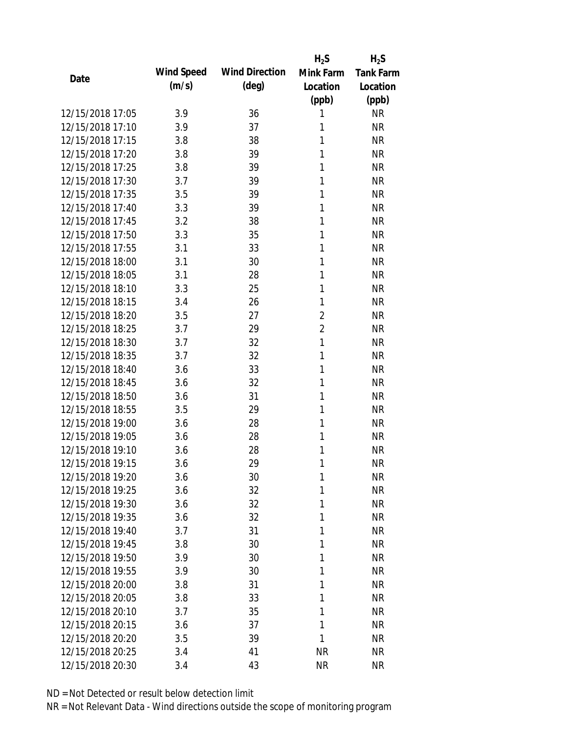|                  |            |                       | $H_2S$         | $H_2S$           |
|------------------|------------|-----------------------|----------------|------------------|
| Date             | Wind Speed | <b>Wind Direction</b> | Mink Farm      | <b>Tank Farm</b> |
|                  | (m/s)      | $(\text{deg})$        | Location       | Location         |
|                  |            |                       | (ppb)          | (ppb)            |
| 12/15/2018 17:05 | 3.9        | 36                    | 1              | <b>NR</b>        |
| 12/15/2018 17:10 | 3.9        | 37                    | 1              | <b>NR</b>        |
| 12/15/2018 17:15 | 3.8        | 38                    | 1              | <b>NR</b>        |
| 12/15/2018 17:20 | 3.8        | 39                    | 1              | <b>NR</b>        |
| 12/15/2018 17:25 | 3.8        | 39                    | 1              | <b>NR</b>        |
| 12/15/2018 17:30 | 3.7        | 39                    | 1              | <b>NR</b>        |
| 12/15/2018 17:35 | 3.5        | 39                    | 1              | <b>NR</b>        |
| 12/15/2018 17:40 | 3.3        | 39                    | 1              | <b>NR</b>        |
| 12/15/2018 17:45 | 3.2        | 38                    | 1              | <b>NR</b>        |
| 12/15/2018 17:50 | 3.3        | 35                    | 1              | <b>NR</b>        |
| 12/15/2018 17:55 | 3.1        | 33                    | 1              | <b>NR</b>        |
| 12/15/2018 18:00 | 3.1        | 30                    | 1              | <b>NR</b>        |
| 12/15/2018 18:05 | 3.1        | 28                    | 1              | <b>NR</b>        |
| 12/15/2018 18:10 | 3.3        | 25                    | 1              | <b>NR</b>        |
| 12/15/2018 18:15 | 3.4        | 26                    | 1              | <b>NR</b>        |
| 12/15/2018 18:20 | 3.5        | 27                    | $\overline{2}$ | <b>NR</b>        |
| 12/15/2018 18:25 | 3.7        | 29                    | $\overline{2}$ | <b>NR</b>        |
| 12/15/2018 18:30 | 3.7        | 32                    | 1              | <b>NR</b>        |
| 12/15/2018 18:35 | 3.7        | 32                    | $\mathbf{1}$   | <b>NR</b>        |
| 12/15/2018 18:40 | 3.6        | 33                    | 1              | <b>NR</b>        |
| 12/15/2018 18:45 | 3.6        | 32                    | 1              | <b>NR</b>        |
| 12/15/2018 18:50 | 3.6        | 31                    | 1              | <b>NR</b>        |
| 12/15/2018 18:55 | 3.5        | 29                    | 1              | <b>NR</b>        |
| 12/15/2018 19:00 | 3.6        | 28                    | 1              | <b>NR</b>        |
| 12/15/2018 19:05 | 3.6        | 28                    | 1              | <b>NR</b>        |
| 12/15/2018 19:10 | 3.6        | 28                    | 1              | <b>NR</b>        |
| 12/15/2018 19:15 | 3.6        | 29                    | 1              | <b>NR</b>        |
| 12/15/2018 19:20 | 3.6        | 30                    | 1              | <b>NR</b>        |
| 12/15/2018 19:25 | 3.6        | 32                    | 1              | <b>NR</b>        |
| 12/15/2018 19:30 | 3.6        | 32                    | 1              | <b>NR</b>        |
| 12/15/2018 19:35 | 3.6        | 32                    | 1              | <b>NR</b>        |
| 12/15/2018 19:40 | 3.7        | 31                    | 1              | <b>NR</b>        |
| 12/15/2018 19:45 | 3.8        | 30                    | 1              | <b>NR</b>        |
| 12/15/2018 19:50 | 3.9        | 30                    | 1              | <b>NR</b>        |
| 12/15/2018 19:55 | 3.9        | 30                    | 1              | <b>NR</b>        |
| 12/15/2018 20:00 | 3.8        | 31                    | 1              | <b>NR</b>        |
| 12/15/2018 20:05 | 3.8        | 33                    | 1              | <b>NR</b>        |
| 12/15/2018 20:10 | 3.7        | 35                    | 1              | <b>NR</b>        |
| 12/15/2018 20:15 | 3.6        | 37                    | 1              | <b>NR</b>        |
| 12/15/2018 20:20 | 3.5        | 39                    | 1              | <b>NR</b>        |
| 12/15/2018 20:25 | 3.4        | 41                    | <b>NR</b>      | <b>NR</b>        |
| 12/15/2018 20:30 | 3.4        | 43                    | <b>NR</b>      | <b>NR</b>        |
|                  |            |                       |                |                  |